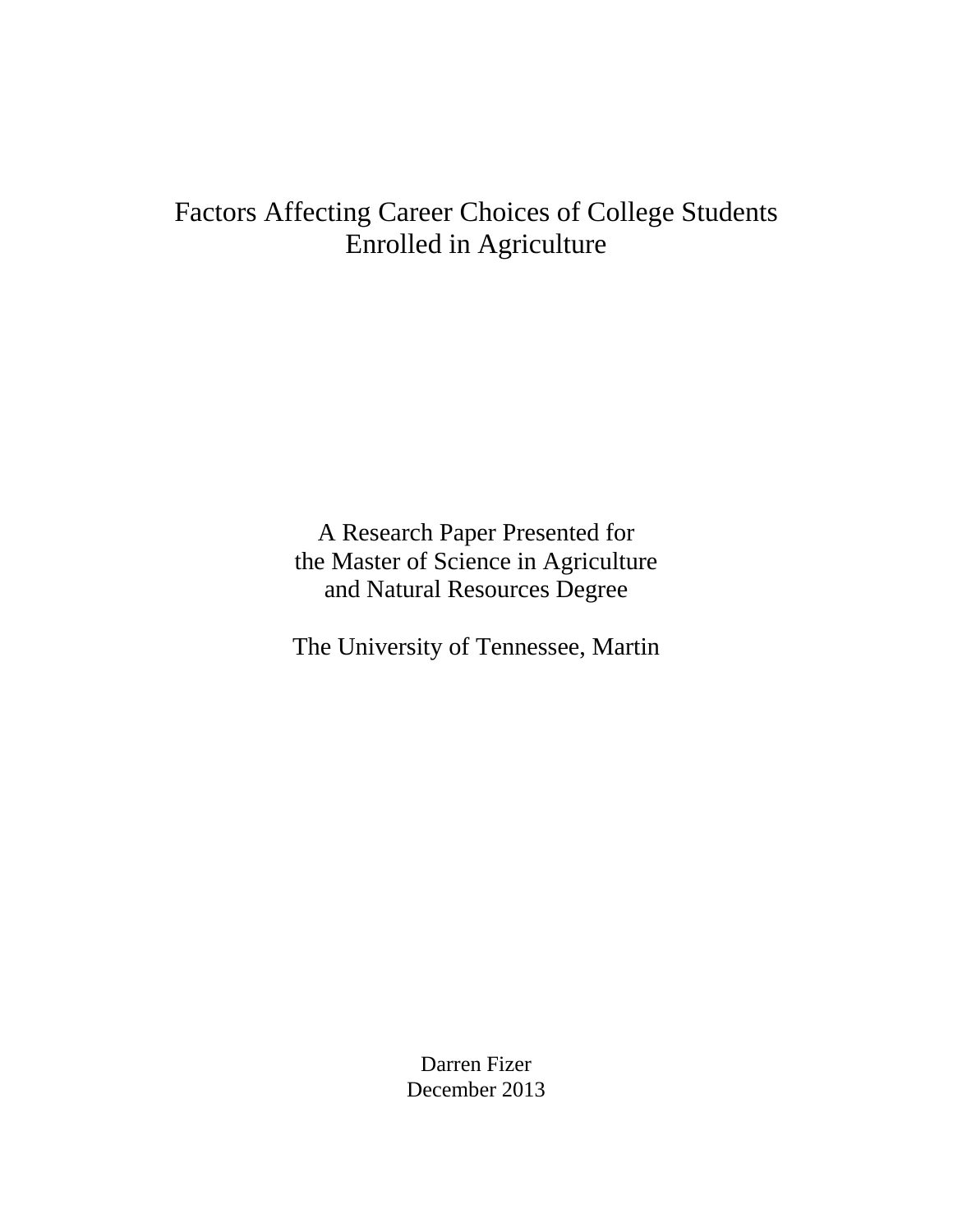# Factors Affecting Career Choices of College Students Enrolled in Agriculture

A Research Paper Presented for the Master of Science in Agriculture and Natural Resources Degree

The University of Tennessee, Martin

Darren Fizer December 2013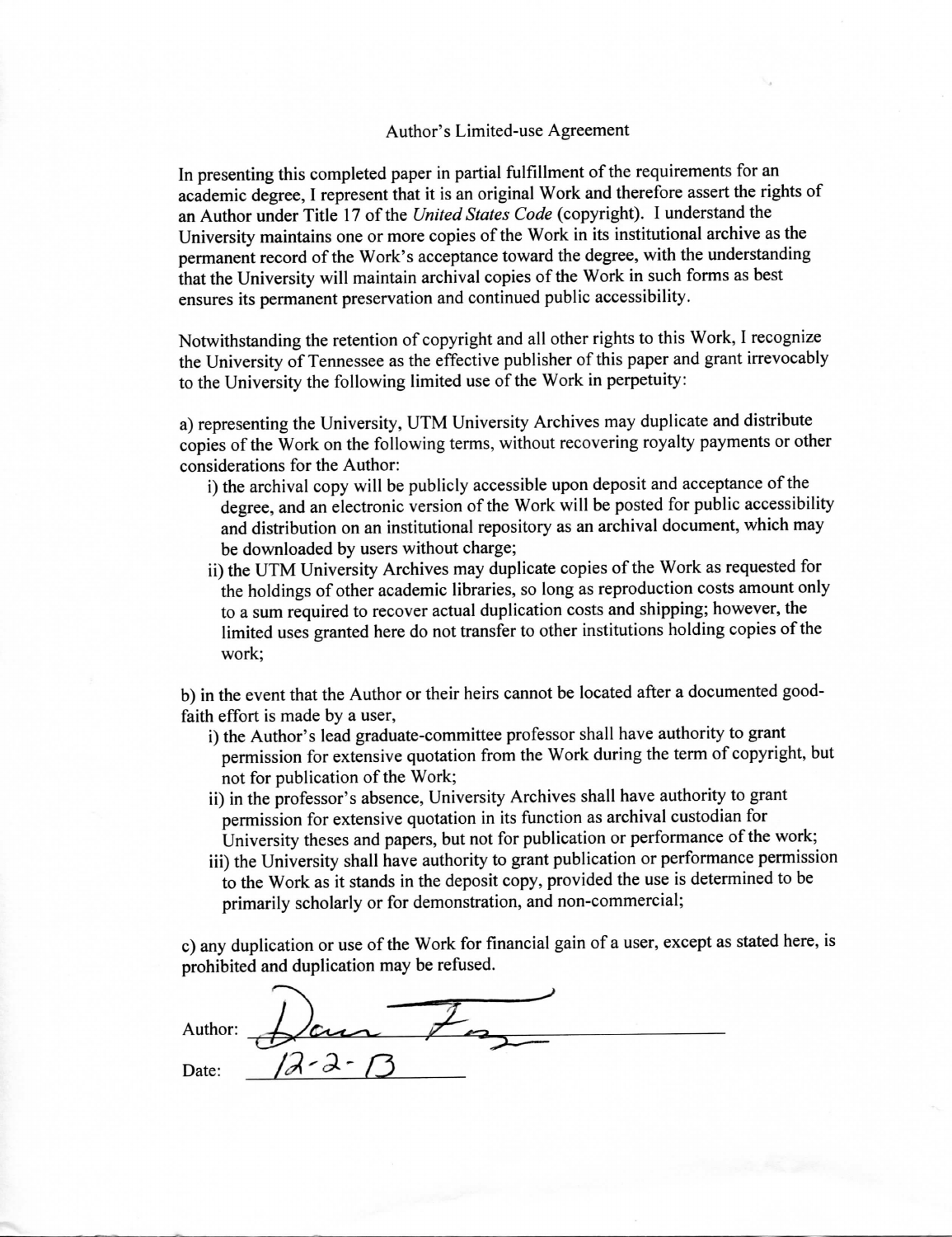#### Author's Limited-use Agreement

In presenting this completed paper in partial fulfillment of the requirements for an academic degree, I represent that it is an original Work and therefore assert the rights of an Author under Title 17 of the United States Code (copyright). I understand the University maintains one or more copies of the Work in its institutional archive as the permanent record of the Work's acceptance toward the degree, with the understanding that the University will maintain archival copies of the Work in such forms as best ensures its permanent preservation and continued public accessibility.

Notwithstanding the retention of copyright and all other rights to this Work, I recognize the University of Tennessee as the effective publisher of this paper and grant irrevocably to the University the following limited use of the Work in perpetuity:

a) representing the University, UTM University Archives may duplicate and distribute copies of the Work on the following terms, without recovering royalty payments or other considerations for the Author:

- i) the archival copy will be publicly accessible upon deposit and acceptance of the degree, and an electronic version of the Work will be posted for public accessibility and distribution on an institutional repository as an archival document, which may be downloaded by users without charge;
- ii) the UTM University Archives may duplicate copies of the Work as requested for the holdings of other academic libraries, so long as reproduction costs amount only to a sum required to recover actual duplication costs and shipping; however, the limited uses granted here do not transfer to other institutions holding copies of the work:

b) in the event that the Author or their heirs cannot be located after a documented goodfaith effort is made by a user,

- i) the Author's lead graduate-committee professor shall have authority to grant permission for extensive quotation from the Work during the term of copyright, but not for publication of the Work;
- ii) in the professor's absence, University Archives shall have authority to grant permission for extensive quotation in its function as archival custodian for University theses and papers, but not for publication or performance of the work;
- iii) the University shall have authority to grant publication or performance permission to the Work as it stands in the deposit copy, provided the use is determined to be primarily scholarly or for demonstration, and non-commercial;

c) any duplication or use of the Work for financial gain of a user, except as stated here, is prohibited and duplication may be refused.

Author: Date: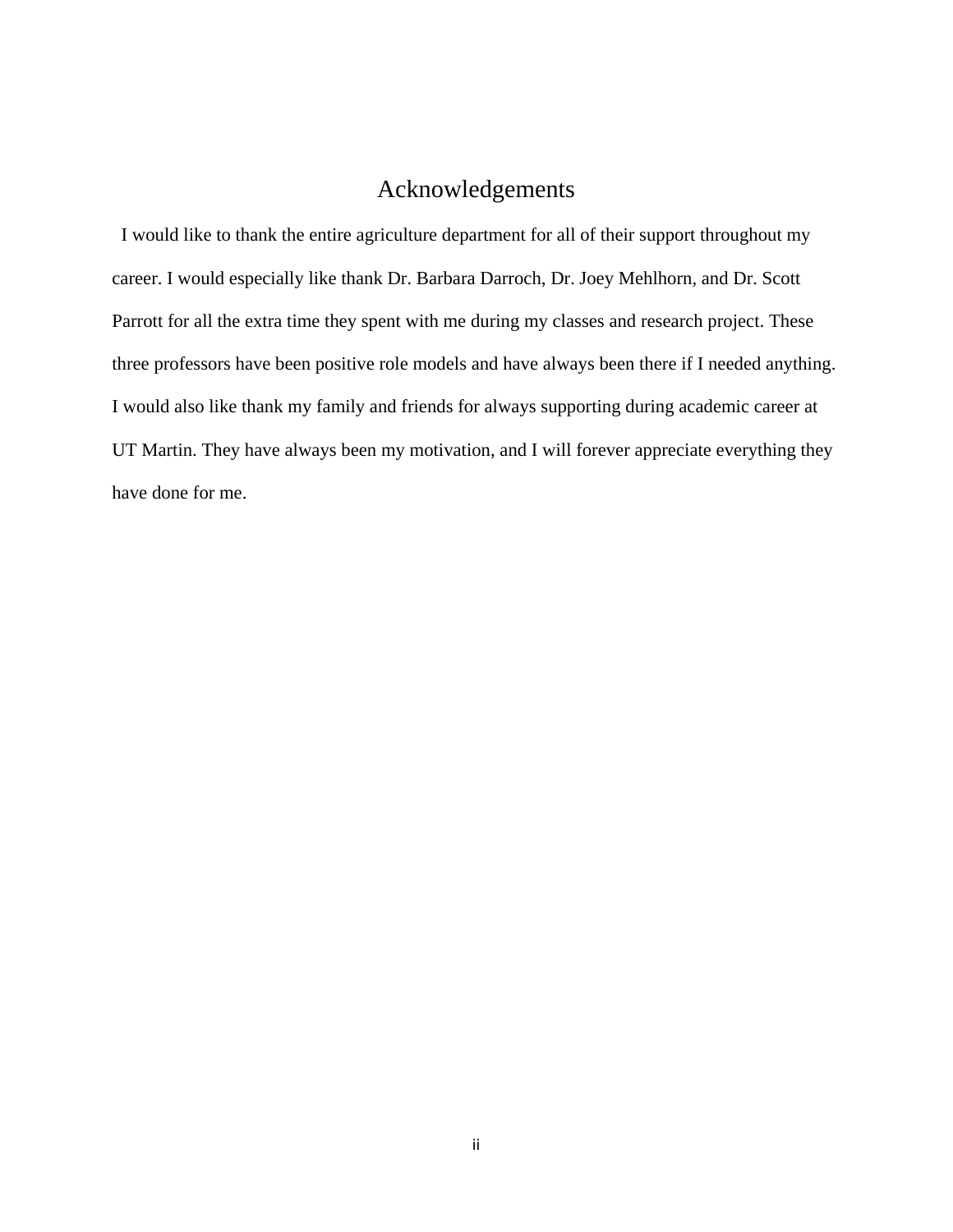# Acknowledgements

 I would like to thank the entire agriculture department for all of their support throughout my career. I would especially like thank Dr. Barbara Darroch, Dr. Joey Mehlhorn, and Dr. Scott Parrott for all the extra time they spent with me during my classes and research project. These three professors have been positive role models and have always been there if I needed anything. I would also like thank my family and friends for always supporting during academic career at UT Martin. They have always been my motivation, and I will forever appreciate everything they have done for me.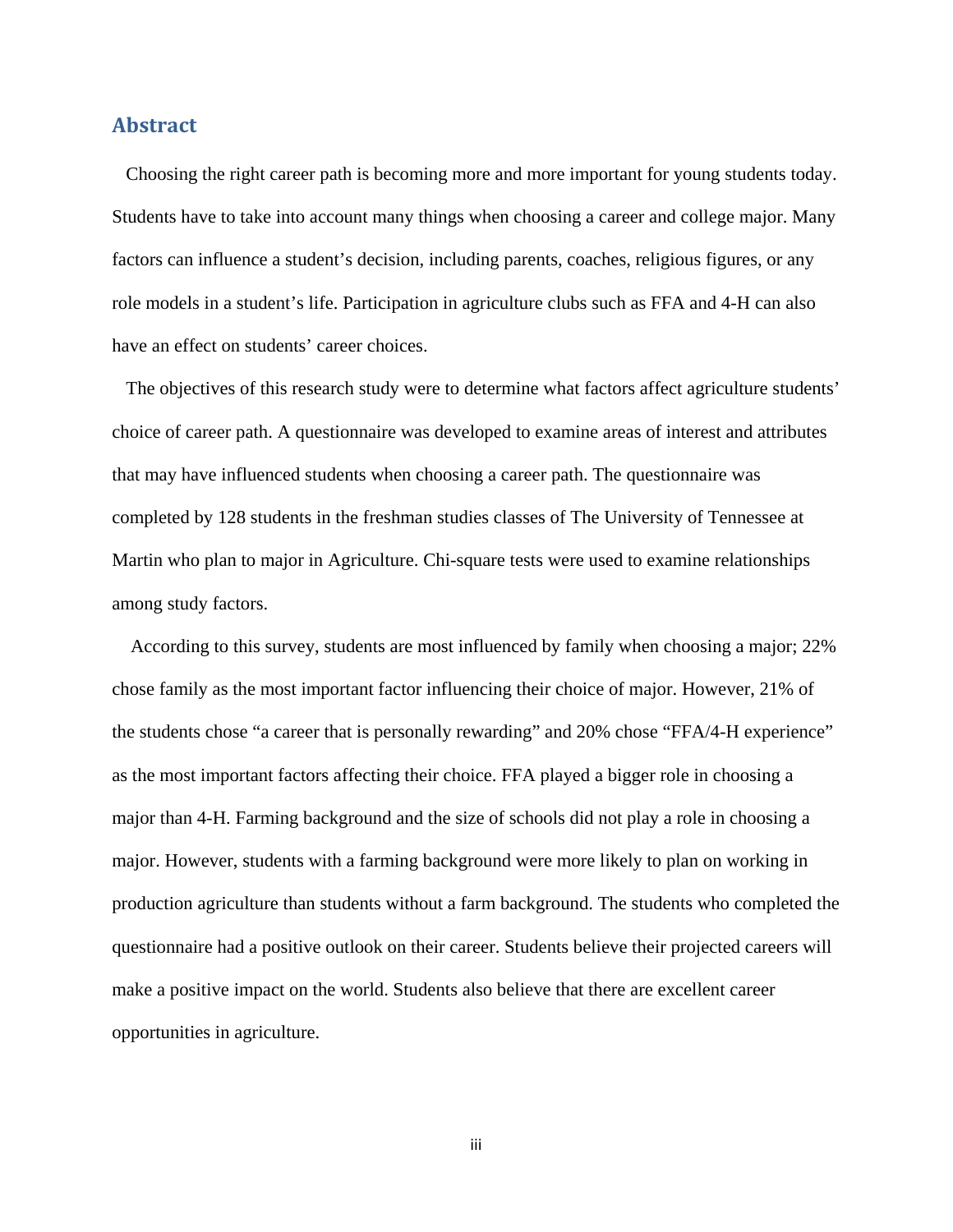# **Abstract**

 Choosing the right career path is becoming more and more important for young students today. Students have to take into account many things when choosing a career and college major. Many factors can influence a student's decision, including parents, coaches, religious figures, or any role models in a student's life. Participation in agriculture clubs such as FFA and 4-H can also have an effect on students' career choices.

 The objectives of this research study were to determine what factors affect agriculture students' choice of career path. A questionnaire was developed to examine areas of interest and attributes that may have influenced students when choosing a career path. The questionnaire was completed by 128 students in the freshman studies classes of The University of Tennessee at Martin who plan to major in Agriculture. Chi-square tests were used to examine relationships among study factors.

 According to this survey, students are most influenced by family when choosing a major; 22% chose family as the most important factor influencing their choice of major. However, 21% of the students chose "a career that is personally rewarding" and 20% chose "FFA/4-H experience" as the most important factors affecting their choice. FFA played a bigger role in choosing a major than 4-H. Farming background and the size of schools did not play a role in choosing a major. However, students with a farming background were more likely to plan on working in production agriculture than students without a farm background. The students who completed the questionnaire had a positive outlook on their career. Students believe their projected careers will make a positive impact on the world. Students also believe that there are excellent career opportunities in agriculture.

iii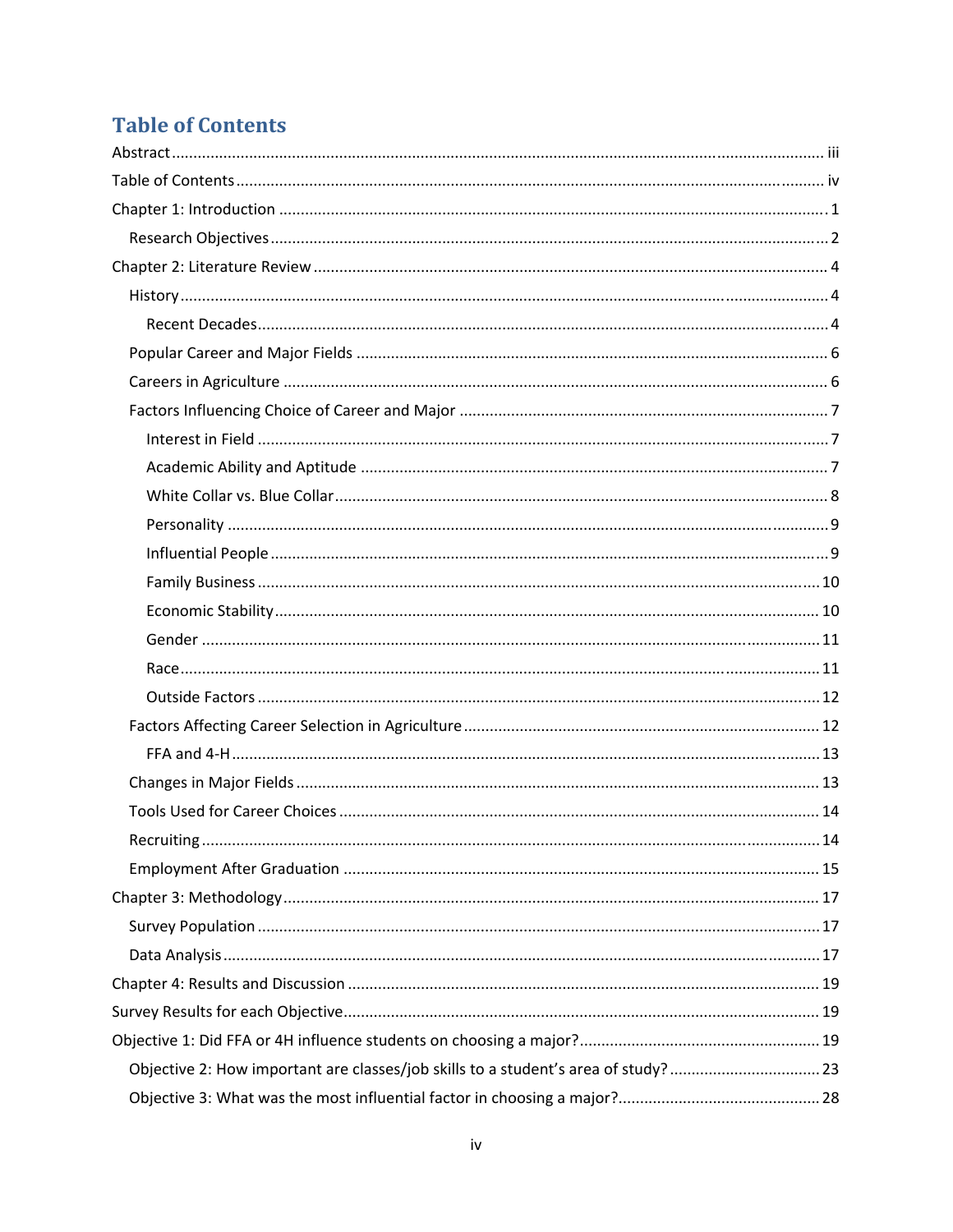# **Table of Contents**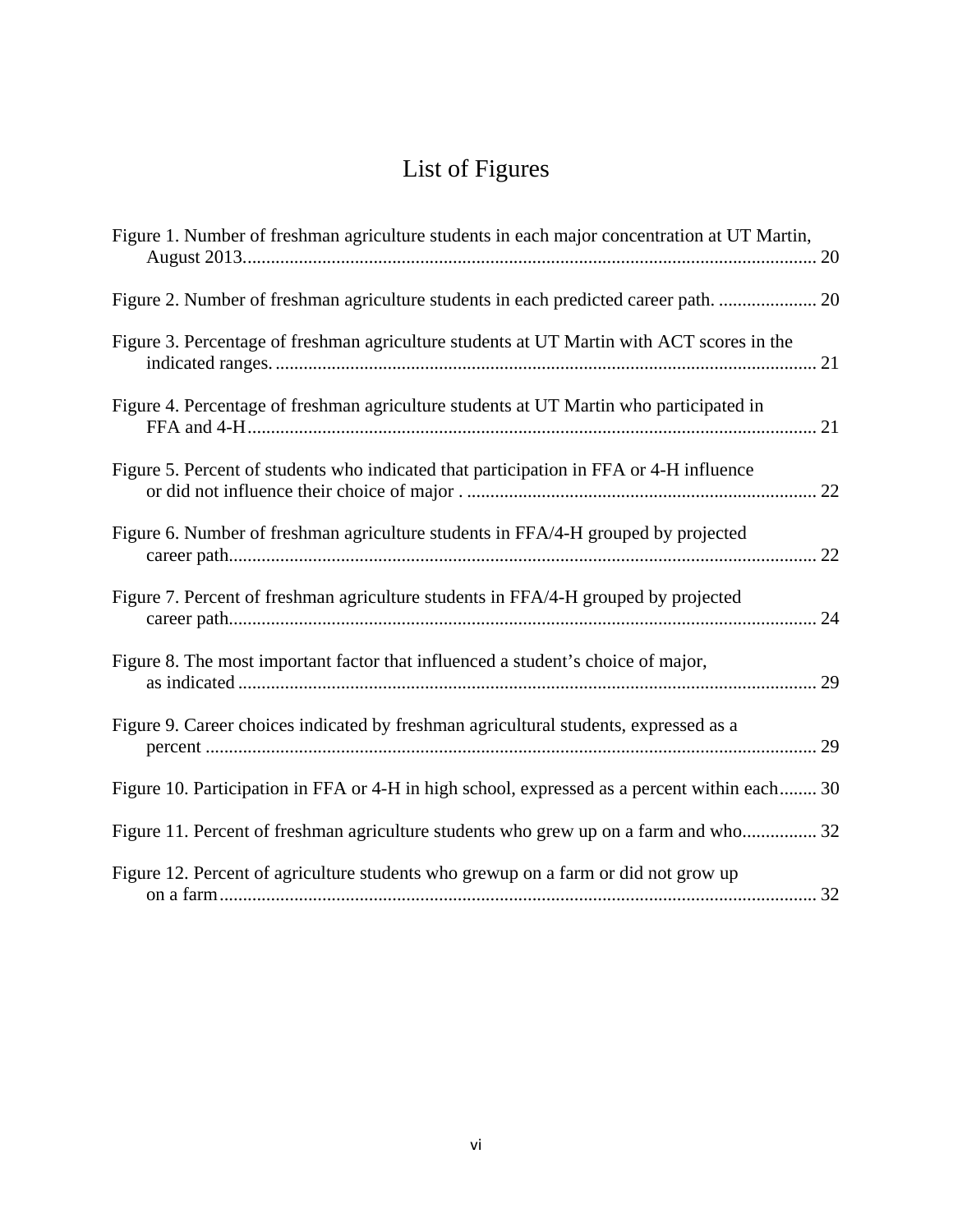# List of Figures

| Figure 1. Number of freshman agriculture students in each major concentration at UT Martin,  |
|----------------------------------------------------------------------------------------------|
| Figure 2. Number of freshman agriculture students in each predicted career path.  20         |
| Figure 3. Percentage of freshman agriculture students at UT Martin with ACT scores in the    |
| Figure 4. Percentage of freshman agriculture students at UT Martin who participated in       |
| Figure 5. Percent of students who indicated that participation in FFA or 4-H influence       |
| Figure 6. Number of freshman agriculture students in FFA/4-H grouped by projected            |
| Figure 7. Percent of freshman agriculture students in FFA/4-H grouped by projected           |
| Figure 8. The most important factor that influenced a student's choice of major,             |
| Figure 9. Career choices indicated by freshman agricultural students, expressed as a         |
| Figure 10. Participation in FFA or 4-H in high school, expressed as a percent within each 30 |
| Figure 11. Percent of freshman agriculture students who grew up on a farm and who 32         |
| Figure 12. Percent of agriculture students who grewup on a farm or did not grow up           |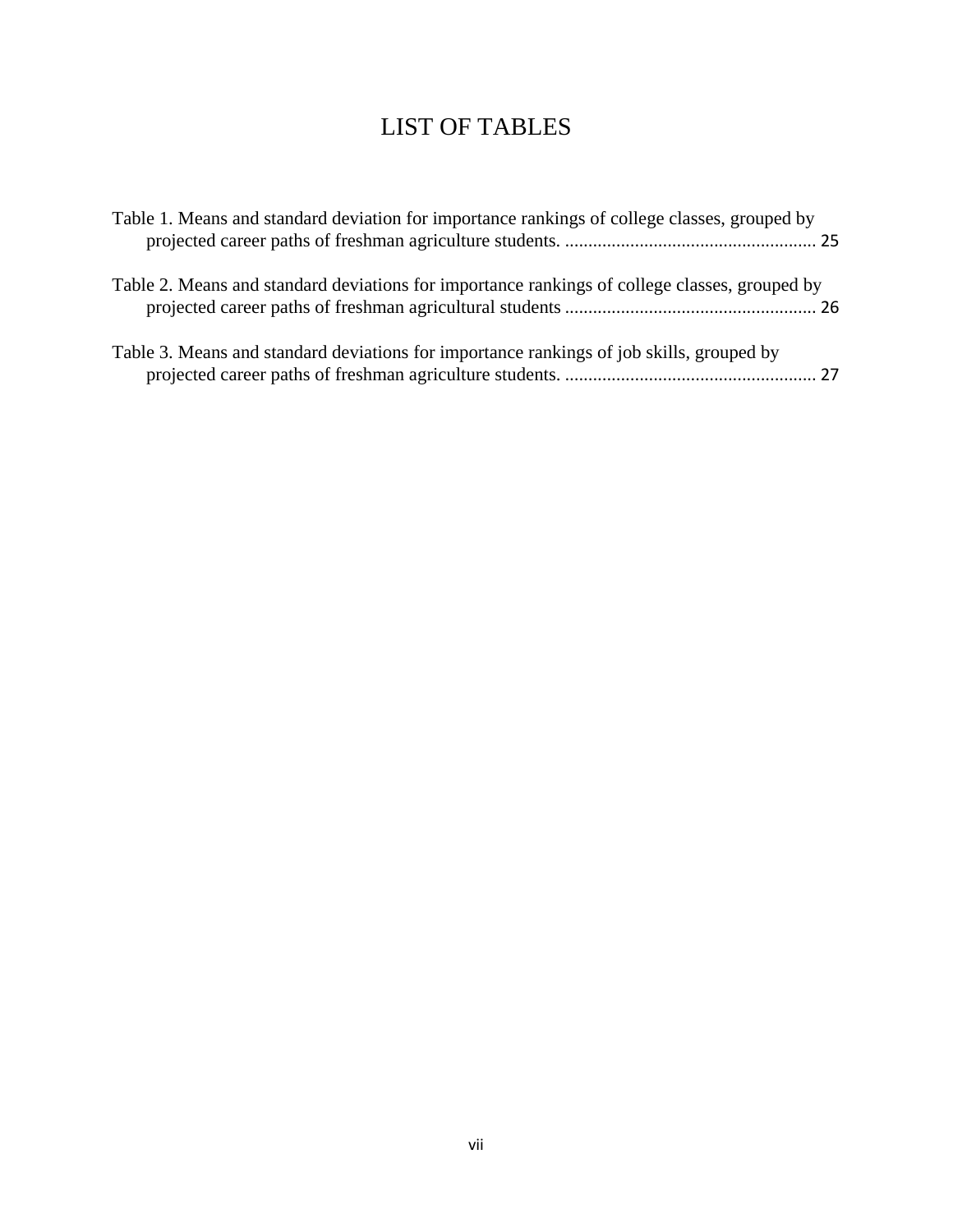# LIST OF TABLES

| Table 1. Means and standard deviation for importance rankings of college classes, grouped by  |
|-----------------------------------------------------------------------------------------------|
| Table 2. Means and standard deviations for importance rankings of college classes, grouped by |
| Table 3. Means and standard deviations for importance rankings of job skills, grouped by      |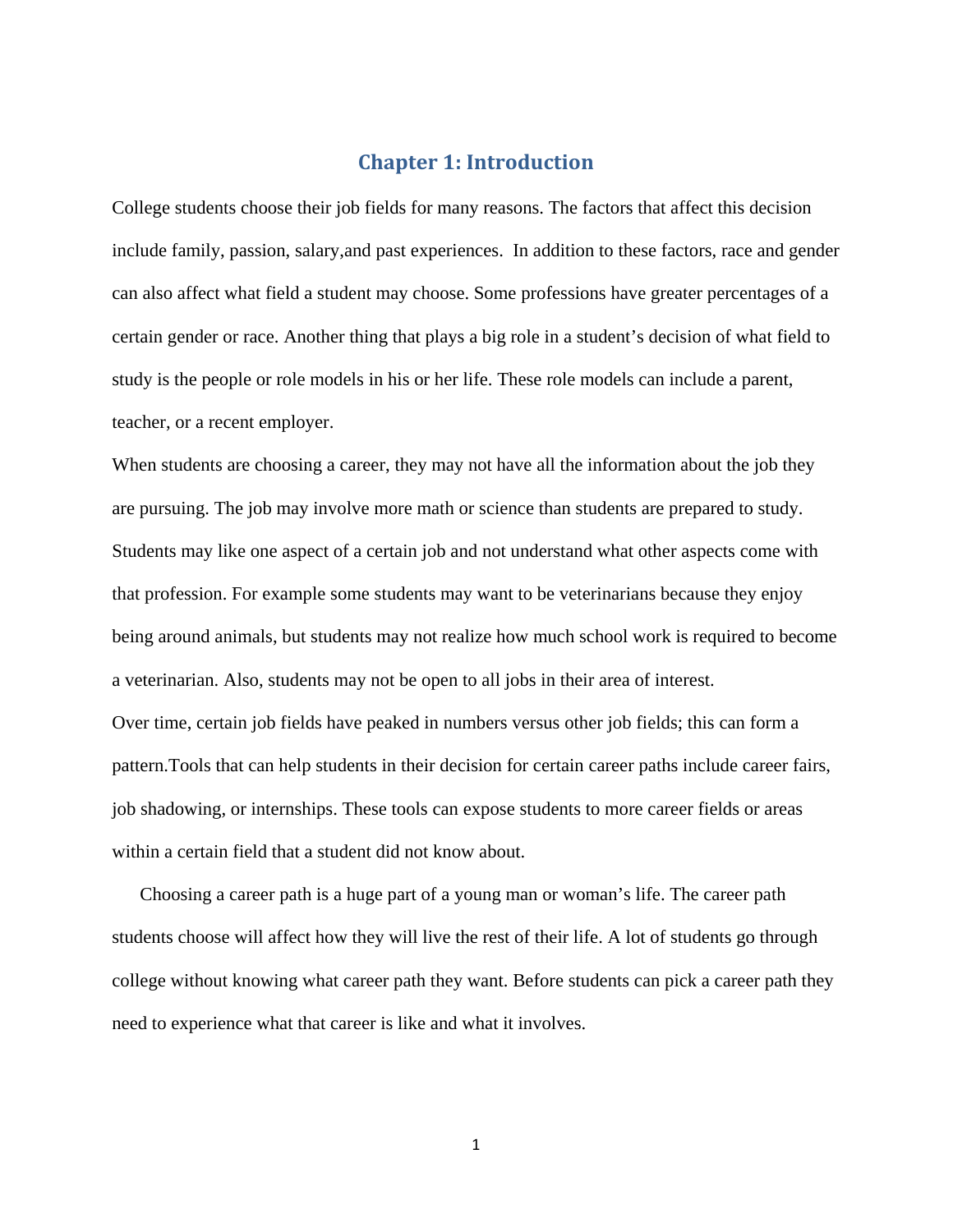# **Chapter 1: Introduction**

College students choose their job fields for many reasons. The factors that affect this decision include family, passion, salary,and past experiences. In addition to these factors, race and gender can also affect what field a student may choose. Some professions have greater percentages of a certain gender or race. Another thing that plays a big role in a student's decision of what field to study is the people or role models in his or her life. These role models can include a parent, teacher, or a recent employer.

When students are choosing a career, they may not have all the information about the job they are pursuing. The job may involve more math or science than students are prepared to study. Students may like one aspect of a certain job and not understand what other aspects come with that profession. For example some students may want to be veterinarians because they enjoy being around animals, but students may not realize how much school work is required to become a veterinarian. Also, students may not be open to all jobs in their area of interest. Over time, certain job fields have peaked in numbers versus other job fields; this can form a pattern.Tools that can help students in their decision for certain career paths include career fairs, job shadowing, or internships. These tools can expose students to more career fields or areas within a certain field that a student did not know about.

 Choosing a career path is a huge part of a young man or woman's life. The career path students choose will affect how they will live the rest of their life. A lot of students go through college without knowing what career path they want. Before students can pick a career path they need to experience what that career is like and what it involves.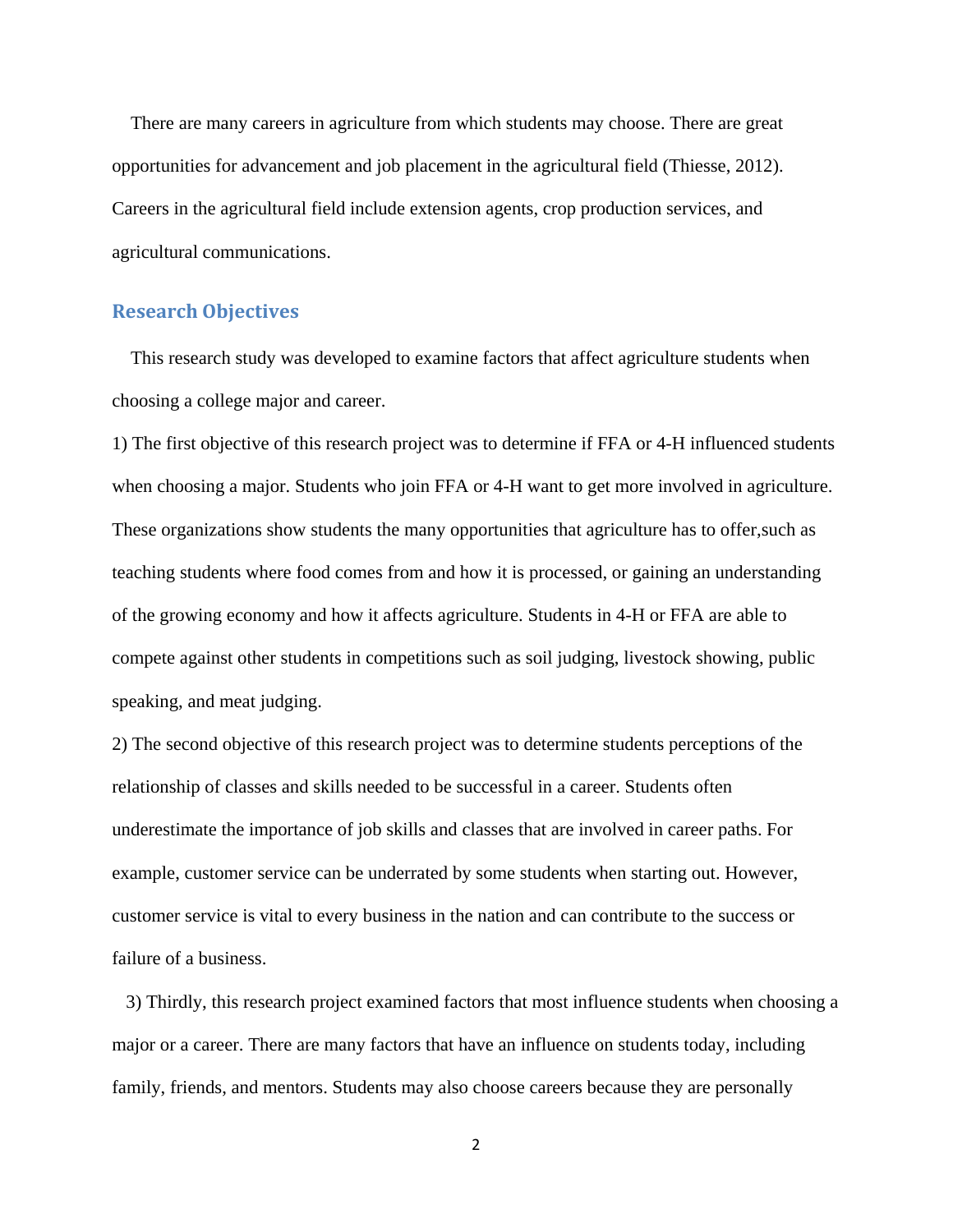There are many careers in agriculture from which students may choose. There are great opportunities for advancement and job placement in the agricultural field (Thiesse, 2012). Careers in the agricultural field include extension agents, crop production services, and agricultural communications.

# **Research Objectives**

 This research study was developed to examine factors that affect agriculture students when choosing a college major and career.

1) The first objective of this research project was to determine if FFA or 4-H influenced students when choosing a major. Students who join FFA or 4-H want to get more involved in agriculture. These organizations show students the many opportunities that agriculture has to offer,such as teaching students where food comes from and how it is processed, or gaining an understanding of the growing economy and how it affects agriculture. Students in 4-H or FFA are able to compete against other students in competitions such as soil judging, livestock showing, public speaking, and meat judging.

2) The second objective of this research project was to determine students perceptions of the relationship of classes and skills needed to be successful in a career. Students often underestimate the importance of job skills and classes that are involved in career paths. For example, customer service can be underrated by some students when starting out. However, customer service is vital to every business in the nation and can contribute to the success or failure of a business.

 3) Thirdly, this research project examined factors that most influence students when choosing a major or a career. There are many factors that have an influence on students today, including family, friends, and mentors. Students may also choose careers because they are personally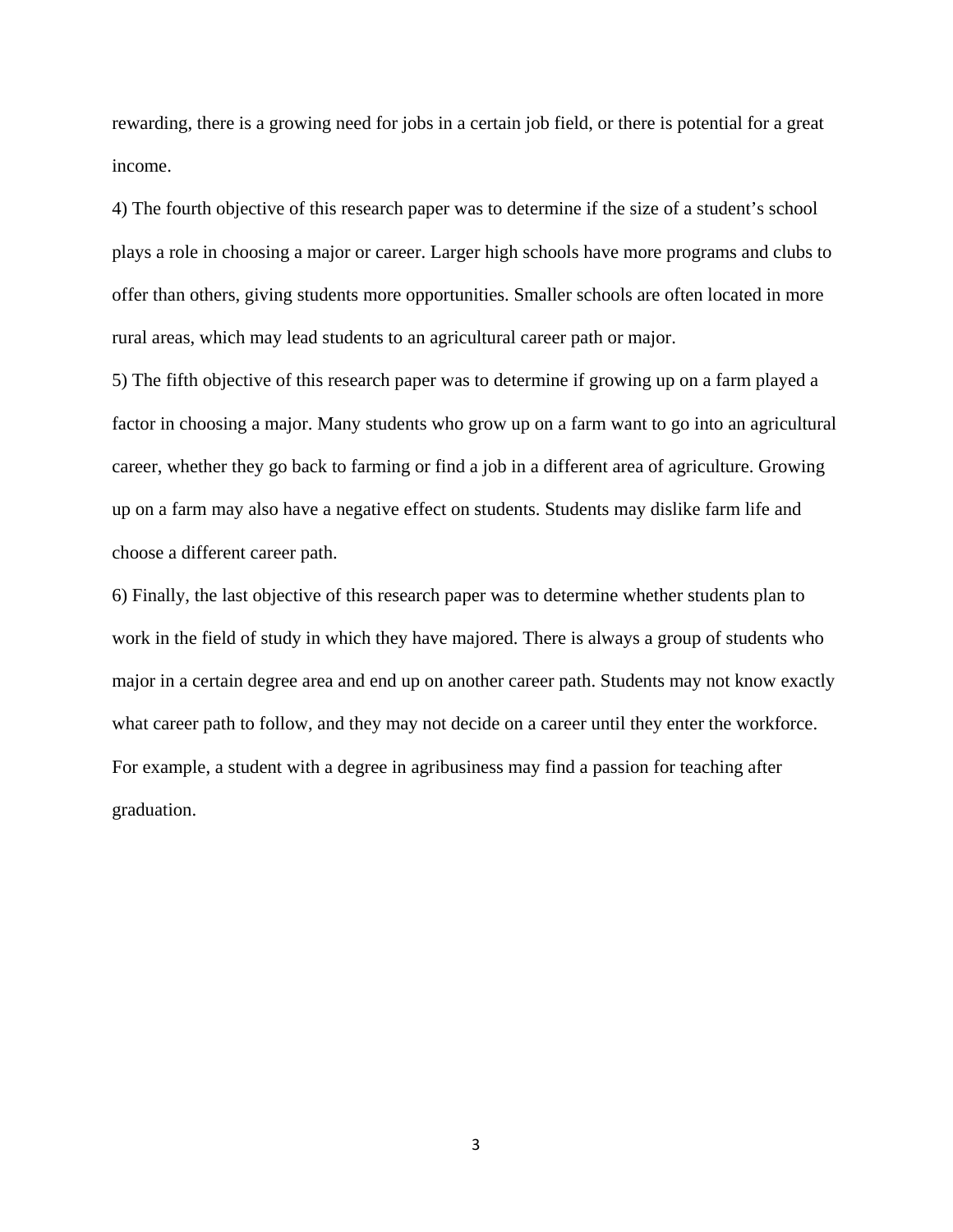rewarding, there is a growing need for jobs in a certain job field, or there is potential for a great income.

4) The fourth objective of this research paper was to determine if the size of a student's school plays a role in choosing a major or career. Larger high schools have more programs and clubs to offer than others, giving students more opportunities. Smaller schools are often located in more rural areas, which may lead students to an agricultural career path or major.

5) The fifth objective of this research paper was to determine if growing up on a farm played a factor in choosing a major. Many students who grow up on a farm want to go into an agricultural career, whether they go back to farming or find a job in a different area of agriculture. Growing up on a farm may also have a negative effect on students. Students may dislike farm life and choose a different career path.

6) Finally, the last objective of this research paper was to determine whether students plan to work in the field of study in which they have majored. There is always a group of students who major in a certain degree area and end up on another career path. Students may not know exactly what career path to follow, and they may not decide on a career until they enter the workforce. For example, a student with a degree in agribusiness may find a passion for teaching after graduation.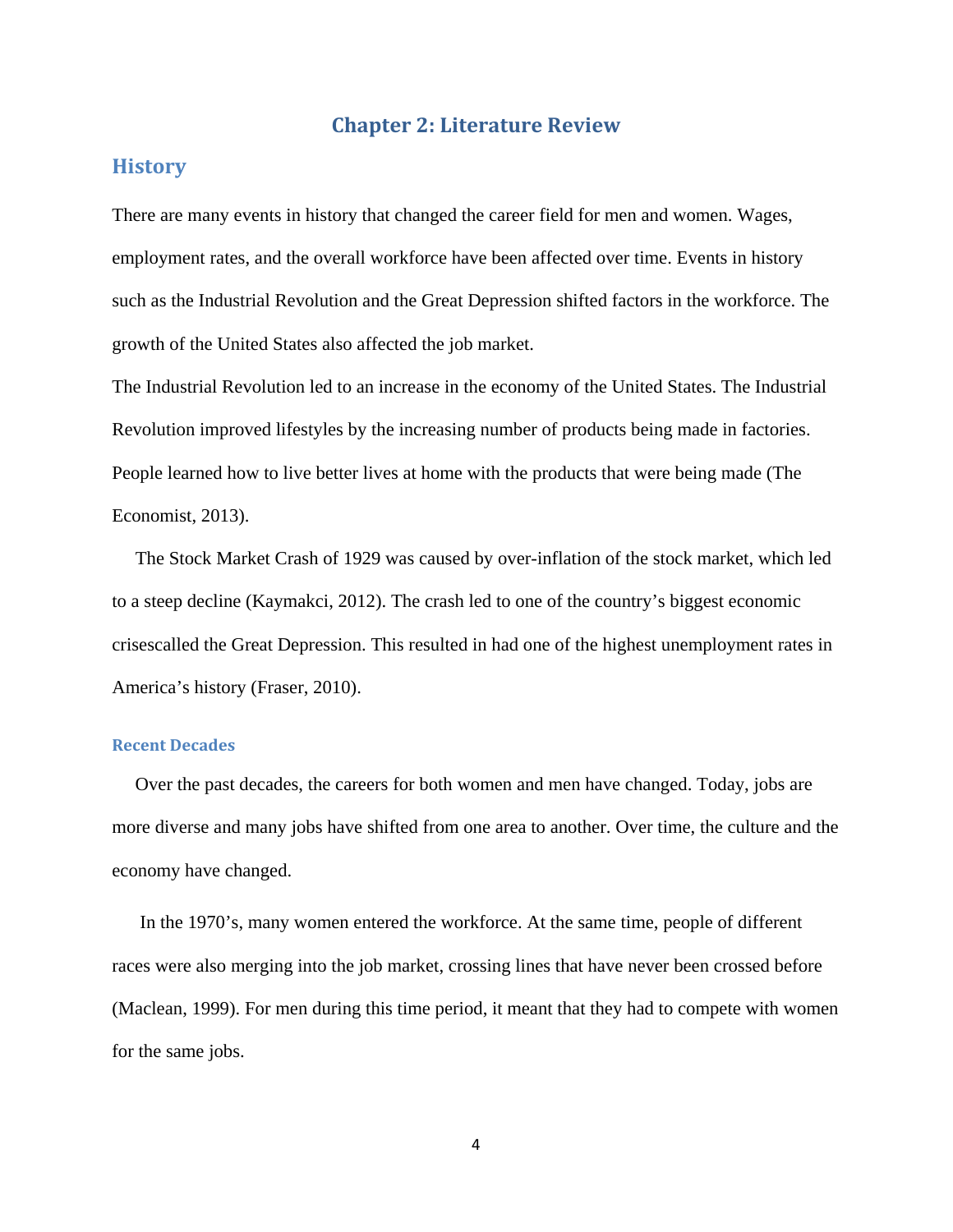# **Chapter 2: Literature Review**

# **History**

There are many events in history that changed the career field for men and women. Wages, employment rates, and the overall workforce have been affected over time. Events in history such as the Industrial Revolution and the Great Depression shifted factors in the workforce. The growth of the United States also affected the job market.

The Industrial Revolution led to an increase in the economy of the United States. The Industrial Revolution improved lifestyles by the increasing number of products being made in factories. People learned how to live better lives at home with the products that were being made (The Economist, 2013).

 The Stock Market Crash of 1929 was caused by over-inflation of the stock market, which led to a steep decline (Kaymakci, 2012). The crash led to one of the country's biggest economic crisescalled the Great Depression. This resulted in had one of the highest unemployment rates in America's history (Fraser, 2010).

## **Recent Decades**

 Over the past decades, the careers for both women and men have changed. Today, jobs are more diverse and many jobs have shifted from one area to another. Over time, the culture and the economy have changed.

 In the 1970's, many women entered the workforce. At the same time, people of different races were also merging into the job market, crossing lines that have never been crossed before (Maclean, 1999). For men during this time period, it meant that they had to compete with women for the same jobs.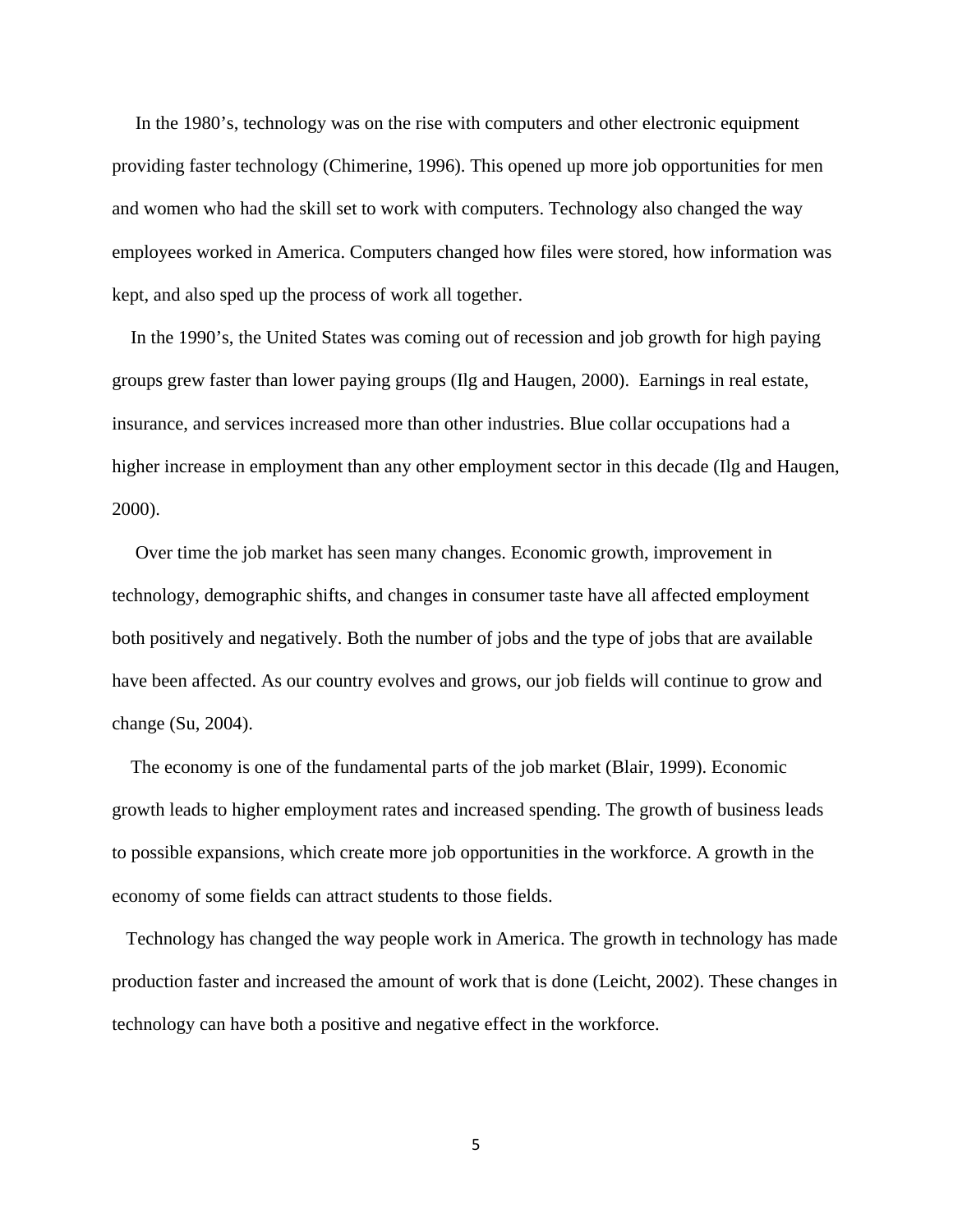In the 1980's, technology was on the rise with computers and other electronic equipment providing faster technology (Chimerine, 1996). This opened up more job opportunities for men and women who had the skill set to work with computers. Technology also changed the way employees worked in America. Computers changed how files were stored, how information was kept, and also sped up the process of work all together.

 In the 1990's, the United States was coming out of recession and job growth for high paying groups grew faster than lower paying groups (Ilg and Haugen, 2000). Earnings in real estate, insurance, and services increased more than other industries. Blue collar occupations had a higher increase in employment than any other employment sector in this decade (Ilg and Haugen, 2000).

 Over time the job market has seen many changes. Economic growth, improvement in technology, demographic shifts, and changes in consumer taste have all affected employment both positively and negatively. Both the number of jobs and the type of jobs that are available have been affected. As our country evolves and grows, our job fields will continue to grow and change (Su, 2004).

 The economy is one of the fundamental parts of the job market (Blair, 1999). Economic growth leads to higher employment rates and increased spending. The growth of business leads to possible expansions, which create more job opportunities in the workforce. A growth in the economy of some fields can attract students to those fields.

 Technology has changed the way people work in America. The growth in technology has made production faster and increased the amount of work that is done (Leicht, 2002). These changes in technology can have both a positive and negative effect in the workforce.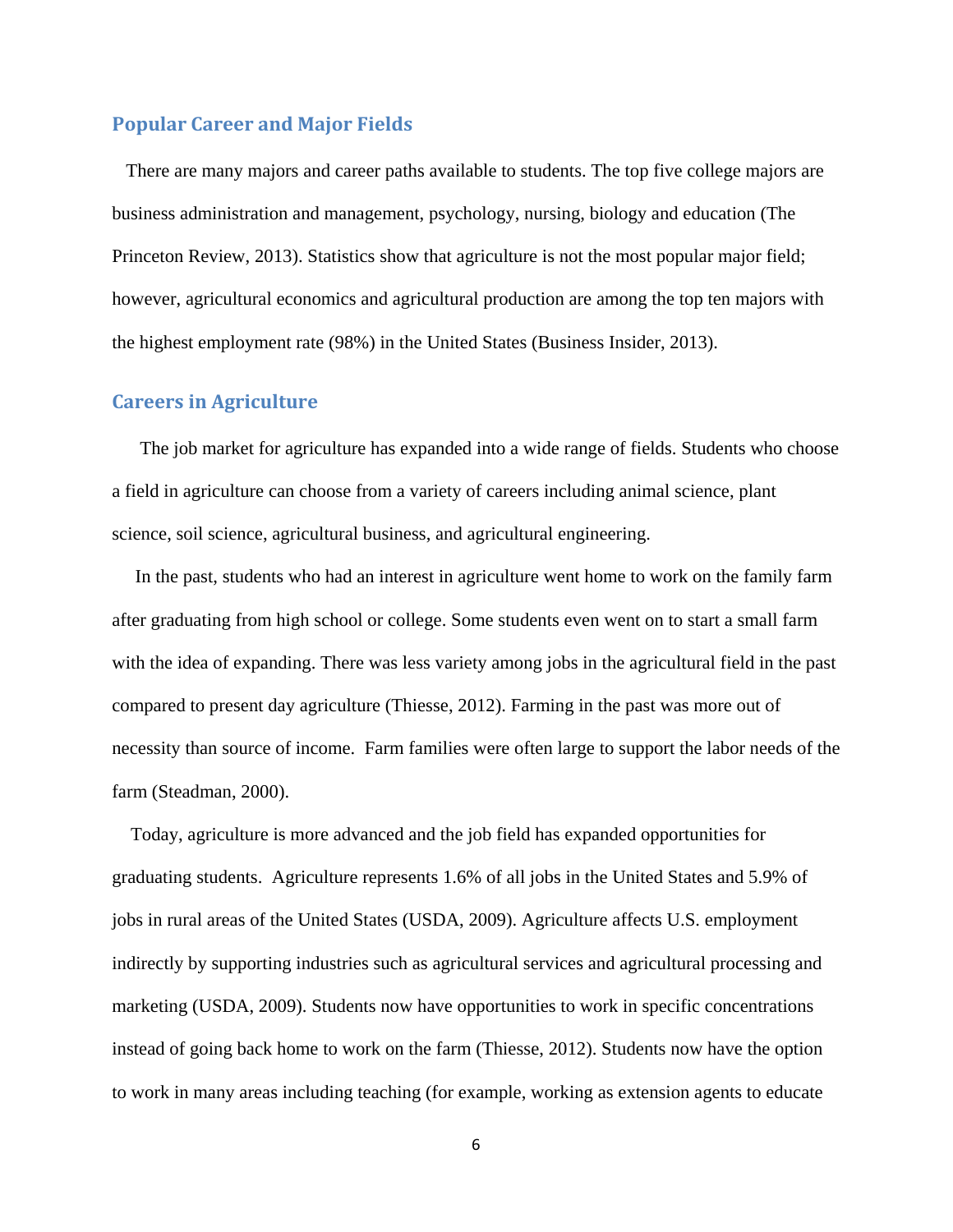## **Popular Career and Major Fields**

 There are many majors and career paths available to students. The top five college majors are business administration and management, psychology, nursing, biology and education (The Princeton Review, 2013). Statistics show that agriculture is not the most popular major field; however, agricultural economics and agricultural production are among the top ten majors with the highest employment rate (98%) in the United States (Business Insider, 2013).

## **Careers in Agriculture**

 The job market for agriculture has expanded into a wide range of fields. Students who choose a field in agriculture can choose from a variety of careers including animal science, plant science, soil science, agricultural business, and agricultural engineering.

 In the past, students who had an interest in agriculture went home to work on the family farm after graduating from high school or college. Some students even went on to start a small farm with the idea of expanding. There was less variety among jobs in the agricultural field in the past compared to present day agriculture (Thiesse, 2012). Farming in the past was more out of necessity than source of income. Farm families were often large to support the labor needs of the farm (Steadman, 2000).

 Today, agriculture is more advanced and the job field has expanded opportunities for graduating students. Agriculture represents 1.6% of all jobs in the United States and 5.9% of jobs in rural areas of the United States (USDA, 2009). Agriculture affects U.S. employment indirectly by supporting industries such as agricultural services and agricultural processing and marketing (USDA, 2009). Students now have opportunities to work in specific concentrations instead of going back home to work on the farm (Thiesse, 2012). Students now have the option to work in many areas including teaching (for example, working as extension agents to educate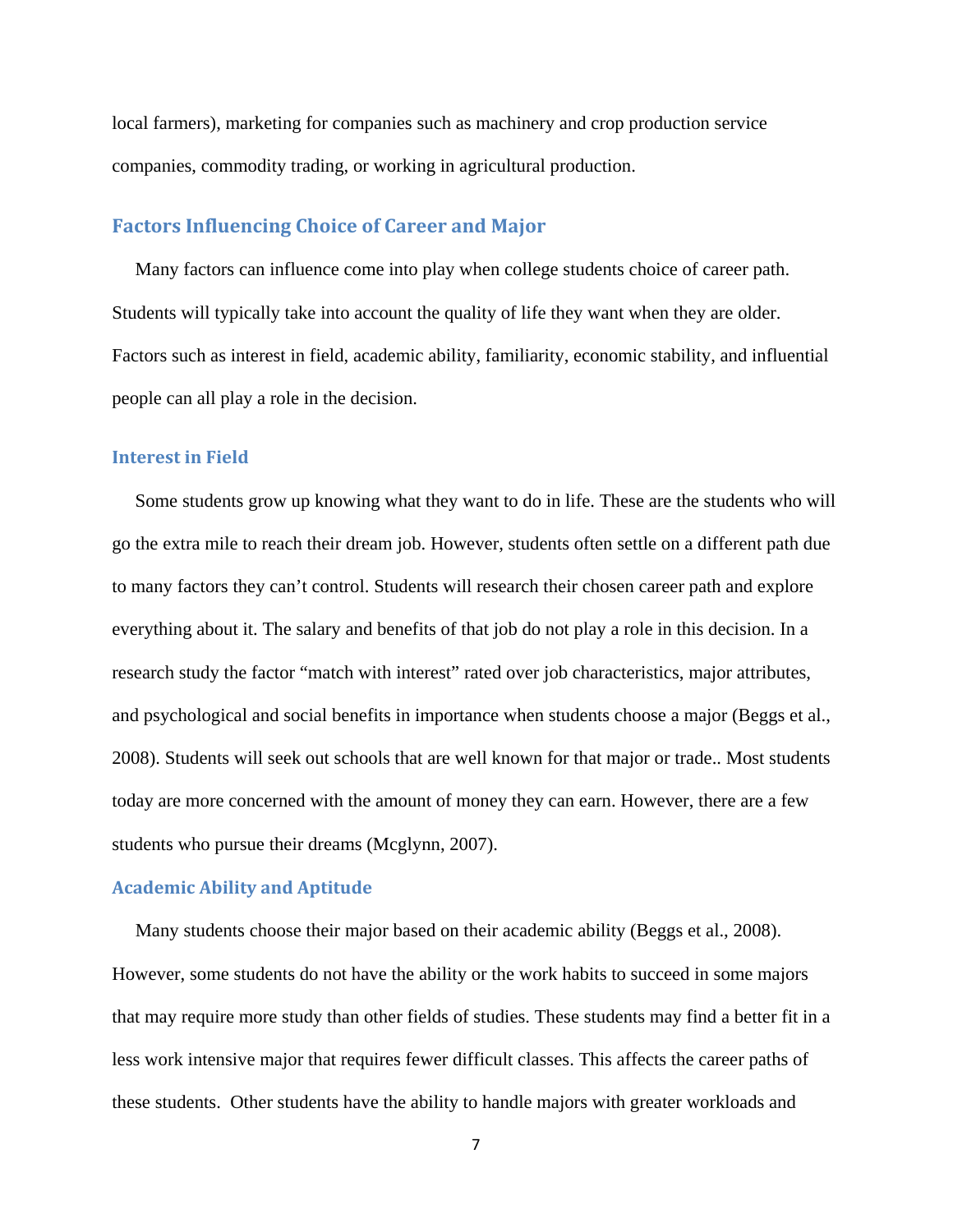local farmers), marketing for companies such as machinery and crop production service companies, commodity trading, or working in agricultural production.

# **Factors Influencing Choice of Career and Major**

 Many factors can influence come into play when college students choice of career path. Students will typically take into account the quality of life they want when they are older. Factors such as interest in field, academic ability, familiarity, economic stability, and influential people can all play a role in the decision.

#### **Interest in Field**

 Some students grow up knowing what they want to do in life. These are the students who will go the extra mile to reach their dream job. However, students often settle on a different path due to many factors they can't control. Students will research their chosen career path and explore everything about it. The salary and benefits of that job do not play a role in this decision. In a research study the factor "match with interest" rated over job characteristics, major attributes, and psychological and social benefits in importance when students choose a major (Beggs et al., 2008). Students will seek out schools that are well known for that major or trade.. Most students today are more concerned with the amount of money they can earn. However, there are a few students who pursue their dreams (Mcglynn, 2007).

#### **Academic Ability and Aptitude**

 Many students choose their major based on their academic ability (Beggs et al., 2008). However, some students do not have the ability or the work habits to succeed in some majors that may require more study than other fields of studies. These students may find a better fit in a less work intensive major that requires fewer difficult classes. This affects the career paths of these students. Other students have the ability to handle majors with greater workloads and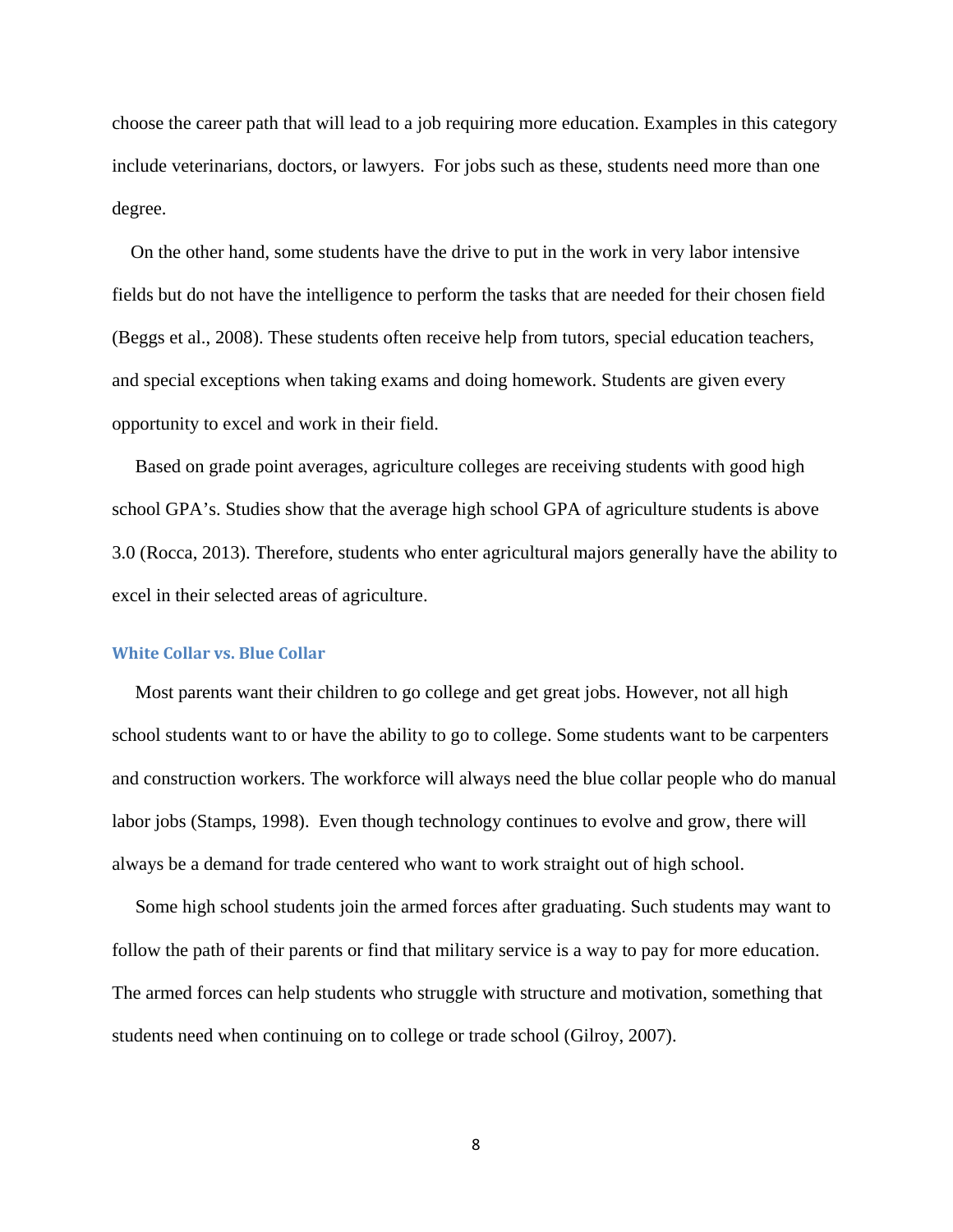choose the career path that will lead to a job requiring more education. Examples in this category include veterinarians, doctors, or lawyers. For jobs such as these, students need more than one degree.

 On the other hand, some students have the drive to put in the work in very labor intensive fields but do not have the intelligence to perform the tasks that are needed for their chosen field (Beggs et al., 2008). These students often receive help from tutors, special education teachers, and special exceptions when taking exams and doing homework. Students are given every opportunity to excel and work in their field.

 Based on grade point averages, agriculture colleges are receiving students with good high school GPA's. Studies show that the average high school GPA of agriculture students is above 3.0 (Rocca, 2013). Therefore, students who enter agricultural majors generally have the ability to excel in their selected areas of agriculture.

#### **White Collar vs. Blue Collar**

 Most parents want their children to go college and get great jobs. However, not all high school students want to or have the ability to go to college. Some students want to be carpenters and construction workers. The workforce will always need the blue collar people who do manual labor jobs (Stamps, 1998). Even though technology continues to evolve and grow, there will always be a demand for trade centered who want to work straight out of high school.

 Some high school students join the armed forces after graduating. Such students may want to follow the path of their parents or find that military service is a way to pay for more education. The armed forces can help students who struggle with structure and motivation, something that students need when continuing on to college or trade school (Gilroy, 2007).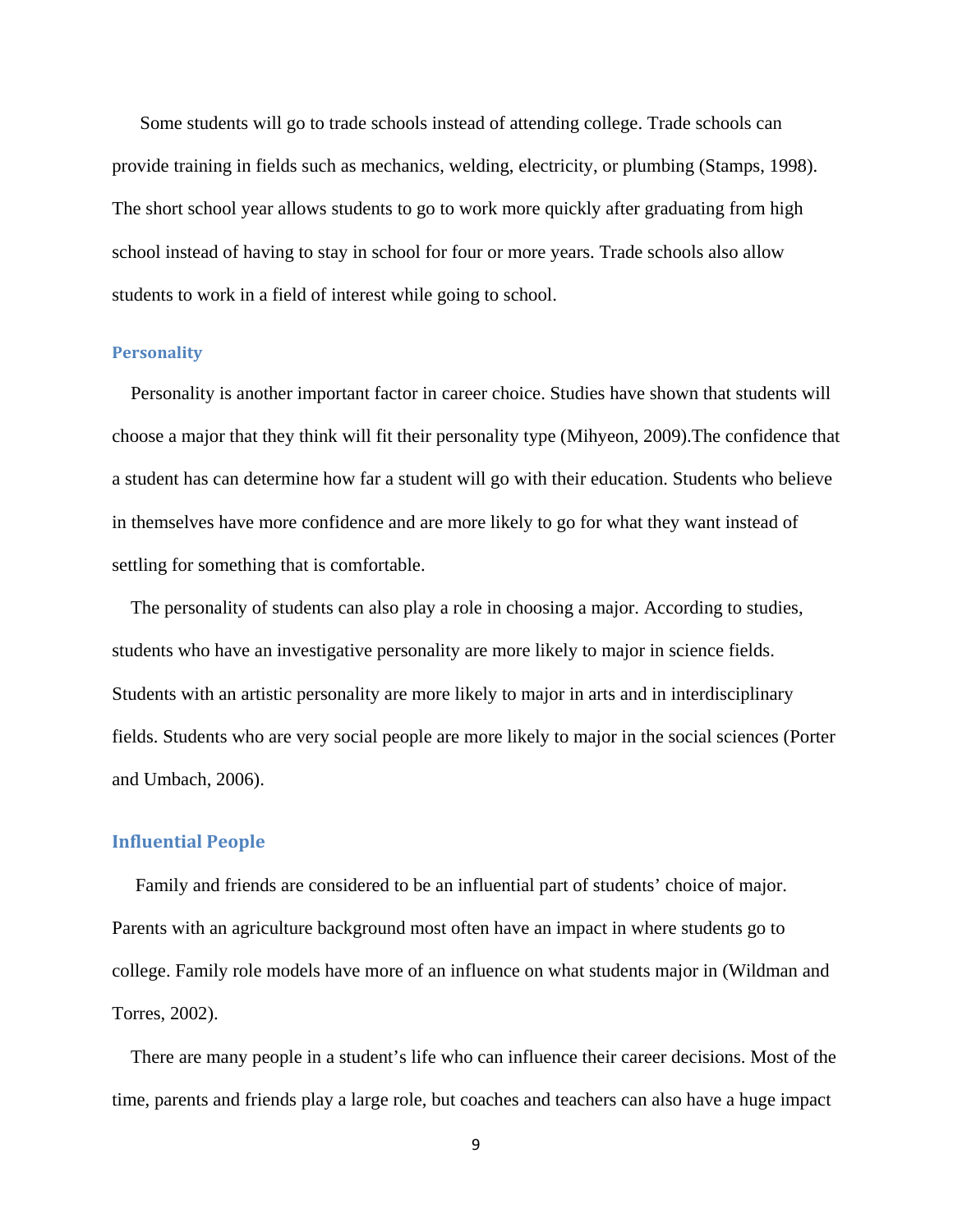Some students will go to trade schools instead of attending college. Trade schools can provide training in fields such as mechanics, welding, electricity, or plumbing (Stamps, 1998). The short school year allows students to go to work more quickly after graduating from high school instead of having to stay in school for four or more years. Trade schools also allow students to work in a field of interest while going to school.

#### **Personality**

 Personality is another important factor in career choice. Studies have shown that students will choose a major that they think will fit their personality type (Mihyeon, 2009).The confidence that a student has can determine how far a student will go with their education. Students who believe in themselves have more confidence and are more likely to go for what they want instead of settling for something that is comfortable.

 The personality of students can also play a role in choosing a major. According to studies, students who have an investigative personality are more likely to major in science fields. Students with an artistic personality are more likely to major in arts and in interdisciplinary fields. Students who are very social people are more likely to major in the social sciences (Porter and Umbach, 2006).

#### **Influential People**

 Family and friends are considered to be an influential part of students' choice of major. Parents with an agriculture background most often have an impact in where students go to college. Family role models have more of an influence on what students major in (Wildman and Torres, 2002).

 There are many people in a student's life who can influence their career decisions. Most of the time, parents and friends play a large role, but coaches and teachers can also have a huge impact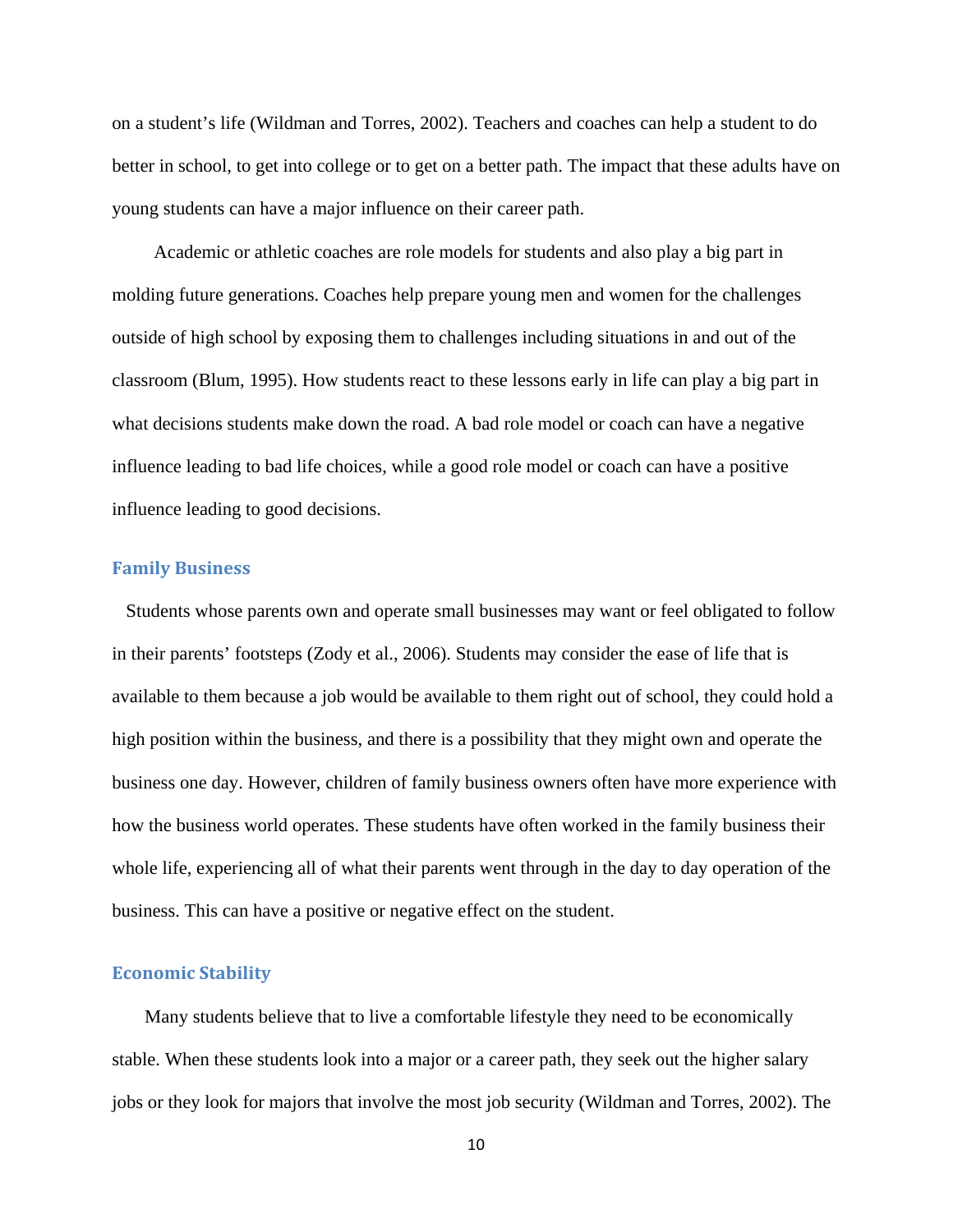on a student's life (Wildman and Torres, 2002). Teachers and coaches can help a student to do better in school, to get into college or to get on a better path. The impact that these adults have on young students can have a major influence on their career path.

 Academic or athletic coaches are role models for students and also play a big part in molding future generations. Coaches help prepare young men and women for the challenges outside of high school by exposing them to challenges including situations in and out of the classroom (Blum, 1995). How students react to these lessons early in life can play a big part in what decisions students make down the road. A bad role model or coach can have a negative influence leading to bad life choices, while a good role model or coach can have a positive influence leading to good decisions.

### **Family Business**

 Students whose parents own and operate small businesses may want or feel obligated to follow in their parents' footsteps (Zody et al., 2006). Students may consider the ease of life that is available to them because a job would be available to them right out of school, they could hold a high position within the business, and there is a possibility that they might own and operate the business one day. However, children of family business owners often have more experience with how the business world operates. These students have often worked in the family business their whole life, experiencing all of what their parents went through in the day to day operation of the business. This can have a positive or negative effect on the student.

### **Economic Stability**

 Many students believe that to live a comfortable lifestyle they need to be economically stable. When these students look into a major or a career path, they seek out the higher salary jobs or they look for majors that involve the most job security (Wildman and Torres, 2002). The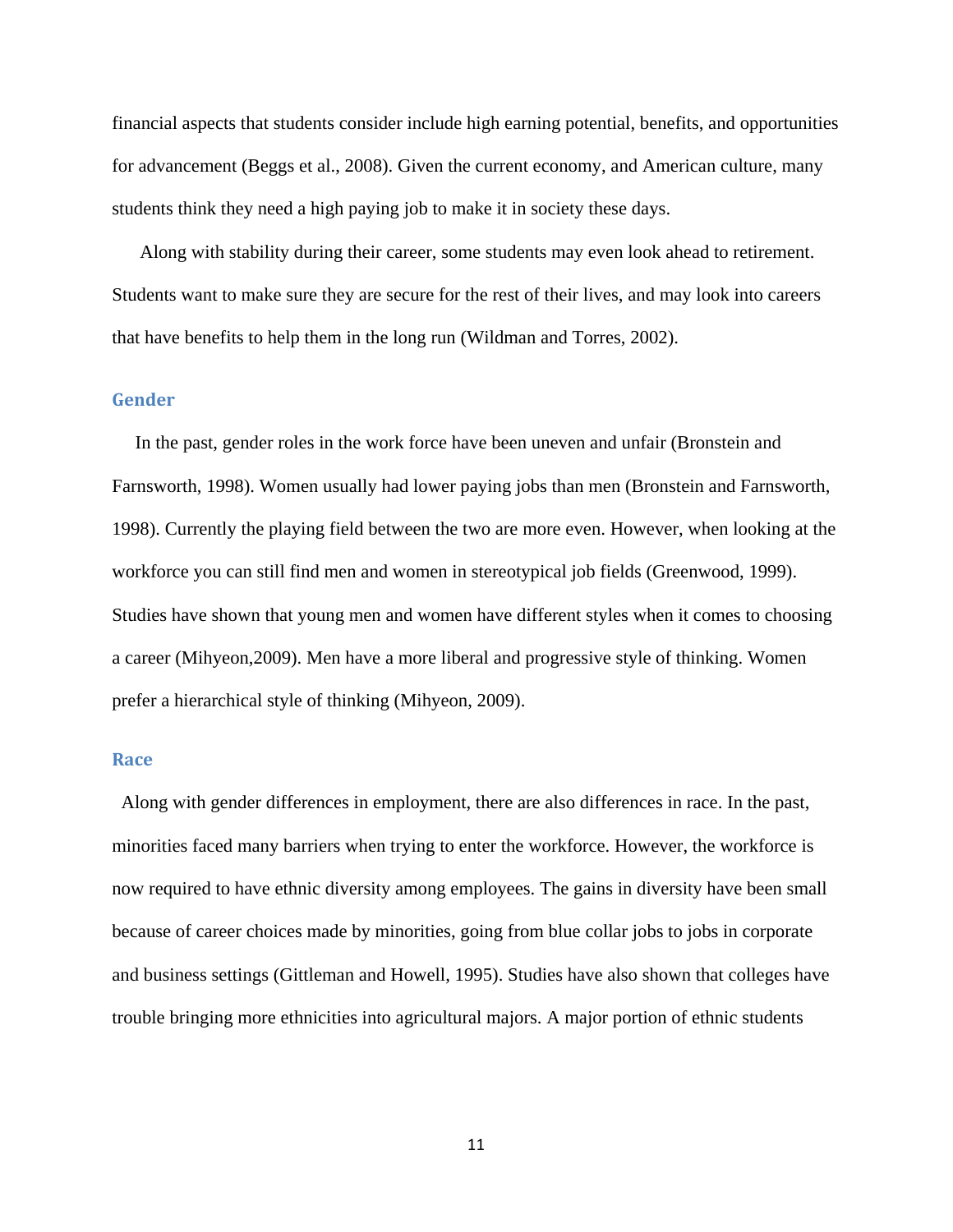financial aspects that students consider include high earning potential, benefits, and opportunities for advancement (Beggs et al., 2008). Given the current economy, and American culture, many students think they need a high paying job to make it in society these days.

 Along with stability during their career, some students may even look ahead to retirement. Students want to make sure they are secure for the rest of their lives, and may look into careers that have benefits to help them in the long run (Wildman and Torres, 2002).

#### **Gender**

 In the past, gender roles in the work force have been uneven and unfair (Bronstein and Farnsworth, 1998). Women usually had lower paying jobs than men (Bronstein and Farnsworth, 1998). Currently the playing field between the two are more even. However, when looking at the workforce you can still find men and women in stereotypical job fields (Greenwood, 1999). Studies have shown that young men and women have different styles when it comes to choosing a career (Mihyeon,2009). Men have a more liberal and progressive style of thinking. Women prefer a hierarchical style of thinking (Mihyeon, 2009).

#### **Race**

 Along with gender differences in employment, there are also differences in race. In the past, minorities faced many barriers when trying to enter the workforce. However, the workforce is now required to have ethnic diversity among employees. The gains in diversity have been small because of career choices made by minorities, going from blue collar jobs to jobs in corporate and business settings (Gittleman and Howell, 1995). Studies have also shown that colleges have trouble bringing more ethnicities into agricultural majors. A major portion of ethnic students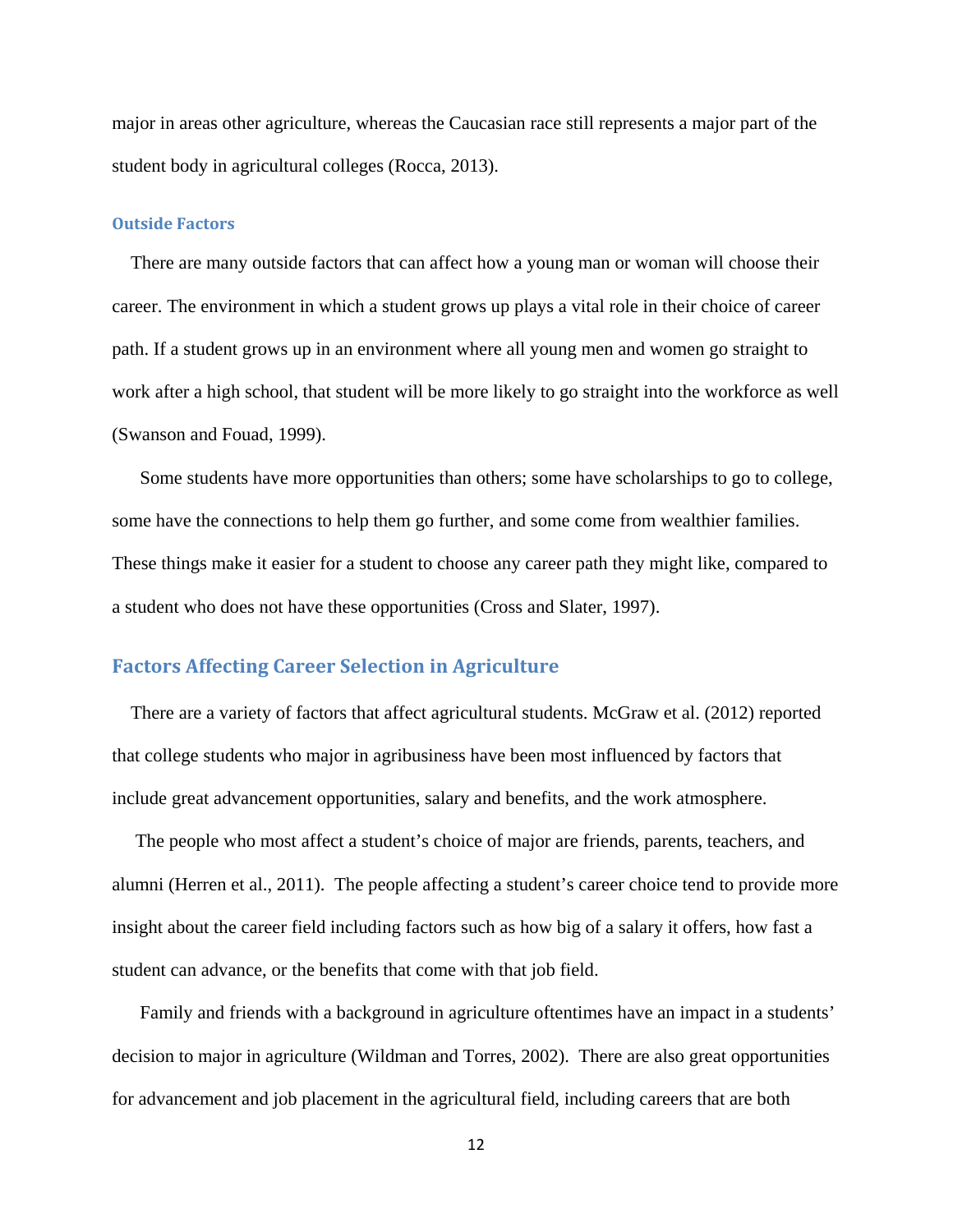major in areas other agriculture, whereas the Caucasian race still represents a major part of the student body in agricultural colleges (Rocca, 2013).

#### **Outside Factors**

 There are many outside factors that can affect how a young man or woman will choose their career. The environment in which a student grows up plays a vital role in their choice of career path. If a student grows up in an environment where all young men and women go straight to work after a high school, that student will be more likely to go straight into the workforce as well (Swanson and Fouad, 1999).

 Some students have more opportunities than others; some have scholarships to go to college, some have the connections to help them go further, and some come from wealthier families. These things make it easier for a student to choose any career path they might like, compared to a student who does not have these opportunities (Cross and Slater, 1997).

## **Factors Affecting Career Selection in Agriculture**

 There are a variety of factors that affect agricultural students. McGraw et al. (2012) reported that college students who major in agribusiness have been most influenced by factors that include great advancement opportunities, salary and benefits, and the work atmosphere.

 The people who most affect a student's choice of major are friends, parents, teachers, and alumni (Herren et al., 2011). The people affecting a student's career choice tend to provide more insight about the career field including factors such as how big of a salary it offers, how fast a student can advance, or the benefits that come with that job field.

 Family and friends with a background in agriculture oftentimes have an impact in a students' decision to major in agriculture (Wildman and Torres, 2002). There are also great opportunities for advancement and job placement in the agricultural field, including careers that are both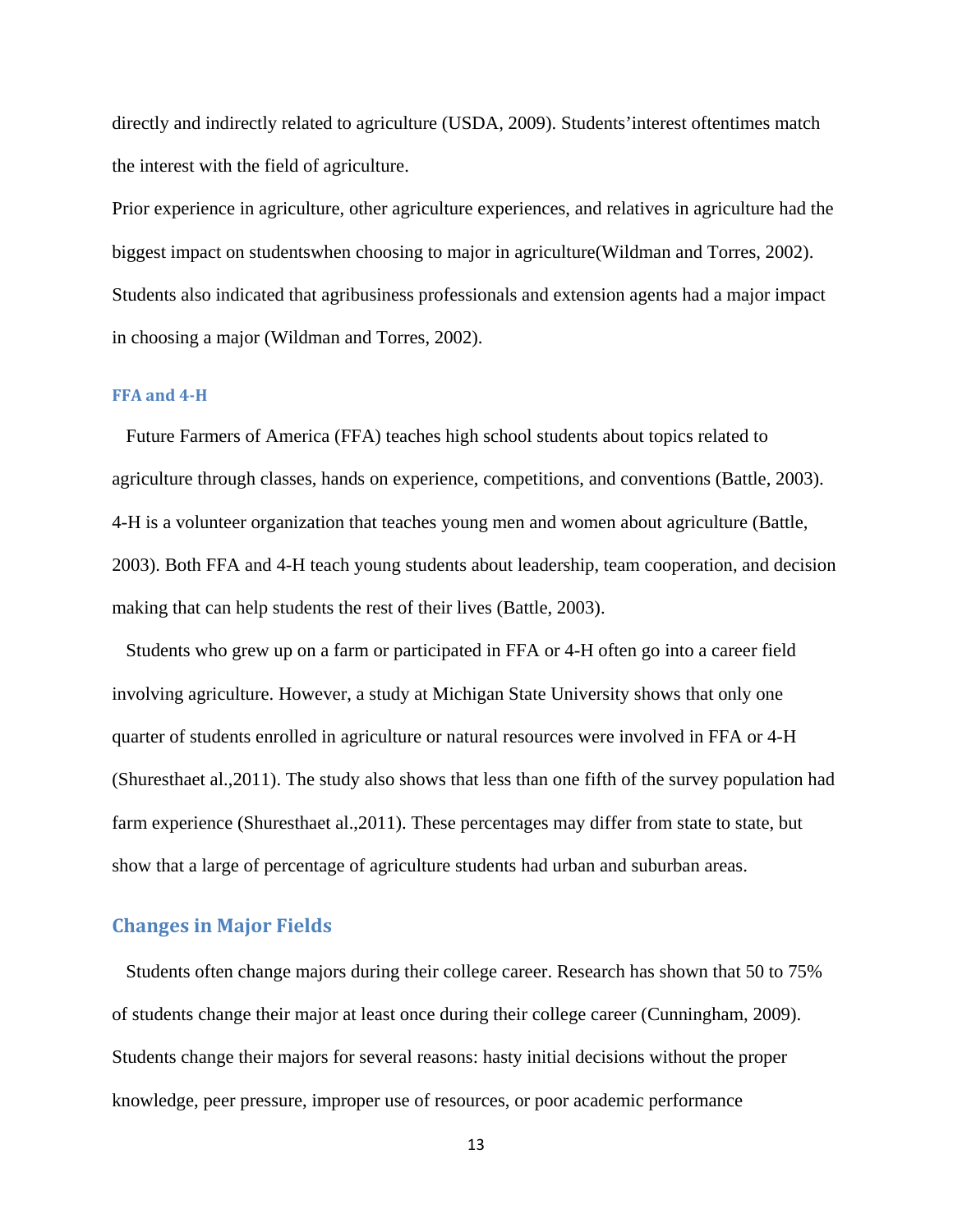directly and indirectly related to agriculture (USDA, 2009). Students'interest oftentimes match the interest with the field of agriculture.

Prior experience in agriculture, other agriculture experiences, and relatives in agriculture had the biggest impact on studentswhen choosing to major in agriculture(Wildman and Torres, 2002). Students also indicated that agribusiness professionals and extension agents had a major impact in choosing a major (Wildman and Torres, 2002).

#### **FFA and 4‐H**

 Future Farmers of America (FFA) teaches high school students about topics related to agriculture through classes, hands on experience, competitions, and conventions (Battle, 2003). 4-H is a volunteer organization that teaches young men and women about agriculture (Battle, 2003). Both FFA and 4-H teach young students about leadership, team cooperation, and decision making that can help students the rest of their lives (Battle, 2003).

 Students who grew up on a farm or participated in FFA or 4-H often go into a career field involving agriculture. However, a study at Michigan State University shows that only one quarter of students enrolled in agriculture or natural resources were involved in FFA or 4-H (Shuresthaet al.,2011). The study also shows that less than one fifth of the survey population had farm experience (Shuresthaet al.,2011). These percentages may differ from state to state, but show that a large of percentage of agriculture students had urban and suburban areas.

### **Changes in Major Fields**

 Students often change majors during their college career. Research has shown that 50 to 75% of students change their major at least once during their college career (Cunningham, 2009). Students change their majors for several reasons: hasty initial decisions without the proper knowledge, peer pressure, improper use of resources, or poor academic performance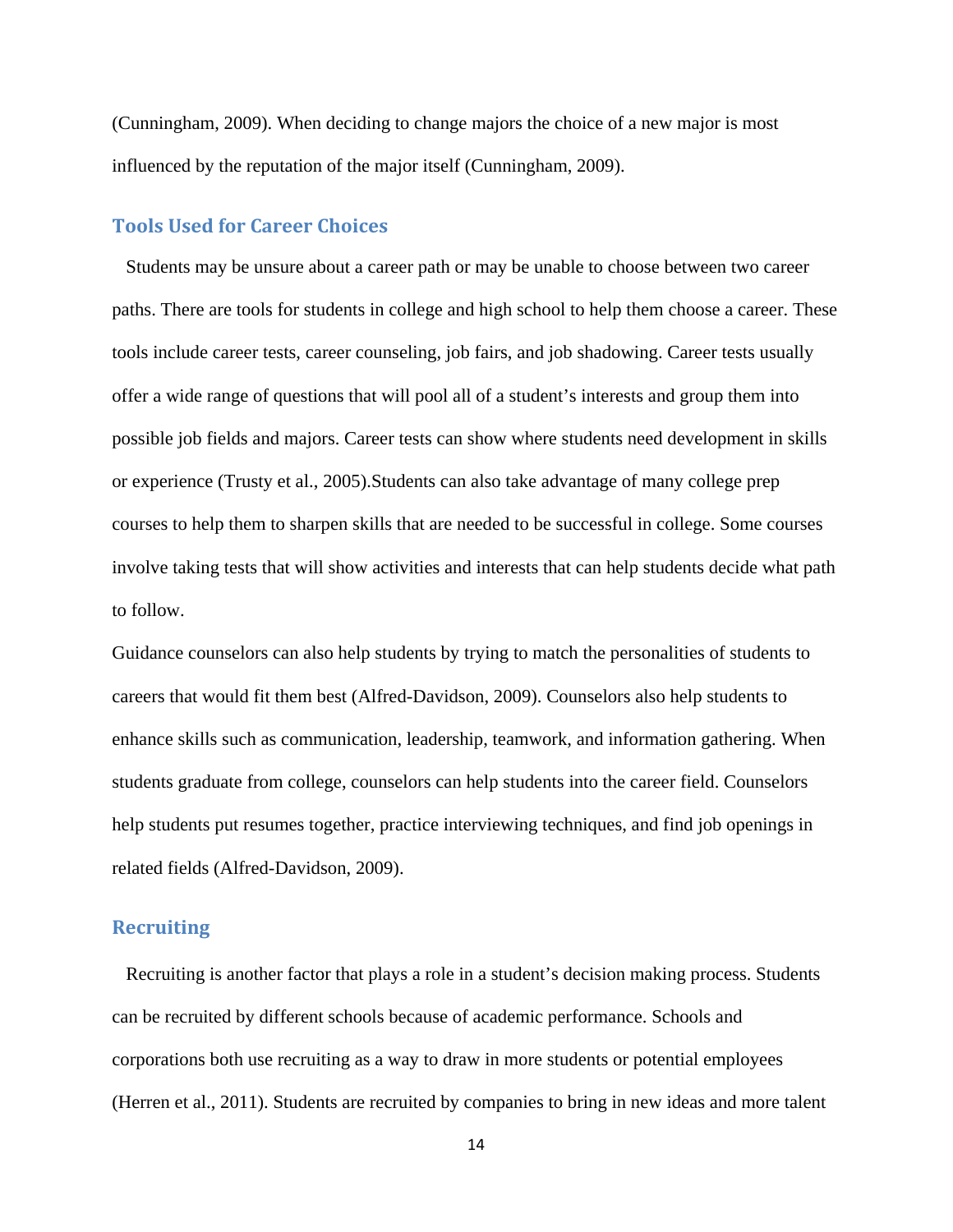(Cunningham, 2009). When deciding to change majors the choice of a new major is most influenced by the reputation of the major itself (Cunningham, 2009).

## **Tools Used for Career Choices**

 Students may be unsure about a career path or may be unable to choose between two career paths. There are tools for students in college and high school to help them choose a career. These tools include career tests, career counseling, job fairs, and job shadowing. Career tests usually offer a wide range of questions that will pool all of a student's interests and group them into possible job fields and majors. Career tests can show where students need development in skills or experience (Trusty et al., 2005).Students can also take advantage of many college prep courses to help them to sharpen skills that are needed to be successful in college. Some courses involve taking tests that will show activities and interests that can help students decide what path to follow.

Guidance counselors can also help students by trying to match the personalities of students to careers that would fit them best (Alfred-Davidson, 2009). Counselors also help students to enhance skills such as communication, leadership, teamwork, and information gathering. When students graduate from college, counselors can help students into the career field. Counselors help students put resumes together, practice interviewing techniques, and find job openings in related fields (Alfred-Davidson, 2009).

# **Recruiting**

 Recruiting is another factor that plays a role in a student's decision making process. Students can be recruited by different schools because of academic performance. Schools and corporations both use recruiting as a way to draw in more students or potential employees (Herren et al., 2011). Students are recruited by companies to bring in new ideas and more talent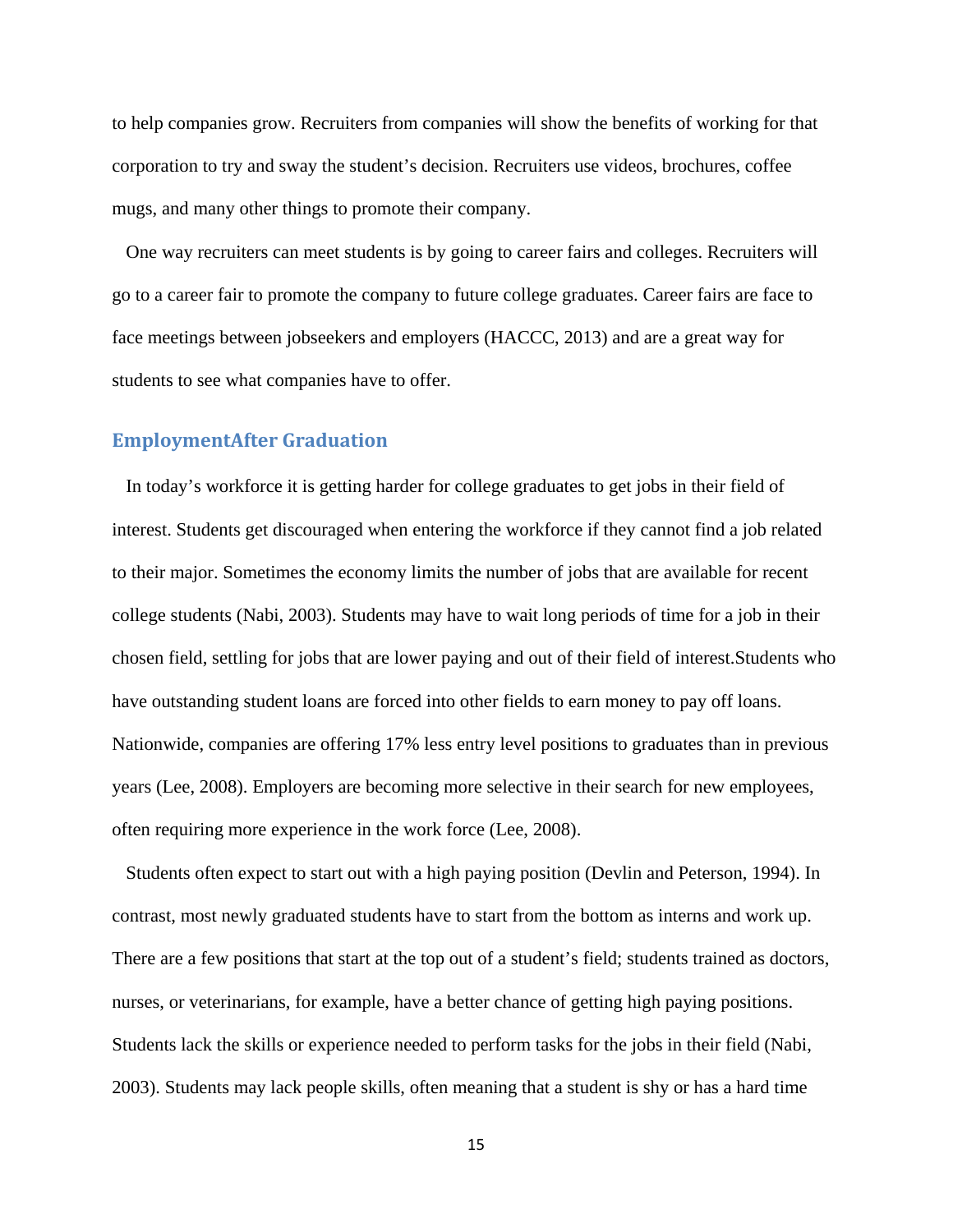to help companies grow. Recruiters from companies will show the benefits of working for that corporation to try and sway the student's decision. Recruiters use videos, brochures, coffee mugs, and many other things to promote their company.

 One way recruiters can meet students is by going to career fairs and colleges. Recruiters will go to a career fair to promote the company to future college graduates. Career fairs are face to face meetings between jobseekers and employers (HACCC, 2013) and are a great way for students to see what companies have to offer.

# **EmploymentAfter Graduation**

 In today's workforce it is getting harder for college graduates to get jobs in their field of interest. Students get discouraged when entering the workforce if they cannot find a job related to their major. Sometimes the economy limits the number of jobs that are available for recent college students (Nabi, 2003). Students may have to wait long periods of time for a job in their chosen field, settling for jobs that are lower paying and out of their field of interest.Students who have outstanding student loans are forced into other fields to earn money to pay off loans. Nationwide, companies are offering 17% less entry level positions to graduates than in previous years (Lee, 2008). Employers are becoming more selective in their search for new employees, often requiring more experience in the work force (Lee, 2008).

 Students often expect to start out with a high paying position (Devlin and Peterson, 1994). In contrast, most newly graduated students have to start from the bottom as interns and work up. There are a few positions that start at the top out of a student's field; students trained as doctors, nurses, or veterinarians, for example, have a better chance of getting high paying positions. Students lack the skills or experience needed to perform tasks for the jobs in their field (Nabi, 2003). Students may lack people skills, often meaning that a student is shy or has a hard time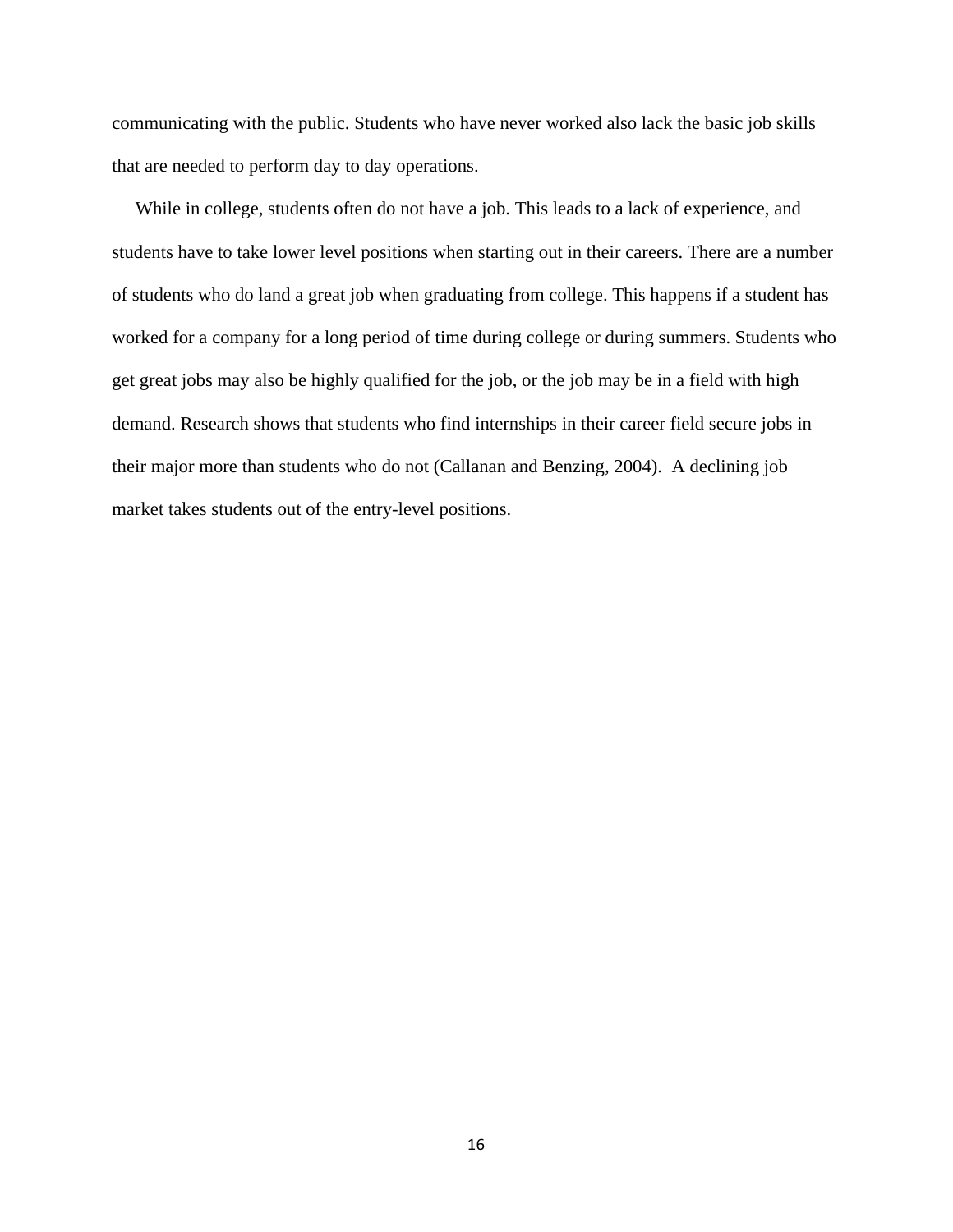communicating with the public. Students who have never worked also lack the basic job skills that are needed to perform day to day operations.

 While in college, students often do not have a job. This leads to a lack of experience, and students have to take lower level positions when starting out in their careers. There are a number of students who do land a great job when graduating from college. This happens if a student has worked for a company for a long period of time during college or during summers. Students who get great jobs may also be highly qualified for the job, or the job may be in a field with high demand. Research shows that students who find internships in their career field secure jobs in their major more than students who do not (Callanan and Benzing, 2004). A declining job market takes students out of the entry-level positions.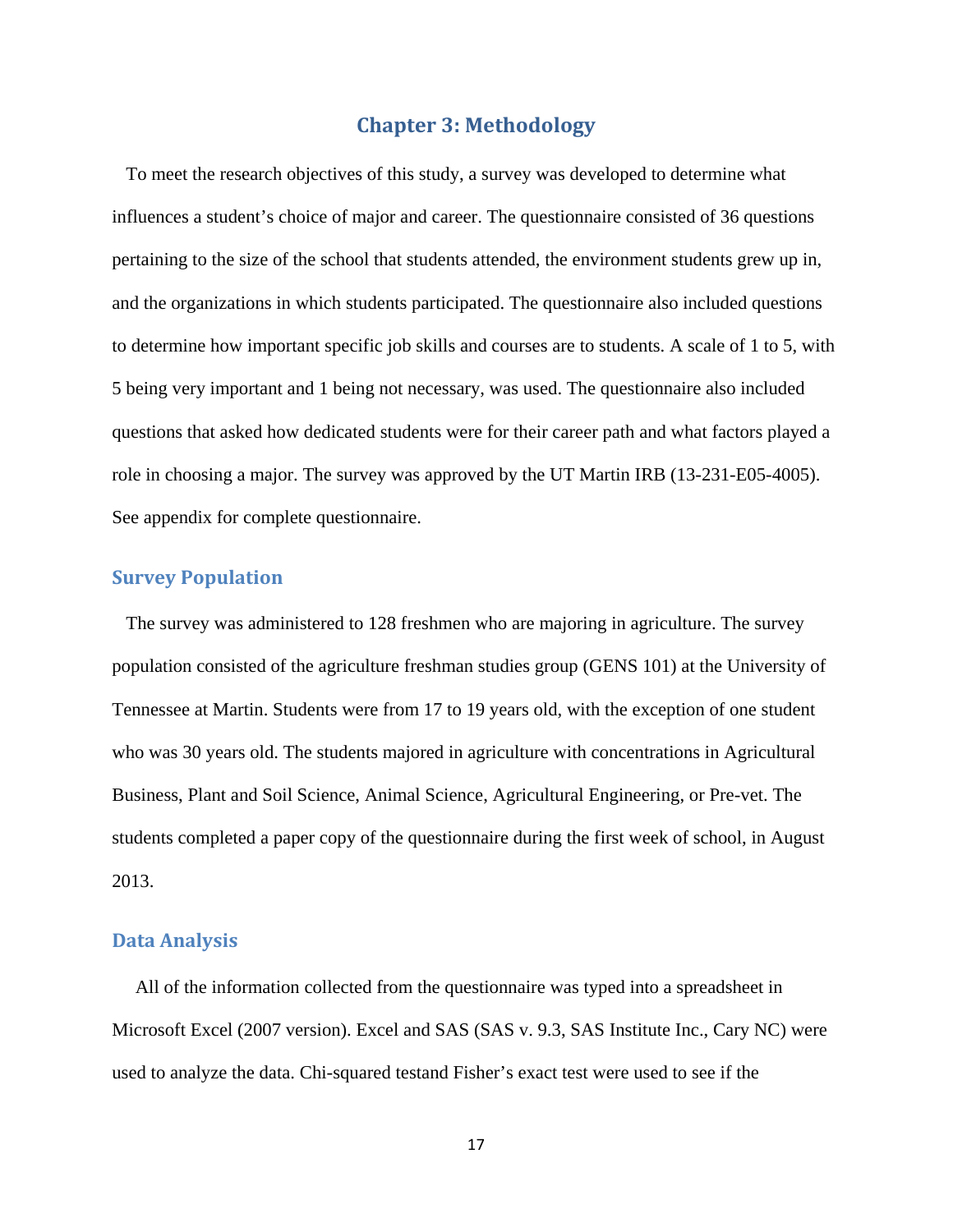# **Chapter 3: Methodology**

 To meet the research objectives of this study, a survey was developed to determine what influences a student's choice of major and career. The questionnaire consisted of 36 questions pertaining to the size of the school that students attended, the environment students grew up in, and the organizations in which students participated. The questionnaire also included questions to determine how important specific job skills and courses are to students. A scale of 1 to 5, with 5 being very important and 1 being not necessary, was used. The questionnaire also included questions that asked how dedicated students were for their career path and what factors played a role in choosing a major. The survey was approved by the UT Martin IRB (13-231-E05-4005). See appendix for complete questionnaire.

# **Survey Population**

 The survey was administered to 128 freshmen who are majoring in agriculture. The survey population consisted of the agriculture freshman studies group (GENS 101) at the University of Tennessee at Martin. Students were from 17 to 19 years old, with the exception of one student who was 30 years old. The students majored in agriculture with concentrations in Agricultural Business, Plant and Soil Science, Animal Science, Agricultural Engineering, or Pre-vet. The students completed a paper copy of the questionnaire during the first week of school, in August 2013.

#### **Data Analysis**

 All of the information collected from the questionnaire was typed into a spreadsheet in Microsoft Excel (2007 version). Excel and SAS (SAS v. 9.3, SAS Institute Inc., Cary NC) were used to analyze the data. Chi-squared testand Fisher's exact test were used to see if the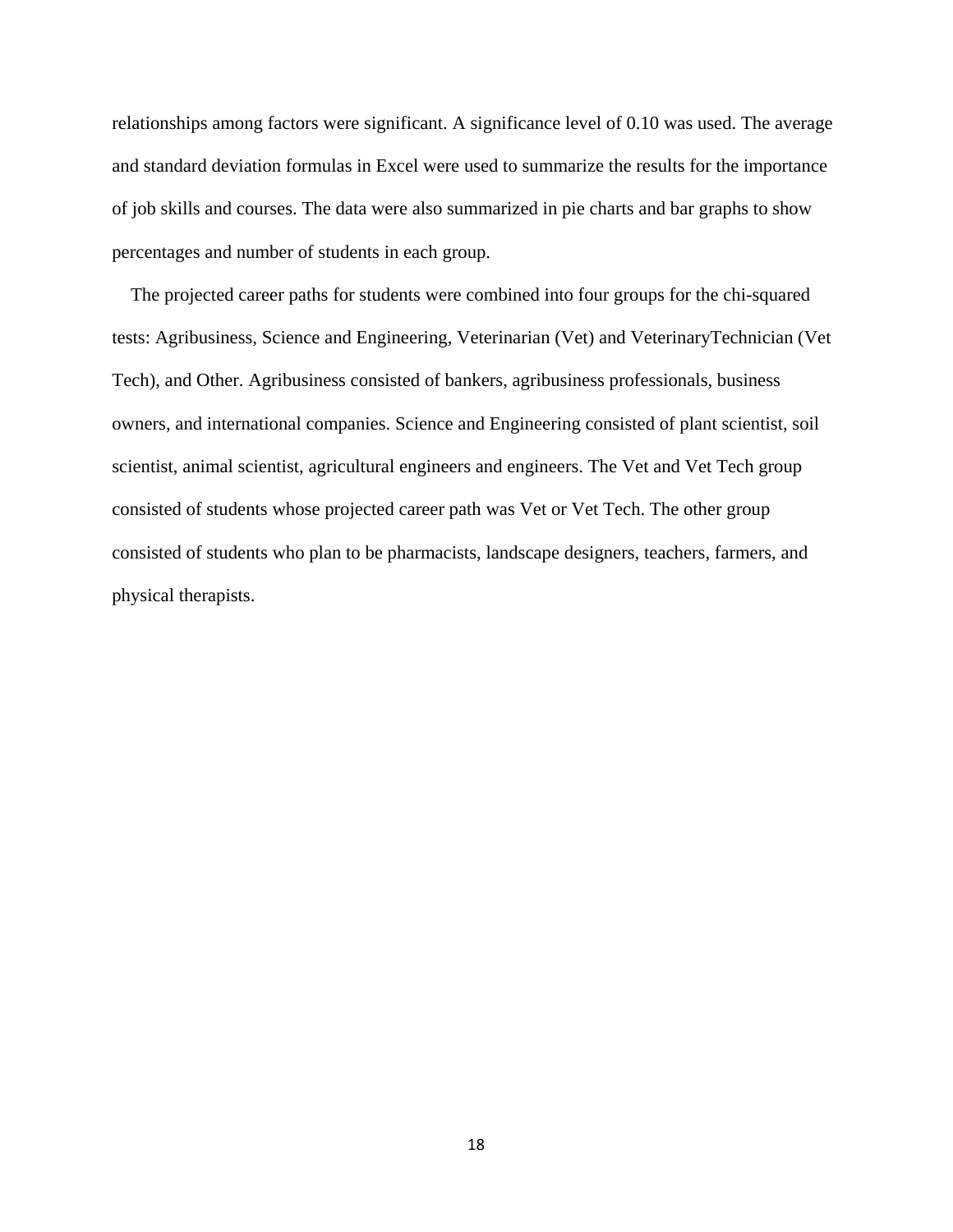relationships among factors were significant. A significance level of 0.10 was used. The average and standard deviation formulas in Excel were used to summarize the results for the importance of job skills and courses. The data were also summarized in pie charts and bar graphs to show percentages and number of students in each group.

 The projected career paths for students were combined into four groups for the chi-squared tests: Agribusiness, Science and Engineering, Veterinarian (Vet) and VeterinaryTechnician (Vet Tech), and Other. Agribusiness consisted of bankers, agribusiness professionals, business owners, and international companies. Science and Engineering consisted of plant scientist, soil scientist, animal scientist, agricultural engineers and engineers. The Vet and Vet Tech group consisted of students whose projected career path was Vet or Vet Tech. The other group consisted of students who plan to be pharmacists, landscape designers, teachers, farmers, and physical therapists.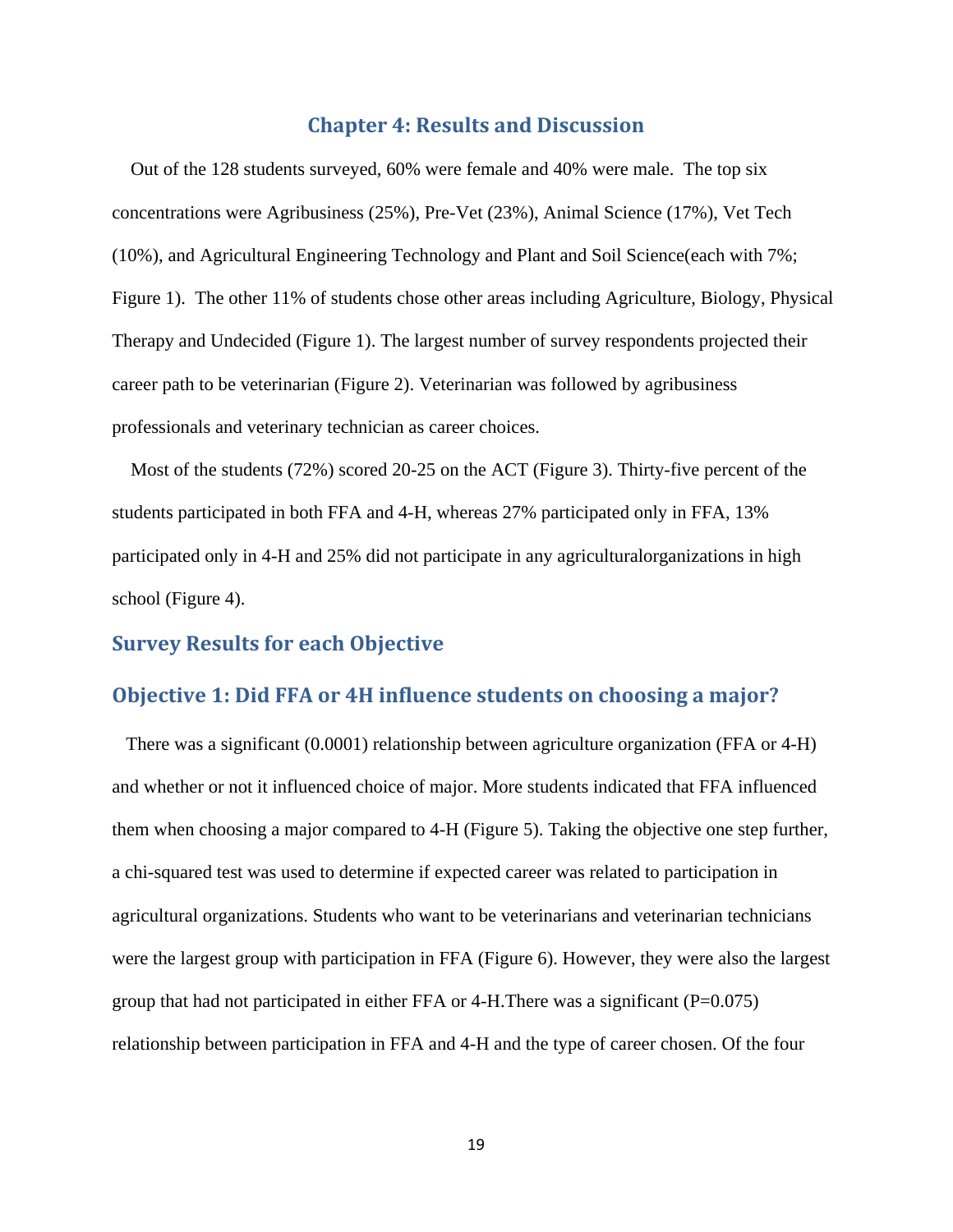# **Chapter 4: Results and Discussion**

 Out of the 128 students surveyed, 60% were female and 40% were male. The top six concentrations were Agribusiness (25%), Pre-Vet (23%), Animal Science (17%), Vet Tech (10%), and Agricultural Engineering Technology and Plant and Soil Science(each with 7%; Figure 1). The other 11% of students chose other areas including Agriculture, Biology, Physical Therapy and Undecided (Figure 1). The largest number of survey respondents projected their career path to be veterinarian (Figure 2). Veterinarian was followed by agribusiness professionals and veterinary technician as career choices.

 Most of the students (72%) scored 20-25 on the ACT (Figure 3). Thirty-five percent of the students participated in both FFA and 4-H, whereas 27% participated only in FFA, 13% participated only in 4-H and 25% did not participate in any agriculturalorganizations in high school (Figure 4).

# **Survey Results for each Objective**

# **Objective 1: Did FFA or 4H influence students on choosing a major?**

 There was a significant (0.0001) relationship between agriculture organization (FFA or 4-H) and whether or not it influenced choice of major. More students indicated that FFA influenced them when choosing a major compared to 4-H (Figure 5). Taking the objective one step further, a chi-squared test was used to determine if expected career was related to participation in agricultural organizations. Students who want to be veterinarians and veterinarian technicians were the largest group with participation in FFA (Figure 6). However, they were also the largest group that had not participated in either FFA or 4-H. There was a significant ( $P=0.075$ ) relationship between participation in FFA and 4-H and the type of career chosen. Of the four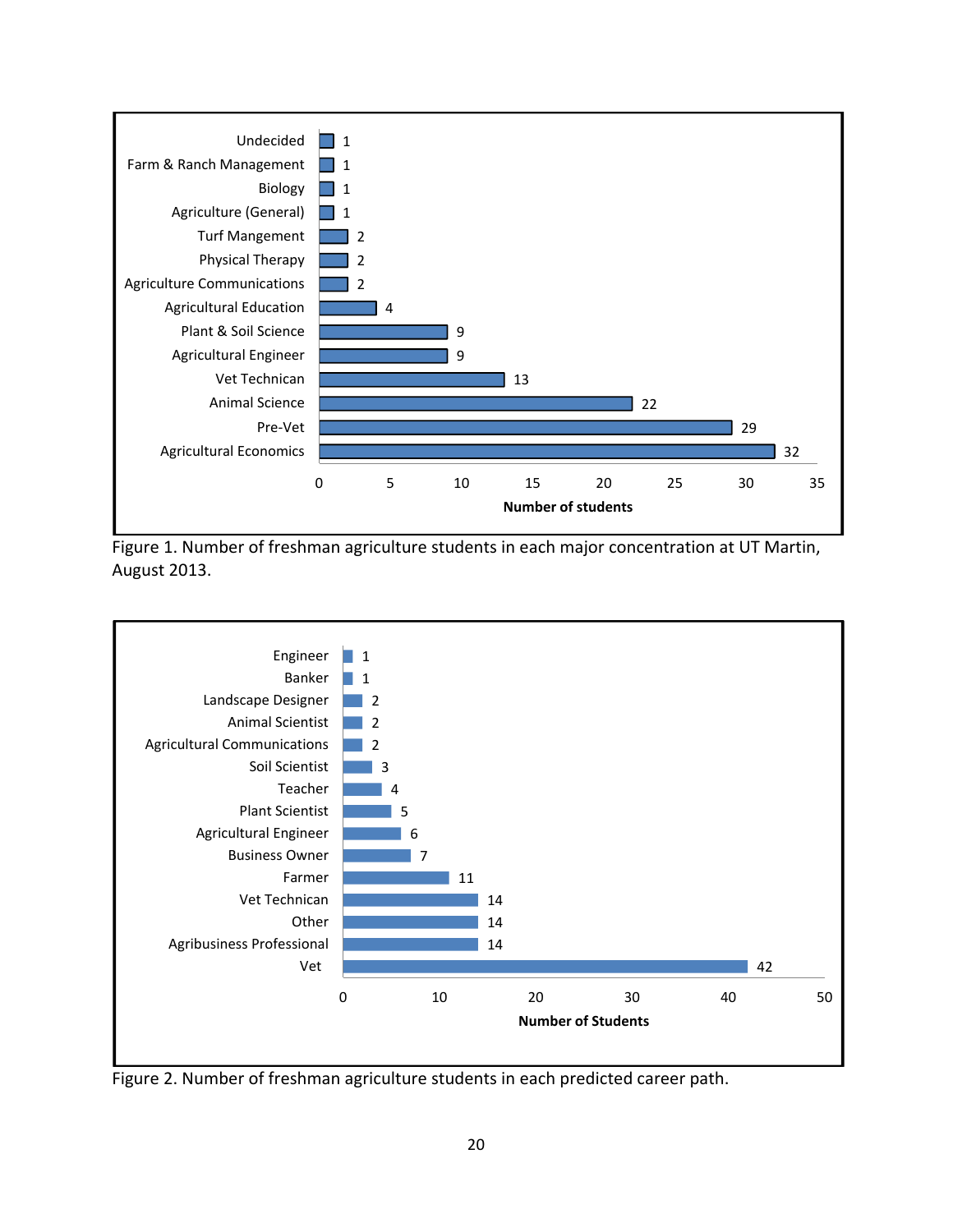

Figure 1. Number of freshman agriculture students in each major concentration at UT Martin, August 2013.



Figure 2. Number of freshman agriculture students in each predicted career path.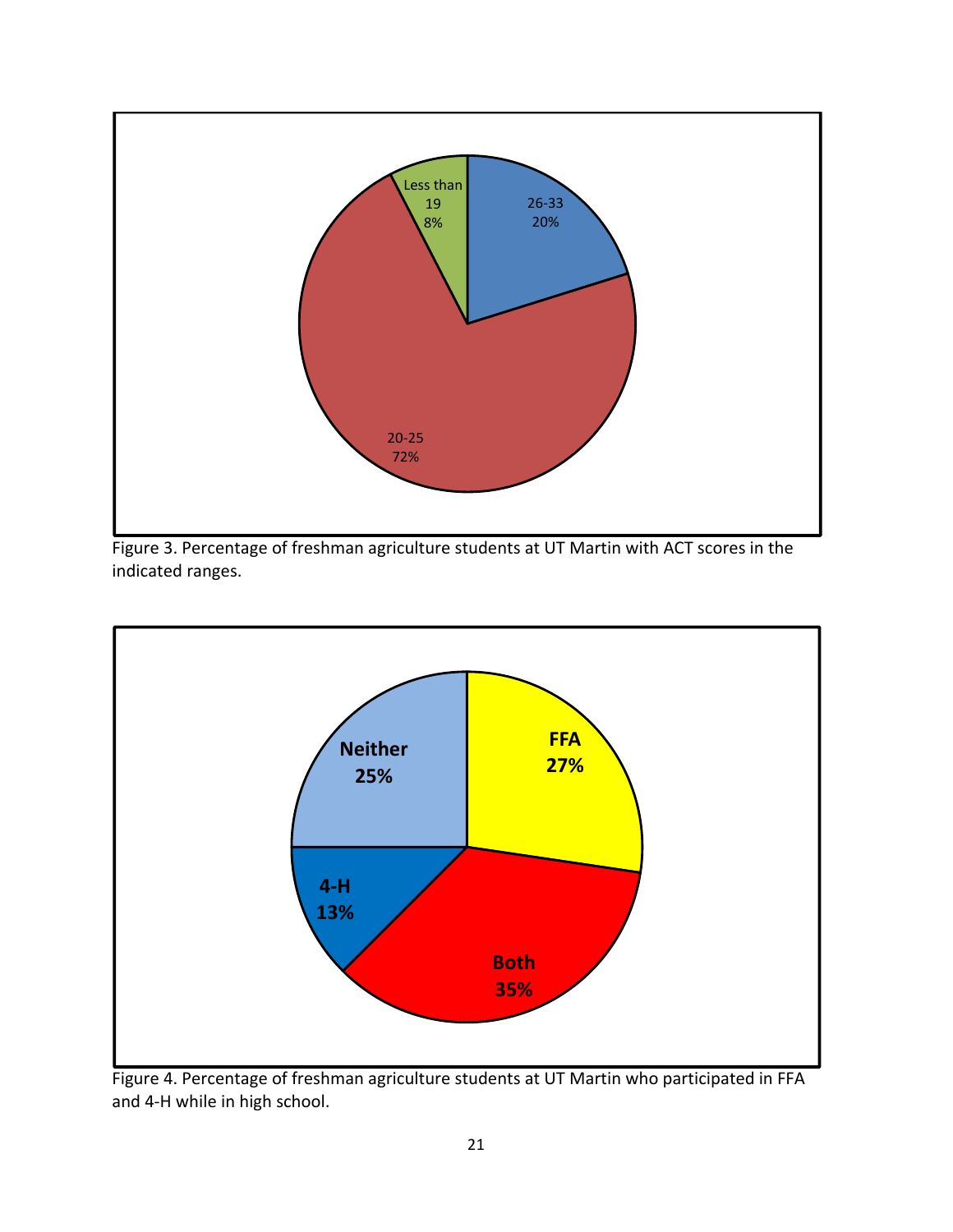





Figure 4. Percentage of freshman agriculture students at UT Martin who participated in FFA and 4‐H while in high school.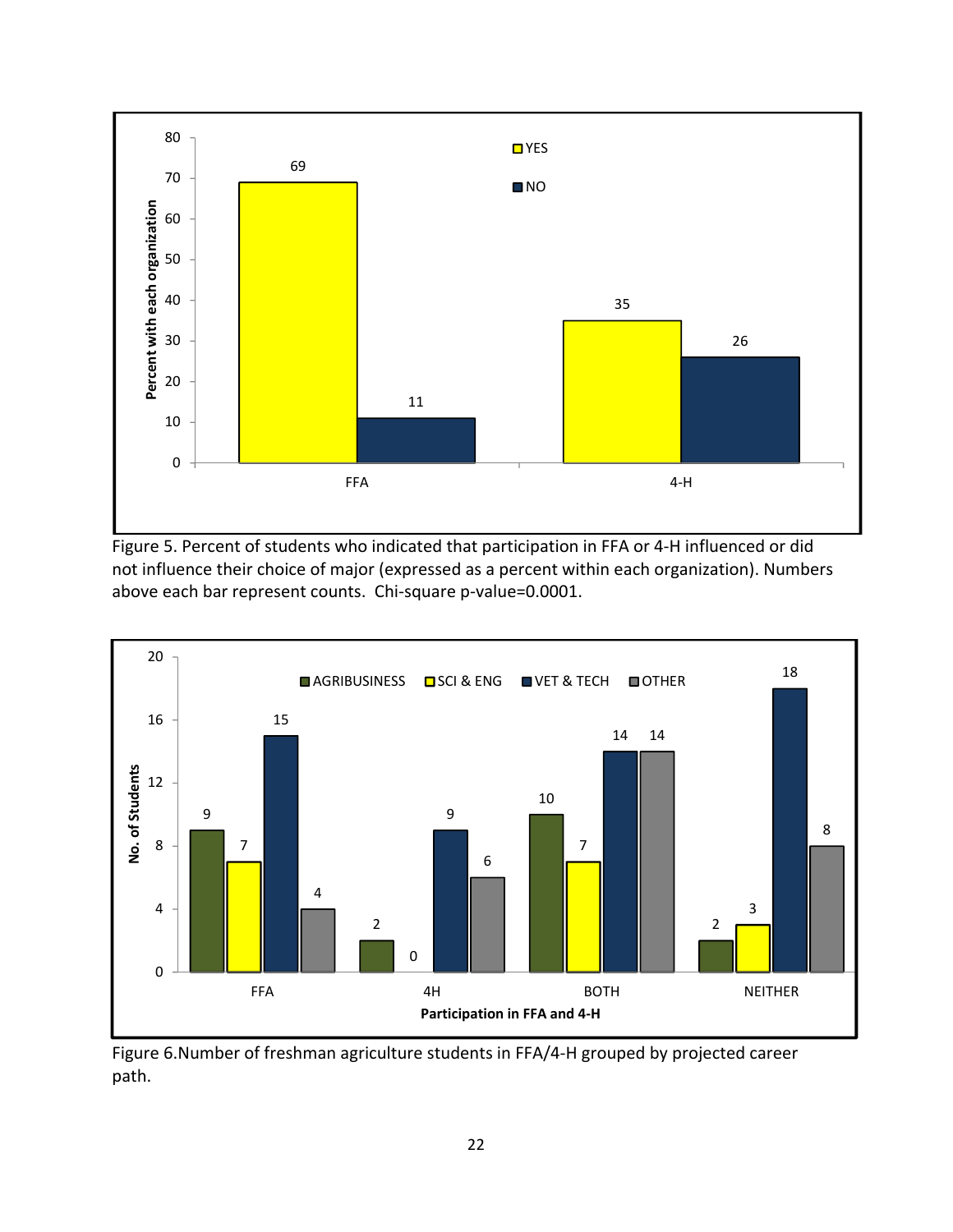

Figure 5. Percent of students who indicated that participation in FFA or 4-H influenced or did not influence their choice of major (expressed as a percent within each organization). Numbers above each bar represent counts. Chi‐square p‐value=0.0001.



Figure 6.Number of freshman agriculture students in FFA/4‐H grouped by projected career path.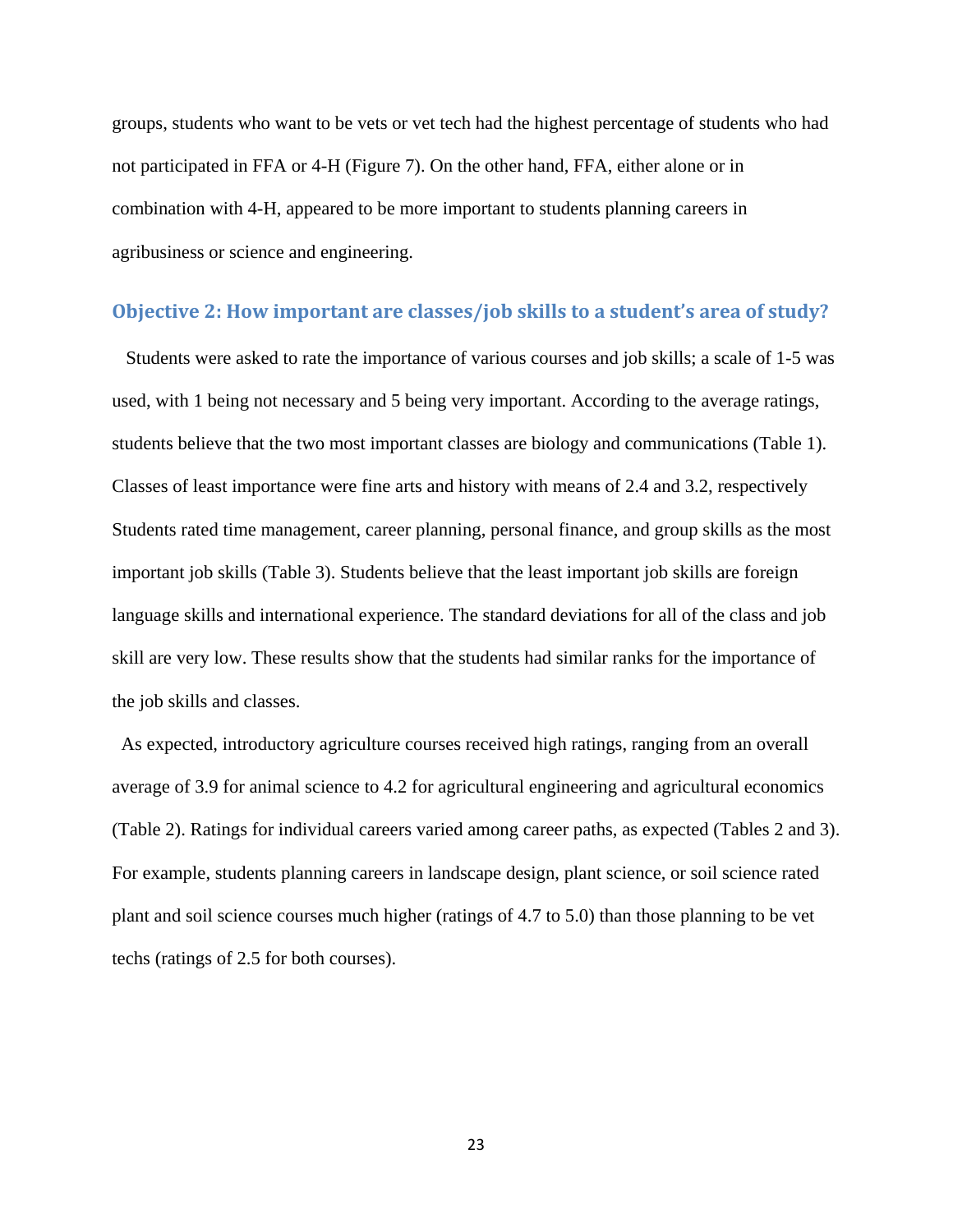groups, students who want to be vets or vet tech had the highest percentage of students who had not participated in FFA or 4-H (Figure 7). On the other hand, FFA, either alone or in combination with 4-H, appeared to be more important to students planning careers in agribusiness or science and engineering.

### **Objective 2: How important are classes/job skills to a student's area of study?**

 Students were asked to rate the importance of various courses and job skills; a scale of 1-5 was used, with 1 being not necessary and 5 being very important. According to the average ratings, students believe that the two most important classes are biology and communications (Table 1). Classes of least importance were fine arts and history with means of 2.4 and 3.2, respectively Students rated time management, career planning, personal finance, and group skills as the most important job skills (Table 3). Students believe that the least important job skills are foreign language skills and international experience. The standard deviations for all of the class and job skill are very low. These results show that the students had similar ranks for the importance of the job skills and classes.

 As expected, introductory agriculture courses received high ratings, ranging from an overall average of 3.9 for animal science to 4.2 for agricultural engineering and agricultural economics (Table 2). Ratings for individual careers varied among career paths, as expected (Tables 2 and 3). For example, students planning careers in landscape design, plant science, or soil science rated plant and soil science courses much higher (ratings of 4.7 to 5.0) than those planning to be vet techs (ratings of 2.5 for both courses).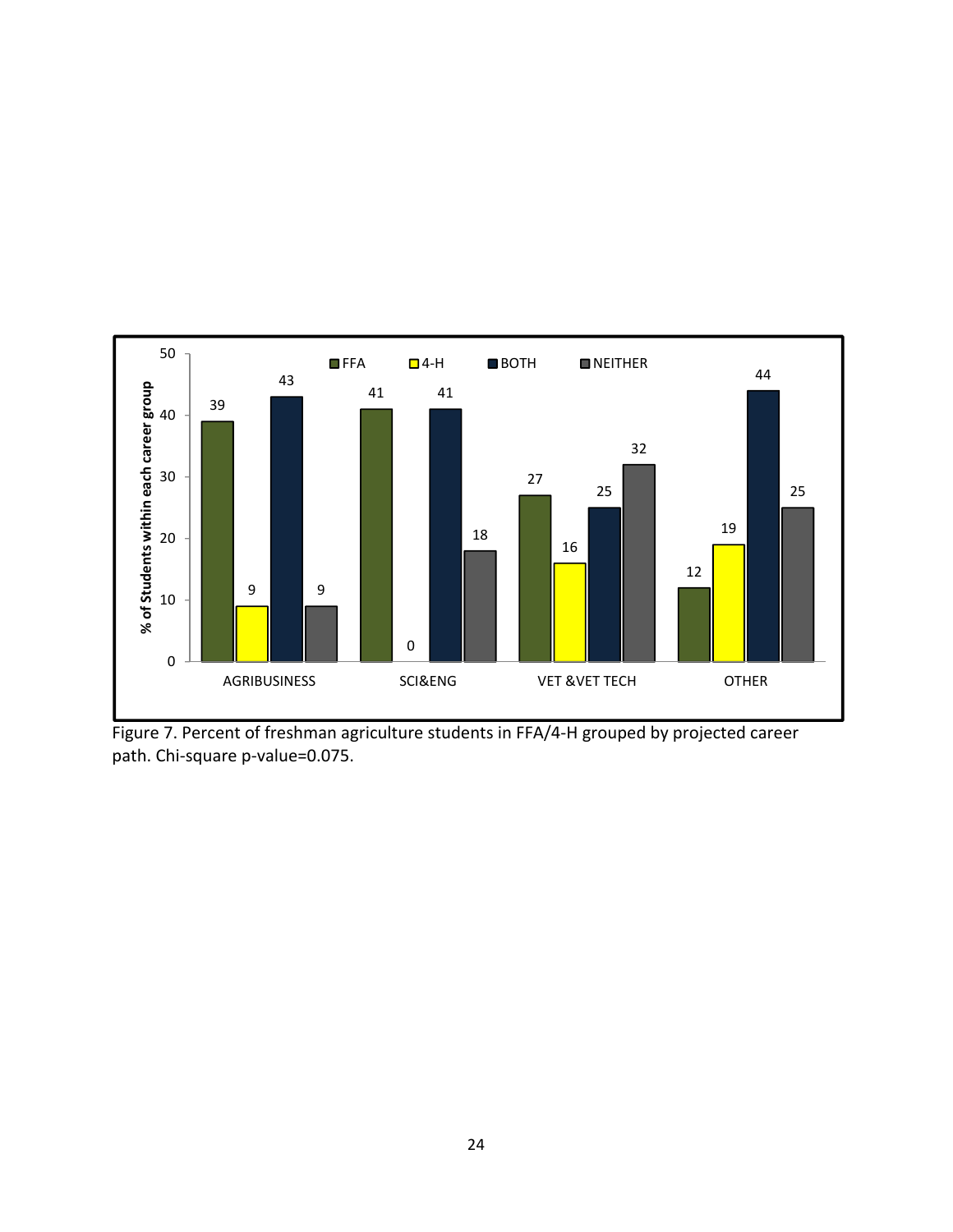

Figure 7. Percent of freshman agriculture students in FFA/4‐H grouped by projected career path. Chi-square p-value=0.075.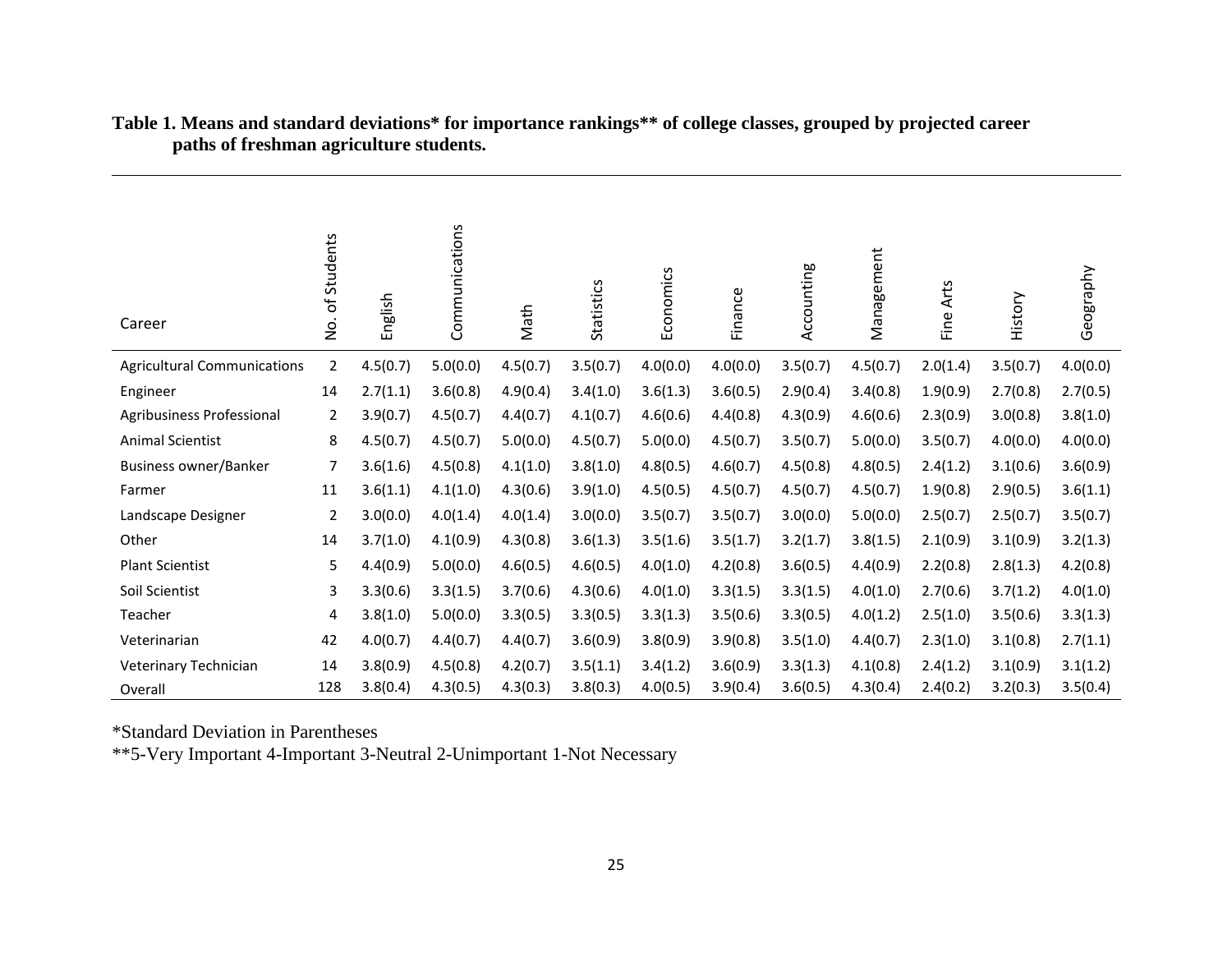| Career                             | No. of Students | English  | Communications | Math     | <b>Statistics</b> | Economics | Finance  | Accounting | Management | Fine Arts | History  | Geography |
|------------------------------------|-----------------|----------|----------------|----------|-------------------|-----------|----------|------------|------------|-----------|----------|-----------|
| <b>Agricultural Communications</b> | $\overline{2}$  | 4.5(0.7) | 5.0(0.0)       | 4.5(0.7) | 3.5(0.7)          | 4.0(0.0)  | 4.0(0.0) | 3.5(0.7)   | 4.5(0.7)   | 2.0(1.4)  | 3.5(0.7) | 4.0(0.0)  |
| Engineer                           | 14              | 2.7(1.1) | 3.6(0.8)       | 4.9(0.4) | 3.4(1.0)          | 3.6(1.3)  | 3.6(0.5) | 2.9(0.4)   | 3.4(0.8)   | 1.9(0.9)  | 2.7(0.8) | 2.7(0.5)  |
| Agribusiness Professional          | 2               | 3.9(0.7) | 4.5(0.7)       | 4.4(0.7) | 4.1(0.7)          | 4.6(0.6)  | 4.4(0.8) | 4.3(0.9)   | 4.6(0.6)   | 2.3(0.9)  | 3.0(0.8) | 3.8(1.0)  |
| <b>Animal Scientist</b>            | 8               | 4.5(0.7) | 4.5(0.7)       | 5.0(0.0) | 4.5(0.7)          | 5.0(0.0)  | 4.5(0.7) | 3.5(0.7)   | 5.0(0.0)   | 3.5(0.7)  | 4.0(0.0) | 4.0(0.0)  |
| <b>Business owner/Banker</b>       | 7               | 3.6(1.6) | 4.5(0.8)       | 4.1(1.0) | 3.8(1.0)          | 4.8(0.5)  | 4.6(0.7) | 4.5(0.8)   | 4.8(0.5)   | 2.4(1.2)  | 3.1(0.6) | 3.6(0.9)  |
| Farmer                             | 11              | 3.6(1.1) | 4.1(1.0)       | 4.3(0.6) | 3.9(1.0)          | 4.5(0.5)  | 4.5(0.7) | 4.5(0.7)   | 4.5(0.7)   | 1.9(0.8)  | 2.9(0.5) | 3.6(1.1)  |
| Landscape Designer                 | $\overline{2}$  | 3.0(0.0) | 4.0(1.4)       | 4.0(1.4) | 3.0(0.0)          | 3.5(0.7)  | 3.5(0.7) | 3.0(0.0)   | 5.0(0.0)   | 2.5(0.7)  | 2.5(0.7) | 3.5(0.7)  |
| Other                              | 14              | 3.7(1.0) | 4.1(0.9)       | 4.3(0.8) | 3.6(1.3)          | 3.5(1.6)  | 3.5(1.7) | 3.2(1.7)   | 3.8(1.5)   | 2.1(0.9)  | 3.1(0.9) | 3.2(1.3)  |
| <b>Plant Scientist</b>             | 5               | 4.4(0.9) | 5.0(0.0)       | 4.6(0.5) | 4.6(0.5)          | 4.0(1.0)  | 4.2(0.8) | 3.6(0.5)   | 4.4(0.9)   | 2.2(0.8)  | 2.8(1.3) | 4.2(0.8)  |
| Soil Scientist                     | 3               | 3.3(0.6) | 3.3(1.5)       | 3.7(0.6) | 4.3(0.6)          | 4.0(1.0)  | 3.3(1.5) | 3.3(1.5)   | 4.0(1.0)   | 2.7(0.6)  | 3.7(1.2) | 4.0(1.0)  |
| Teacher                            | 4               | 3.8(1.0) | 5.0(0.0)       | 3.3(0.5) | 3.3(0.5)          | 3.3(1.3)  | 3.5(0.6) | 3.3(0.5)   | 4.0(1.2)   | 2.5(1.0)  | 3.5(0.6) | 3.3(1.3)  |
| Veterinarian                       | 42              | 4.0(0.7) | 4.4(0.7)       | 4.4(0.7) | 3.6(0.9)          | 3.8(0.9)  | 3.9(0.8) | 3.5(1.0)   | 4.4(0.7)   | 2.3(1.0)  | 3.1(0.8) | 2.7(1.1)  |
| Veterinary Technician              | 14              | 3.8(0.9) | 4.5(0.8)       | 4.2(0.7) | 3.5(1.1)          | 3.4(1.2)  | 3.6(0.9) | 3.3(1.3)   | 4.1(0.8)   | 2.4(1.2)  | 3.1(0.9) | 3.1(1.2)  |
| Overall                            | 128             | 3.8(0.4) | 4.3(0.5)       | 4.3(0.3) | 3.8(0.3)          | 4.0(0.5)  | 3.9(0.4) | 3.6(0.5)   | 4.3(0.4)   | 2.4(0.2)  | 3.2(0.3) | 3.5(0.4)  |

**Table 1. Means and standard deviations\* for importance rankings\*\* of college classes, grouped by projected career paths of freshman agriculture students.** 

\*Standard Deviation in Parentheses

\*\*5-Very Important 4-Important 3-Neutral 2-Unimportant 1-Not Necessary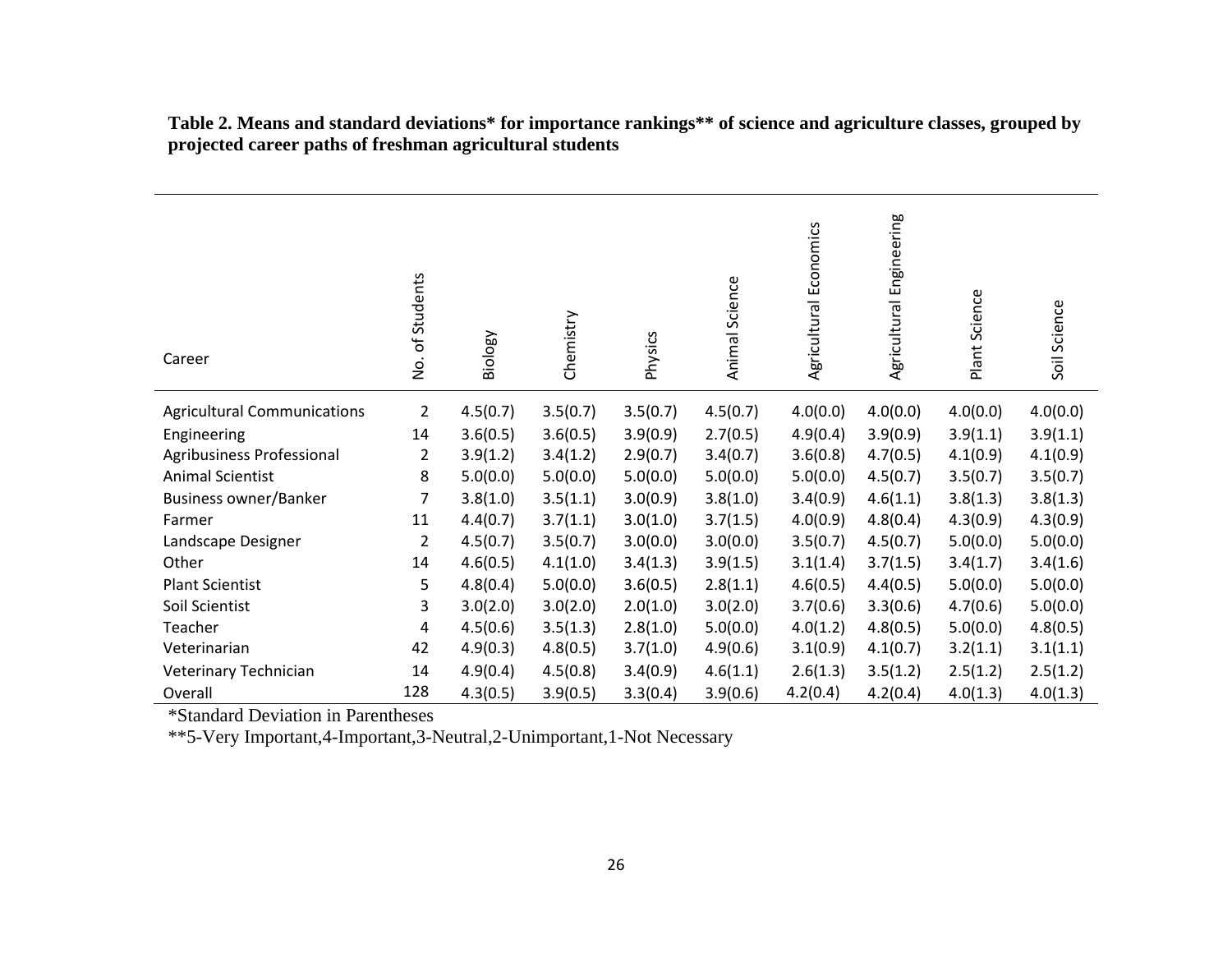| Career                             | of Students<br>ġ | Biology  | Chemistry | Physics  | Animal Science | Agricultural Economics | Engineering<br>Agricultural | Plant Science | Soil Science |
|------------------------------------|------------------|----------|-----------|----------|----------------|------------------------|-----------------------------|---------------|--------------|
| <b>Agricultural Communications</b> | $\overline{2}$   | 4.5(0.7) | 3.5(0.7)  | 3.5(0.7) | 4.5(0.7)       | 4.0(0.0)               | 4.0(0.0)                    | 4.0(0.0)      | 4.0(0.0)     |
| Engineering                        | 14               | 3.6(0.5) | 3.6(0.5)  | 3.9(0.9) | 2.7(0.5)       | 4.9(0.4)               | 3.9(0.9)                    | 3.9(1.1)      | 3.9(1.1)     |
| Agribusiness Professional          | 2                | 3.9(1.2) | 3.4(1.2)  | 2.9(0.7) | 3.4(0.7)       | 3.6(0.8)               | 4.7(0.5)                    | 4.1(0.9)      | 4.1(0.9)     |
| <b>Animal Scientist</b>            | 8                | 5.0(0.0) | 5.0(0.0)  | 5.0(0.0) | 5.0(0.0)       | 5.0(0.0)               | 4.5(0.7)                    | 3.5(0.7)      | 3.5(0.7)     |
| Business owner/Banker              | 7                | 3.8(1.0) | 3.5(1.1)  | 3.0(0.9) | 3.8(1.0)       | 3.4(0.9)               | 4.6(1.1)                    | 3.8(1.3)      | 3.8(1.3)     |
| Farmer                             | 11               | 4.4(0.7) | 3.7(1.1)  | 3.0(1.0) | 3.7(1.5)       | 4.0(0.9)               | 4.8(0.4)                    | 4.3(0.9)      | 4.3(0.9)     |
| Landscape Designer                 | $\overline{2}$   | 4.5(0.7) | 3.5(0.7)  | 3.0(0.0) | 3.0(0.0)       | 3.5(0.7)               | 4.5(0.7)                    | 5.0(0.0)      | 5.0(0.0)     |
| Other                              | 14               | 4.6(0.5) | 4.1(1.0)  | 3.4(1.3) | 3.9(1.5)       | 3.1(1.4)               | 3.7(1.5)                    | 3.4(1.7)      | 3.4(1.6)     |
| <b>Plant Scientist</b>             | 5                | 4.8(0.4) | 5.0(0.0)  | 3.6(0.5) | 2.8(1.1)       | 4.6(0.5)               | 4.4(0.5)                    | 5.0(0.0)      | 5.0(0.0)     |
| Soil Scientist                     | 3                | 3.0(2.0) | 3.0(2.0)  | 2.0(1.0) | 3.0(2.0)       | 3.7(0.6)               | 3.3(0.6)                    | 4.7(0.6)      | 5.0(0.0)     |
| Teacher                            | 4                | 4.5(0.6) | 3.5(1.3)  | 2.8(1.0) | 5.0(0.0)       | 4.0(1.2)               | 4.8(0.5)                    | 5.0(0.0)      | 4.8(0.5)     |
| Veterinarian                       | 42               | 4.9(0.3) | 4.8(0.5)  | 3.7(1.0) | 4.9(0.6)       | 3.1(0.9)               | 4.1(0.7)                    | 3.2(1.1)      | 3.1(1.1)     |
| Veterinary Technician              | 14               | 4.9(0.4) | 4.5(0.8)  | 3.4(0.9) | 4.6(1.1)       | 2.6(1.3)               | 3.5(1.2)                    | 2.5(1.2)      | 2.5(1.2)     |
| Overall                            | 128              | 4.3(0.5) | 3.9(0.5)  | 3.3(0.4) | 3.9(0.6)       | 4.2(0.4)               | 4.2(0.4)                    | 4.0(1.3)      | 4.0(1.3)     |

**Table 2. Means and standard deviations\* for importance rankings\*\* of science and agriculture classes, grouped by projected career paths of freshman agricultural students** 

\*Standard Deviation in Parentheses

\*\*5-Very Important,4-Important,3-Neutral,2-Unimportant,1-Not Necessary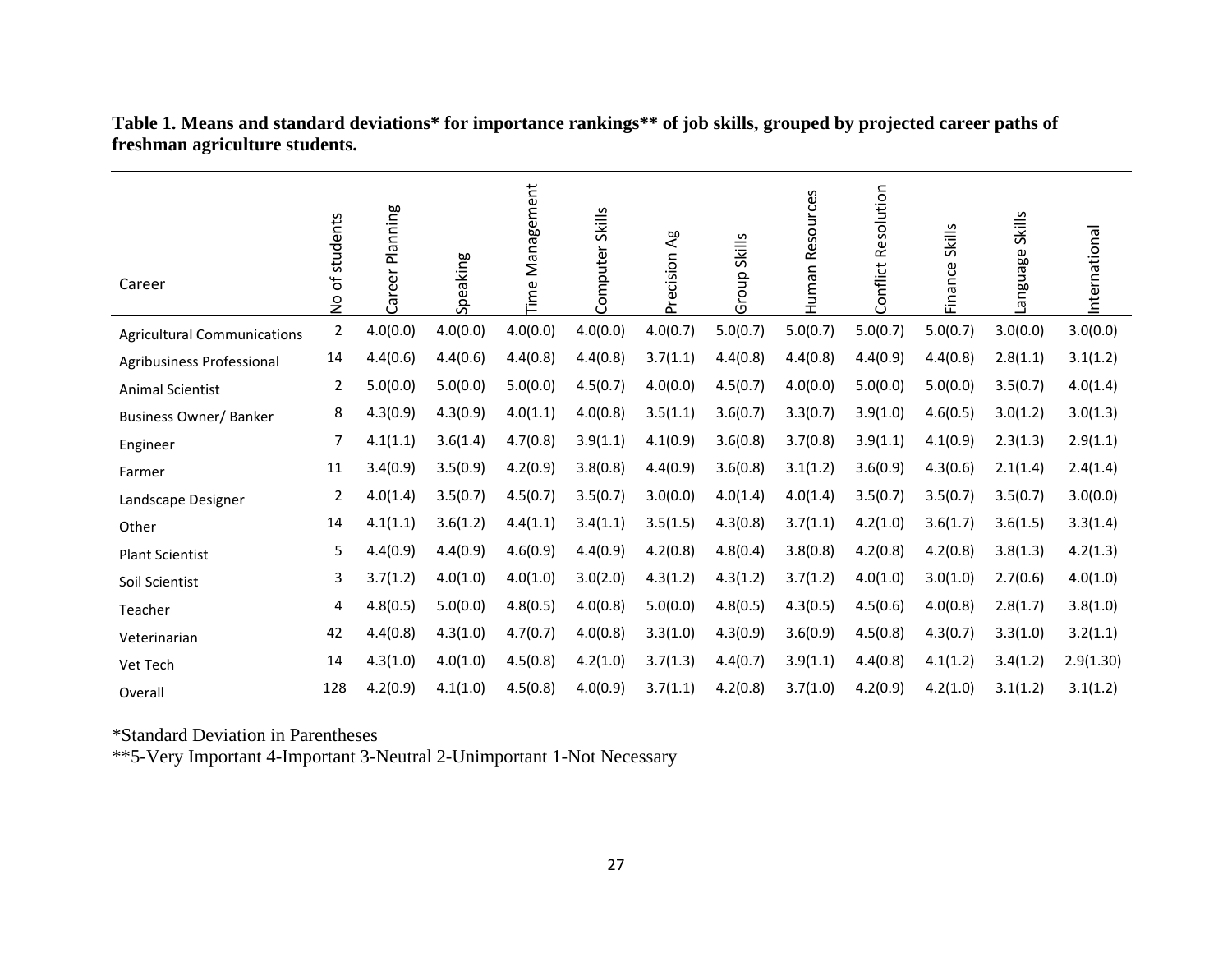| Career                             | of students<br>$\frac{1}{2}$ | Career Planning | Speaking | <b>Time Management</b> | <b>Skills</b><br>Computer | Ag<br>Precision | Group Skills | Resources<br>namh | Conflict Resolution | <b>Skills</b><br><i><b>Finance</b></i> | Skills<br>anguage. | nternational |
|------------------------------------|------------------------------|-----------------|----------|------------------------|---------------------------|-----------------|--------------|-------------------|---------------------|----------------------------------------|--------------------|--------------|
| <b>Agricultural Communications</b> | $\overline{2}$               | 4.0(0.0)        | 4.0(0.0) | 4.0(0.0)               | 4.0(0.0)                  | 4.0(0.7)        | 5.0(0.7)     | 5.0(0.7)          | 5.0(0.7)            | 5.0(0.7)                               | 3.0(0.0)           | 3.0(0.0)     |
| Agribusiness Professional          | 14                           | 4.4(0.6)        | 4.4(0.6) | 4.4(0.8)               | 4.4(0.8)                  | 3.7(1.1)        | 4.4(0.8)     | 4.4(0.8)          | 4.4(0.9)            | 4.4(0.8)                               | 2.8(1.1)           | 3.1(1.2)     |
| <b>Animal Scientist</b>            | 2                            | 5.0(0.0)        | 5.0(0.0) | 5.0(0.0)               | 4.5(0.7)                  | 4.0(0.0)        | 4.5(0.7)     | 4.0(0.0)          | 5.0(0.0)            | 5.0(0.0)                               | 3.5(0.7)           | 4.0(1.4)     |
| <b>Business Owner/ Banker</b>      | 8                            | 4.3(0.9)        | 4.3(0.9) | 4.0(1.1)               | 4.0(0.8)                  | 3.5(1.1)        | 3.6(0.7)     | 3.3(0.7)          | 3.9(1.0)            | 4.6(0.5)                               | 3.0(1.2)           | 3.0(1.3)     |
| Engineer                           | 7                            | 4.1(1.1)        | 3.6(1.4) | 4.7(0.8)               | 3.9(1.1)                  | 4.1(0.9)        | 3.6(0.8)     | 3.7(0.8)          | 3.9(1.1)            | 4.1(0.9)                               | 2.3(1.3)           | 2.9(1.1)     |
| Farmer                             | 11                           | 3.4(0.9)        | 3.5(0.9) | 4.2(0.9)               | 3.8(0.8)                  | 4.4(0.9)        | 3.6(0.8)     | 3.1(1.2)          | 3.6(0.9)            | 4.3(0.6)                               | 2.1(1.4)           | 2.4(1.4)     |
| Landscape Designer                 | 2                            | 4.0(1.4)        | 3.5(0.7) | 4.5(0.7)               | 3.5(0.7)                  | 3.0(0.0)        | 4.0(1.4)     | 4.0(1.4)          | 3.5(0.7)            | 3.5(0.7)                               | 3.5(0.7)           | 3.0(0.0)     |
| Other                              | 14                           | 4.1(1.1)        | 3.6(1.2) | 4.4(1.1)               | 3.4(1.1)                  | 3.5(1.5)        | 4.3(0.8)     | 3.7(1.1)          | 4.2(1.0)            | 3.6(1.7)                               | 3.6(1.5)           | 3.3(1.4)     |
| <b>Plant Scientist</b>             | 5                            | 4.4(0.9)        | 4.4(0.9) | 4.6(0.9)               | 4.4(0.9)                  | 4.2(0.8)        | 4.8(0.4)     | 3.8(0.8)          | 4.2(0.8)            | 4.2(0.8)                               | 3.8(1.3)           | 4.2(1.3)     |
| Soil Scientist                     | 3                            | 3.7(1.2)        | 4.0(1.0) | 4.0(1.0)               | 3.0(2.0)                  | 4.3(1.2)        | 4.3(1.2)     | 3.7(1.2)          | 4.0(1.0)            | 3.0(1.0)                               | 2.7(0.6)           | 4.0(1.0)     |
| Teacher                            | 4                            | 4.8(0.5)        | 5.0(0.0) | 4.8(0.5)               | 4.0(0.8)                  | 5.0(0.0)        | 4.8(0.5)     | 4.3(0.5)          | 4.5(0.6)            | 4.0(0.8)                               | 2.8(1.7)           | 3.8(1.0)     |
| Veterinarian                       | 42                           | 4.4(0.8)        | 4.3(1.0) | 4.7(0.7)               | 4.0(0.8)                  | 3.3(1.0)        | 4.3(0.9)     | 3.6(0.9)          | 4.5(0.8)            | 4.3(0.7)                               | 3.3(1.0)           | 3.2(1.1)     |
| Vet Tech                           | 14                           | 4.3(1.0)        | 4.0(1.0) | 4.5(0.8)               | 4.2(1.0)                  | 3.7(1.3)        | 4.4(0.7)     | 3.9(1.1)          | 4.4(0.8)            | 4.1(1.2)                               | 3.4(1.2)           | 2.9(1.30)    |
| Overall                            | 128                          | 4.2(0.9)        | 4.1(1.0) | 4.5(0.8)               | 4.0(0.9)                  | 3.7(1.1)        | 4.2(0.8)     | 3.7(1.0)          | 4.2(0.9)            | 4.2(1.0)                               | 3.1(1.2)           | 3.1(1.2)     |

**Table 1. Means and standard deviations\* for importance rankings\*\* of job skills, grouped by projected career paths of freshman agriculture students.** 

\*Standard Deviation in Parentheses

\*\*5-Very Important 4-Important 3-Neutral 2-Unimportant 1-Not Necessary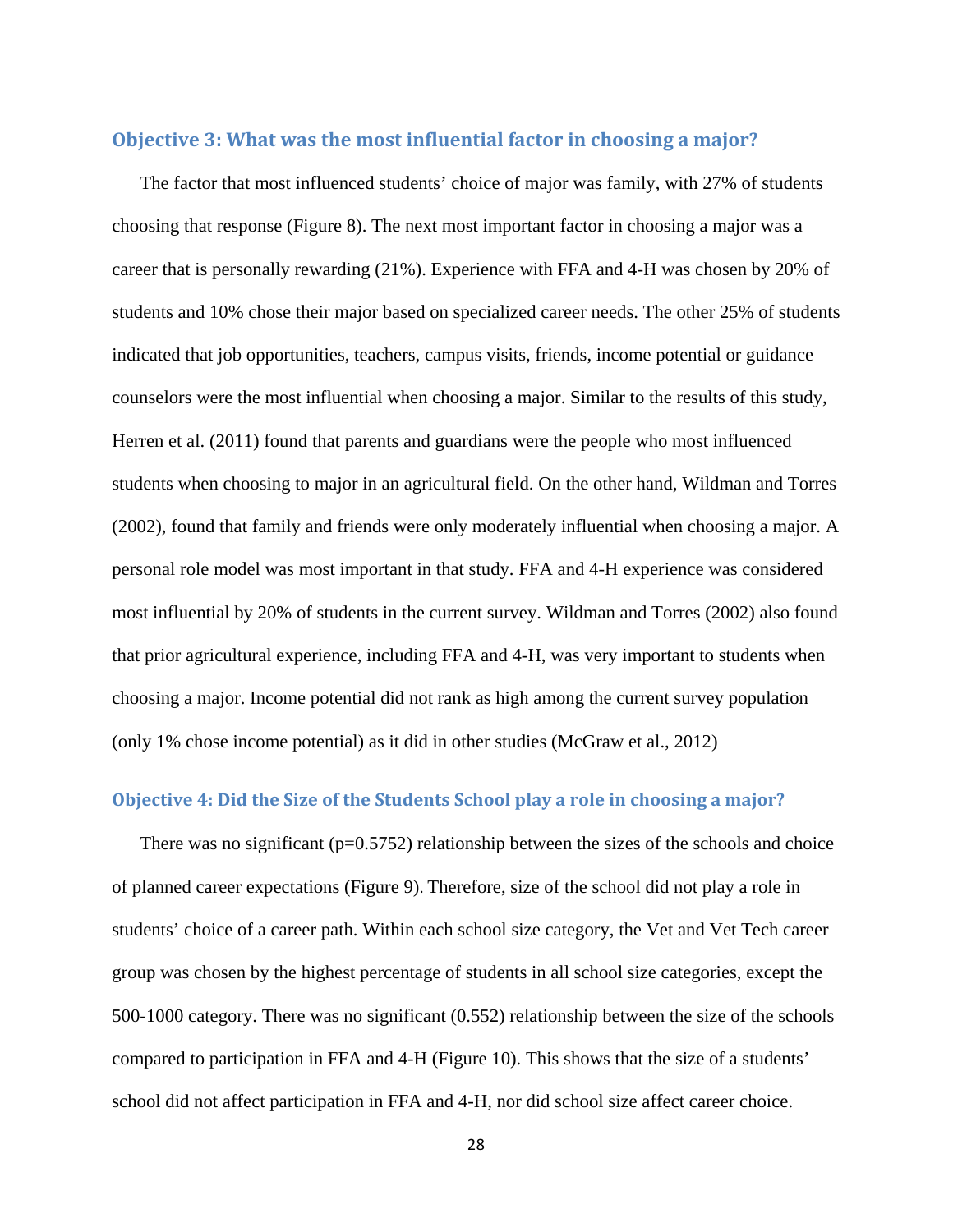### **Objective 3: What was the most influential factor in choosing a major?**

 The factor that most influenced students' choice of major was family, with 27% of students choosing that response (Figure 8). The next most important factor in choosing a major was a career that is personally rewarding (21%). Experience with FFA and 4-H was chosen by 20% of students and 10% chose their major based on specialized career needs. The other 25% of students indicated that job opportunities, teachers, campus visits, friends, income potential or guidance counselors were the most influential when choosing a major. Similar to the results of this study, Herren et al. (2011) found that parents and guardians were the people who most influenced students when choosing to major in an agricultural field. On the other hand, Wildman and Torres (2002), found that family and friends were only moderately influential when choosing a major. A personal role model was most important in that study. FFA and 4-H experience was considered most influential by 20% of students in the current survey. Wildman and Torres (2002) also found that prior agricultural experience, including FFA and 4-H, was very important to students when choosing a major. Income potential did not rank as high among the current survey population (only 1% chose income potential) as it did in other studies (McGraw et al., 2012)

#### **Objective 4: Did the Size of the Students School play a role in choosing a major?**

There was no significant ( $p=0.5752$ ) relationship between the sizes of the schools and choice of planned career expectations (Figure 9). Therefore, size of the school did not play a role in students' choice of a career path. Within each school size category, the Vet and Vet Tech career group was chosen by the highest percentage of students in all school size categories, except the 500-1000 category. There was no significant (0.552) relationship between the size of the schools compared to participation in FFA and 4-H (Figure 10). This shows that the size of a students' school did not affect participation in FFA and 4-H, nor did school size affect career choice.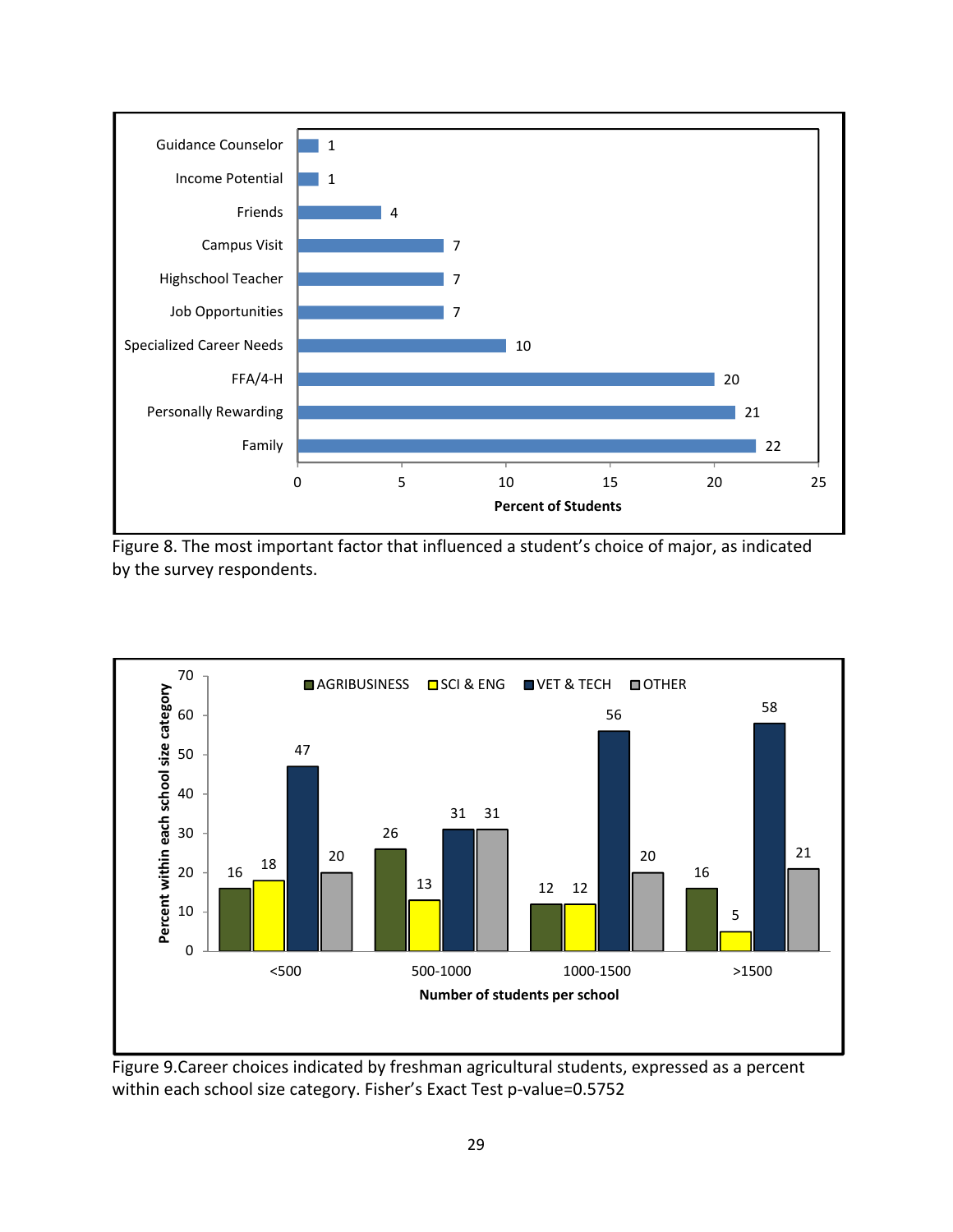

Figure 8. The most important factor that influenced a student's choice of major, as indicated by the survey respondents.



Figure 9.Career choices indicated by freshman agricultural students, expressed as a percent within each school size category. Fisher's Exact Test p-value=0.5752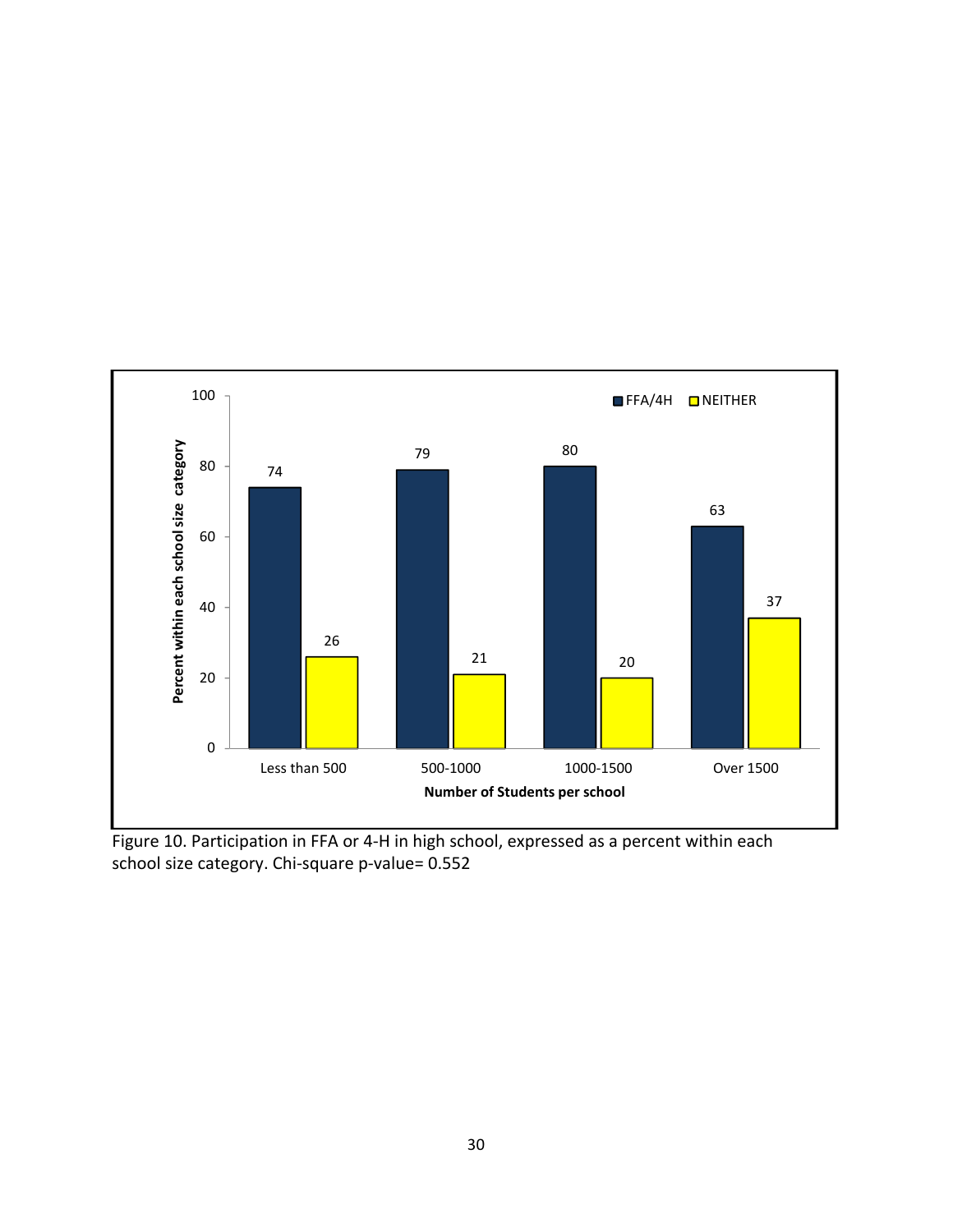

Figure 10. Participation in FFA or 4‐H in high school, expressed as a percent within each school size category. Chi-square p-value= 0.552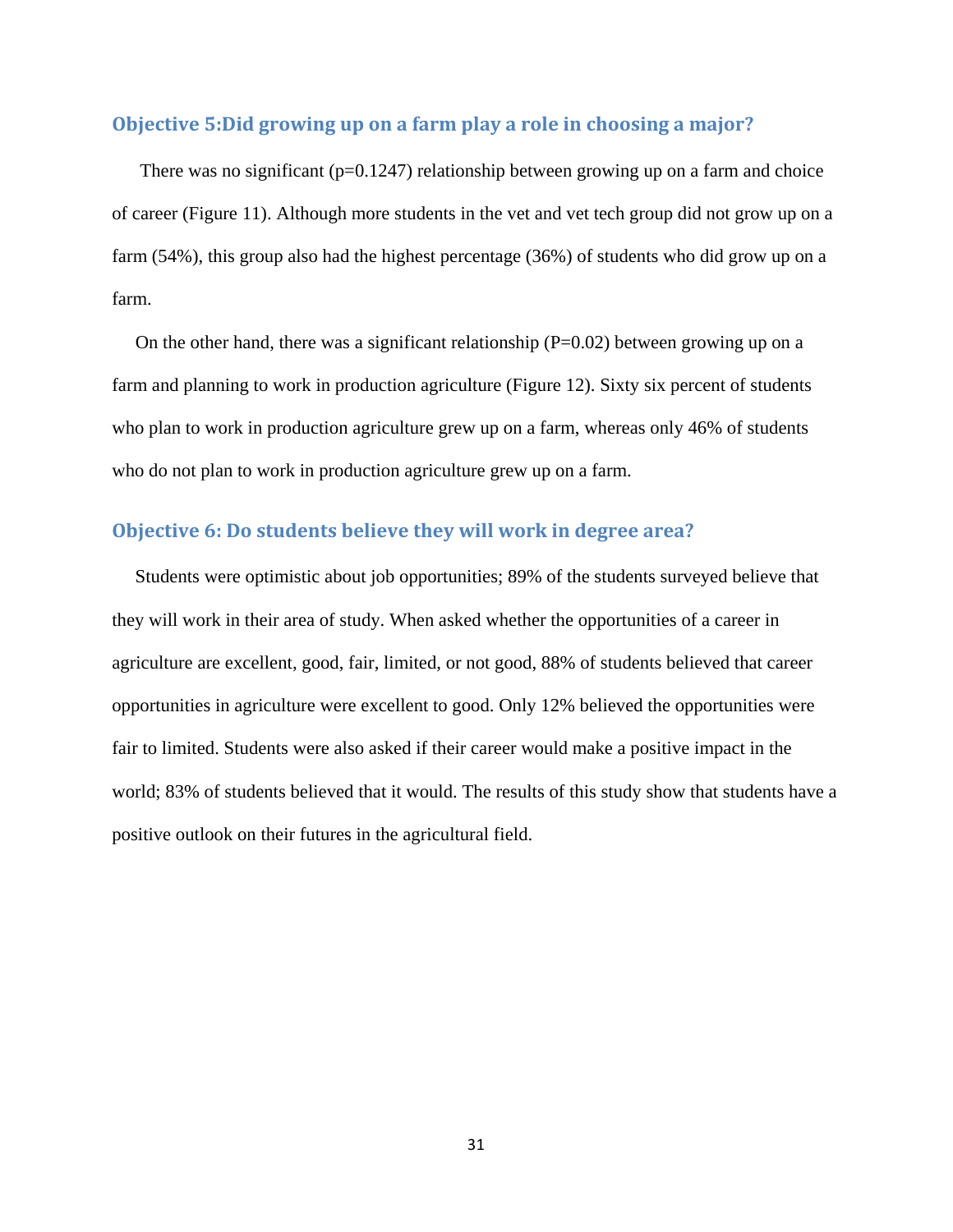## **Objective 5:Did growing up on a farm play a role in choosing a major?**

There was no significant ( $p=0.1247$ ) relationship between growing up on a farm and choice of career (Figure 11). Although more students in the vet and vet tech group did not grow up on a farm (54%), this group also had the highest percentage (36%) of students who did grow up on a farm.

On the other hand, there was a significant relationship  $(P=0.02)$  between growing up on a farm and planning to work in production agriculture (Figure 12). Sixty six percent of students who plan to work in production agriculture grew up on a farm, whereas only 46% of students who do not plan to work in production agriculture grew up on a farm.

# **Objective 6: Do students believe they will work in degree area?**

 Students were optimistic about job opportunities; 89% of the students surveyed believe that they will work in their area of study. When asked whether the opportunities of a career in agriculture are excellent, good, fair, limited, or not good, 88% of students believed that career opportunities in agriculture were excellent to good. Only 12% believed the opportunities were fair to limited. Students were also asked if their career would make a positive impact in the world; 83% of students believed that it would. The results of this study show that students have a positive outlook on their futures in the agricultural field.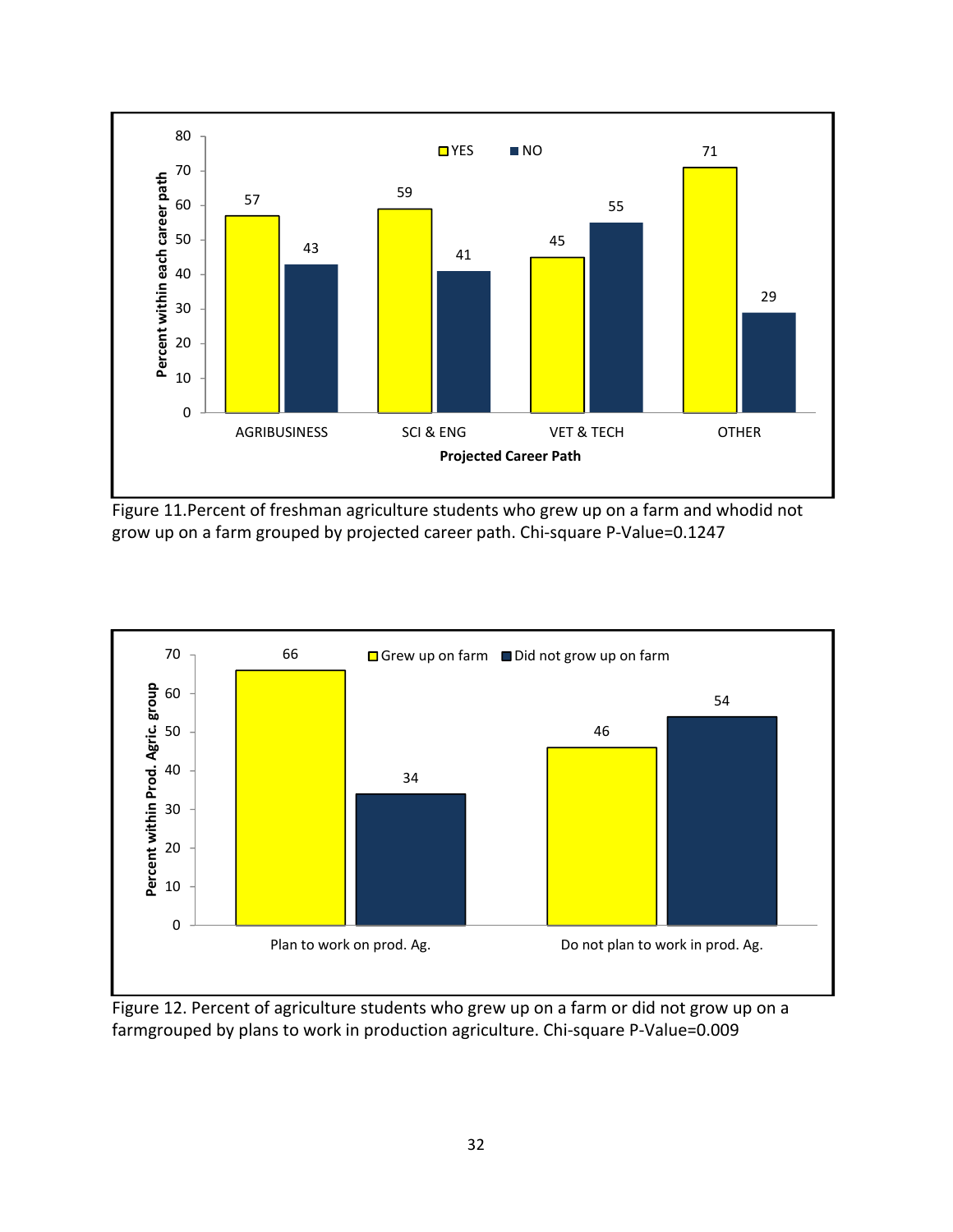

Figure 11.Percent of freshman agriculture students who grew up on a farm and whodid not grow up on a farm grouped by projected career path. Chi‐square P‐Value=0.1247



Figure 12. Percent of agriculture students who grew up on a farm or did not grow up on a farmgrouped by plans to work in production agriculture. Chi-square P-Value=0.009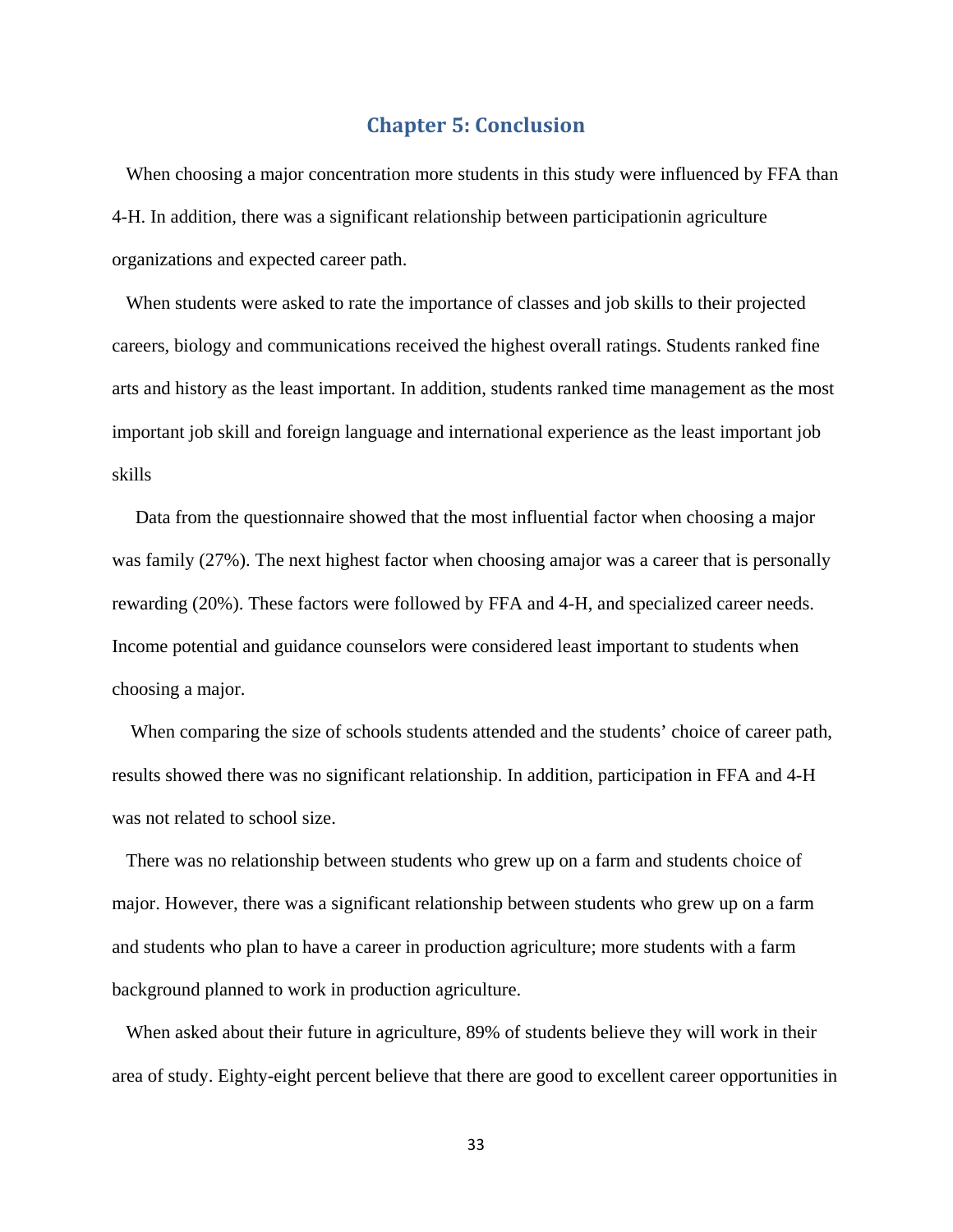# **Chapter 5: Conclusion**

When choosing a major concentration more students in this study were influenced by FFA than 4-H. In addition, there was a significant relationship between participationin agriculture organizations and expected career path.

 When students were asked to rate the importance of classes and job skills to their projected careers, biology and communications received the highest overall ratings. Students ranked fine arts and history as the least important. In addition, students ranked time management as the most important job skill and foreign language and international experience as the least important job skills

 Data from the questionnaire showed that the most influential factor when choosing a major was family (27%). The next highest factor when choosing amajor was a career that is personally rewarding (20%). These factors were followed by FFA and 4-H, and specialized career needs. Income potential and guidance counselors were considered least important to students when choosing a major.

 When comparing the size of schools students attended and the students' choice of career path, results showed there was no significant relationship. In addition, participation in FFA and 4-H was not related to school size.

 There was no relationship between students who grew up on a farm and students choice of major. However, there was a significant relationship between students who grew up on a farm and students who plan to have a career in production agriculture; more students with a farm background planned to work in production agriculture.

 When asked about their future in agriculture, 89% of students believe they will work in their area of study. Eighty-eight percent believe that there are good to excellent career opportunities in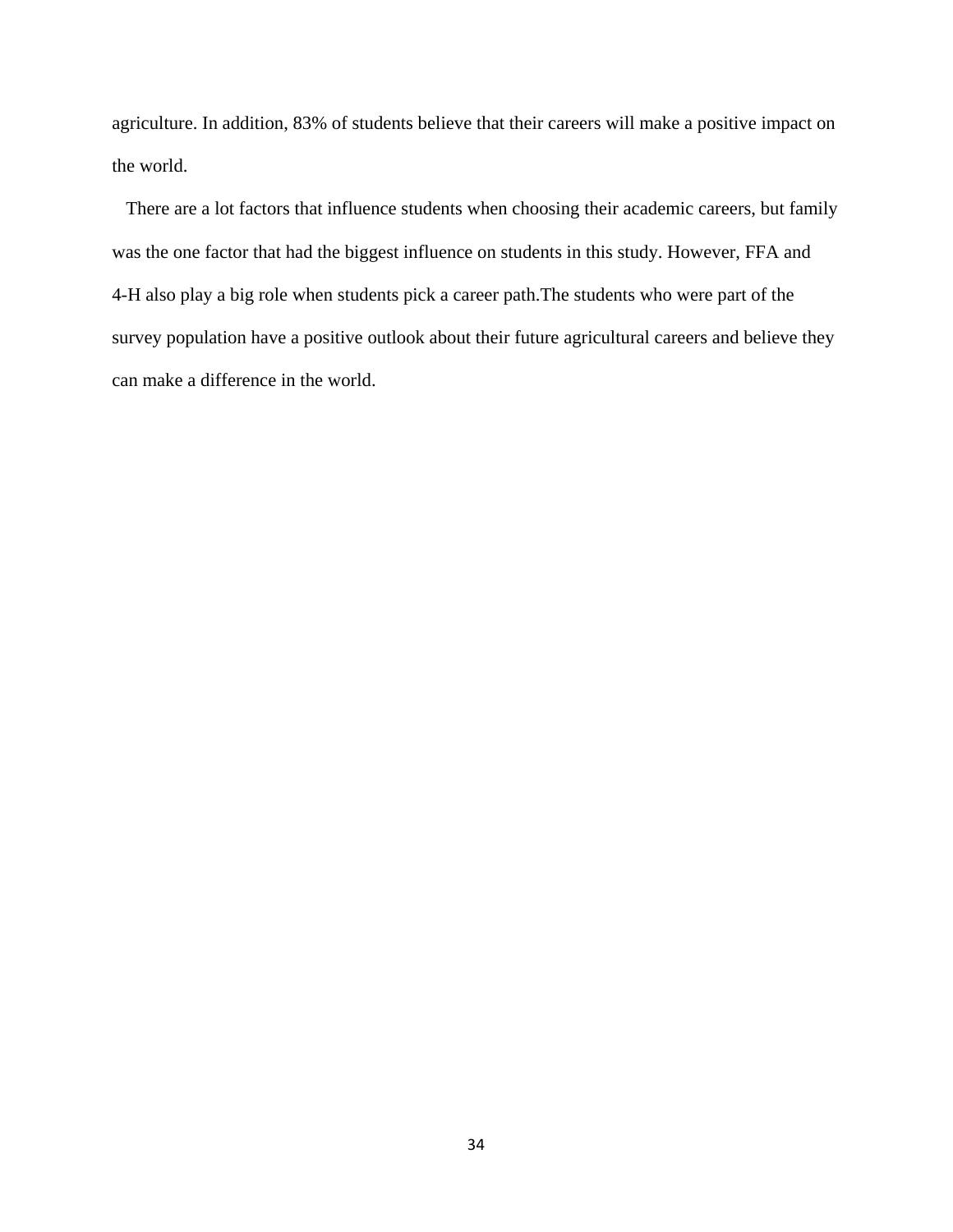agriculture. In addition, 83% of students believe that their careers will make a positive impact on the world.

 There are a lot factors that influence students when choosing their academic careers, but family was the one factor that had the biggest influence on students in this study. However, FFA and 4-H also play a big role when students pick a career path.The students who were part of the survey population have a positive outlook about their future agricultural careers and believe they can make a difference in the world.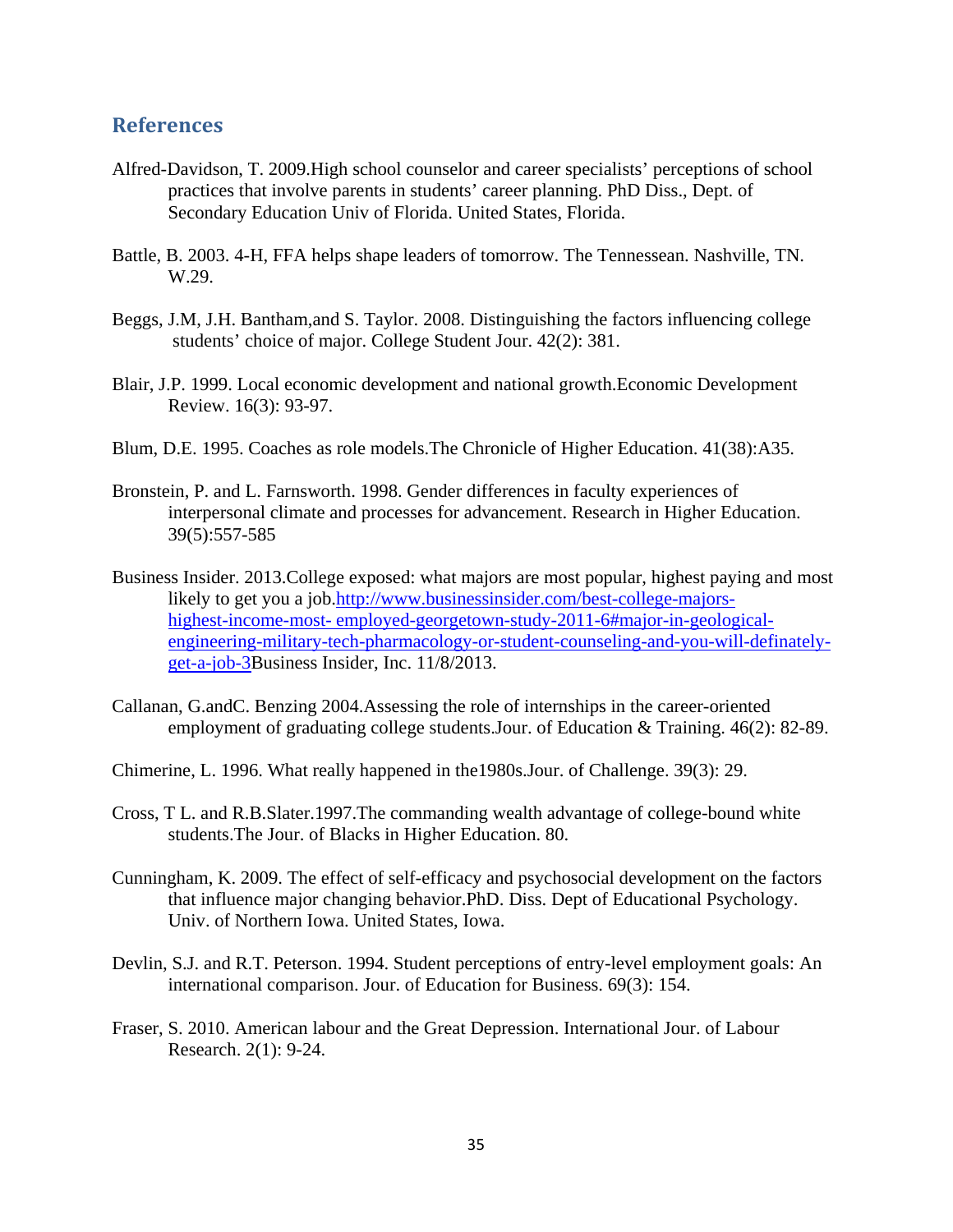# **References**

- Alfred-Davidson, T. 2009.High school counselor and career specialists' perceptions of school practices that involve parents in students' career planning. PhD Diss., Dept. of Secondary Education Univ of Florida. United States, Florida.
- Battle, B. 2003. 4-H, FFA helps shape leaders of tomorrow. The Tennessean. Nashville, TN. W.29.
- Beggs, J.M, J.H. Bantham,and S. Taylor. 2008. Distinguishing the factors influencing college students' choice of major. College Student Jour. 42(2): 381.
- Blair, J.P. 1999. Local economic development and national growth.Economic Development Review. 16(3): 93-97.
- Blum, D.E. 1995. Coaches as role models.The Chronicle of Higher Education. 41(38):A35.
- Bronstein, P. and L. Farnsworth. 1998. Gender differences in faculty experiences of interpersonal climate and processes for advancement. Research in Higher Education. 39(5):557-585
- Business Insider. 2013.College exposed: what majors are most popular, highest paying and most likely to get you a job.http://www.businessinsider.com/best-college-majors highest-income-most- employed-georgetown-study-2011-6#major-in-geological engineering-military-tech-pharmacology-or-student-counseling-and-you-will-definately get-a-job-3Business Insider, Inc. 11/8/2013.
- Callanan, G.andC. Benzing 2004.Assessing the role of internships in the career-oriented employment of graduating college students.Jour. of Education & Training. 46(2): 82-89.
- Chimerine, L. 1996. What really happened in the1980s.Jour. of Challenge. 39(3): 29.
- Cross, T L. and R.B.Slater.1997.The commanding wealth advantage of college-bound white students.The Jour. of Blacks in Higher Education. 80.
- Cunningham, K. 2009. The effect of self-efficacy and psychosocial development on the factors that influence major changing behavior.PhD. Diss. Dept of Educational Psychology. Univ. of Northern Iowa. United States, Iowa.
- Devlin, S.J. and R.T. Peterson. 1994. Student perceptions of entry-level employment goals: An international comparison. Jour. of Education for Business. 69(3): 154.
- Fraser, S. 2010. American labour and the Great Depression. International Jour. of Labour Research. 2(1): 9-24.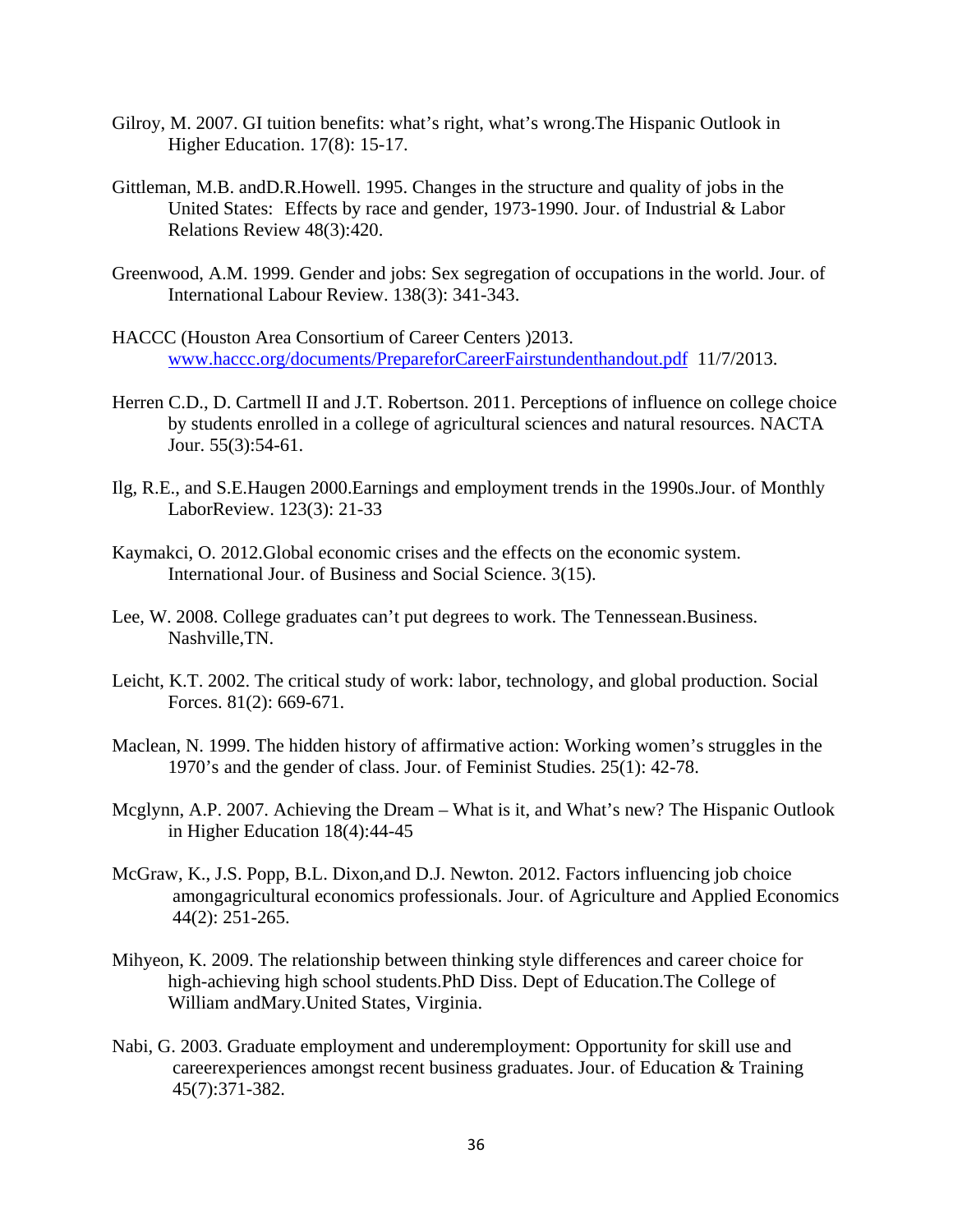- Gilroy, M. 2007. GI tuition benefits: what's right, what's wrong.The Hispanic Outlook in Higher Education. 17(8): 15-17.
- Gittleman, M.B. andD.R.Howell. 1995. Changes in the structure and quality of jobs in the United States: Effects by race and gender, 1973-1990. Jour. of Industrial & Labor Relations Review 48(3):420.
- Greenwood, A.M. 1999. Gender and jobs: Sex segregation of occupations in the world. Jour. of International Labour Review. 138(3): 341-343.
- HACCC (Houston Area Consortium of Career Centers )2013. www.haccc.org/documents/PrepareforCareerFairstundenthandout.pdf 11/7/2013.
- Herren C.D., D. Cartmell II and J.T. Robertson. 2011. Perceptions of influence on college choice by students enrolled in a college of agricultural sciences and natural resources. NACTA Jour. 55(3):54-61.
- Ilg, R.E., and S.E.Haugen 2000.Earnings and employment trends in the 1990s.Jour. of Monthly LaborReview. 123(3): 21-33
- Kaymakci, O. 2012.Global economic crises and the effects on the economic system. International Jour. of Business and Social Science. 3(15).
- Lee, W. 2008. College graduates can't put degrees to work. The Tennessean. Business. Nashville,TN.
- Leicht, K.T. 2002. The critical study of work: labor, technology, and global production. Social Forces. 81(2): 669-671.
- Maclean, N. 1999. The hidden history of affirmative action: Working women's struggles in the 1970's and the gender of class. Jour. of Feminist Studies. 25(1): 42-78.
- Mcglynn, A.P. 2007. Achieving the Dream What is it, and What's new? The Hispanic Outlook in Higher Education 18(4):44-45
- McGraw, K., J.S. Popp, B.L. Dixon,and D.J. Newton. 2012. Factors influencing job choice among agricultural economics professionals. Jour. of Agriculture and Applied Economics 44(2): 251-265.
- Mihyeon, K. 2009. The relationship between thinking style differences and career choice for high-achieving high school students.PhD Diss. Dept of Education.The College of William andMary.United States, Virginia.
- Nabi, G. 2003. Graduate employment and underemployment: Opportunity for skill use and careerexperiences amongst recent business graduates. Jour. of Education & Training 45(7):371-382.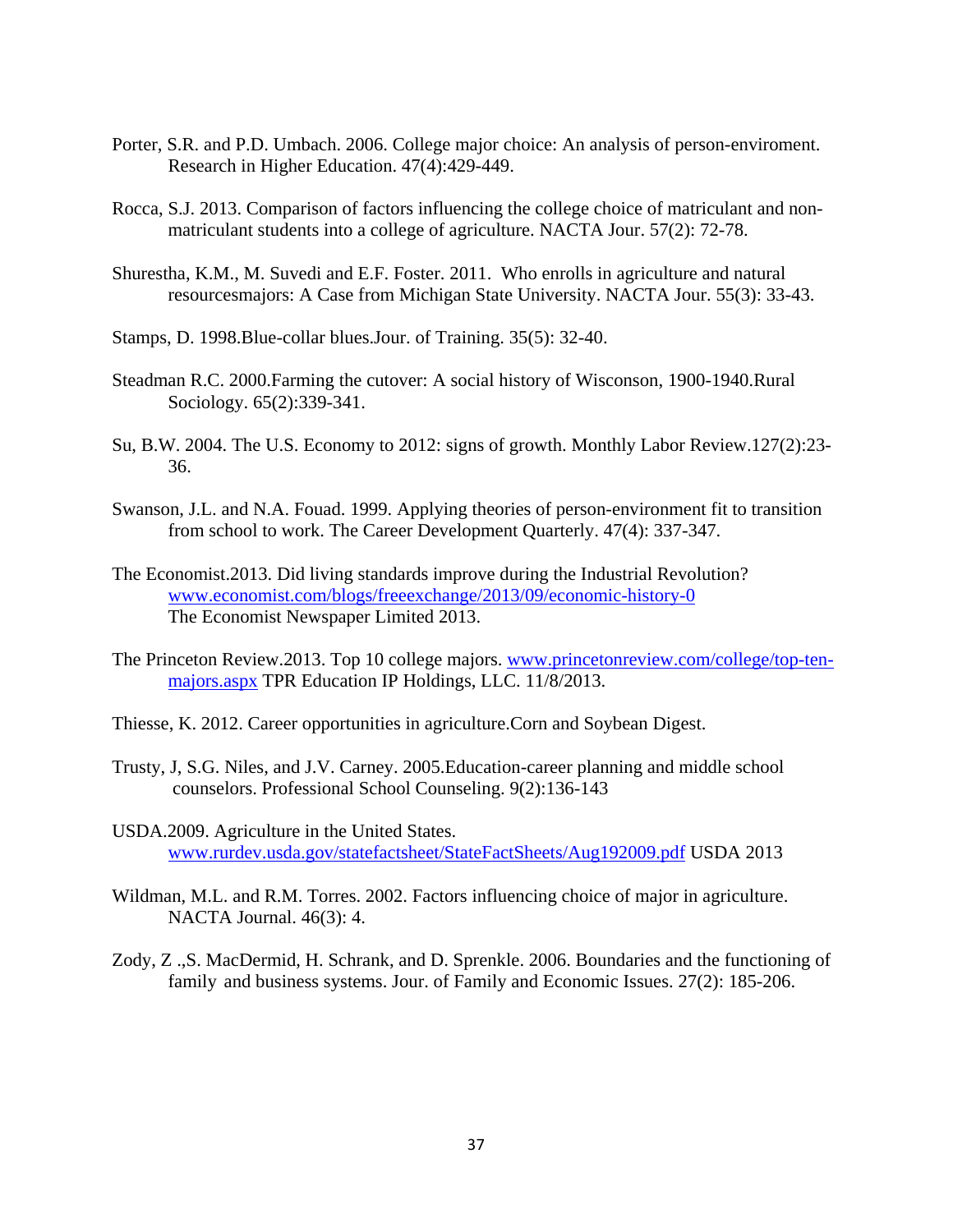- Porter, S.R. and P.D. Umbach. 2006. College major choice: An analysis of person-enviroment. Research in Higher Education. 47(4):429-449.
- Rocca, S.J. 2013. Comparison of factors influencing the college choice of matriculant and non matriculant students into a college of agriculture. NACTA Jour. 57(2): 72-78.
- Shurestha, K.M., M. Suvedi and E.F. Foster. 2011. Who enrolls in agriculture and natural resourcesmajors: A Case from Michigan State University. NACTA Jour. 55(3): 33-43.
- Stamps, D. 1998.Blue-collar blues.Jour. of Training. 35(5): 32-40.
- Steadman R.C. 2000.Farming the cutover: A social history of Wisconson, 1900-1940.Rural Sociology. 65(2):339-341.
- Su, B.W. 2004. The U.S. Economy to 2012: signs of growth. Monthly Labor Review.127(2):23- 36.
- Swanson, J.L. and N.A. Fouad. 1999. Applying theories of person-environment fit to transition from school to work. The Career Development Quarterly. 47(4): 337-347.
- The Economist.2013. Did living standards improve during the Industrial Revolution? www.economist.com/blogs/freeexchange/2013/09/economic-history-0 The Economist Newspaper Limited 2013.
- The Princeton Review.2013. Top 10 college majors. www.princetonreview.com/college/top-ten majors.aspx TPR Education IP Holdings, LLC. 11/8/2013.
- Thiesse, K. 2012. Career opportunities in agriculture.Corn and Soybean Digest.
- Trusty, J, S.G. Niles, and J.V. Carney. 2005.Education-career planning and middle school counselors. Professional School Counseling. 9(2):136-143
- USDA.2009. Agriculture in the United States. www.rurdev.usda.gov/statefactsheet/StateFactSheets/Aug192009.pdf USDA 2013
- Wildman, M.L. and R.M. Torres. 2002. Factors influencing choice of major in agriculture. NACTA Journal. 46(3): 4.
- Zody, Z .,S. MacDermid, H. Schrank, and D. Sprenkle. 2006. Boundaries and the functioning of family and business systems. Jour. of Family and Economic Issues. 27(2): 185-206.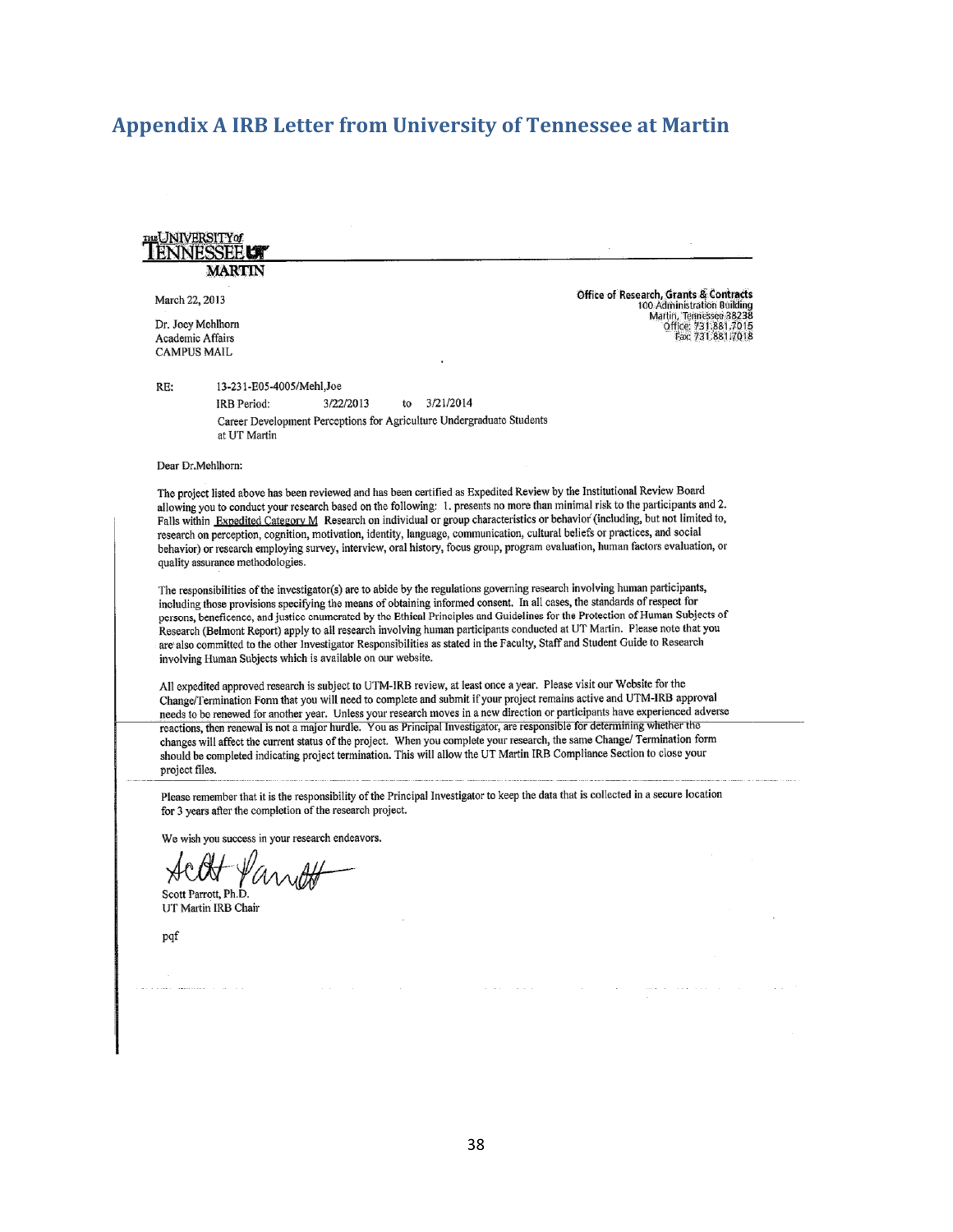# **Appendix A IRB Letter from University of Tennessee at Martin**

|                                        | <b>THE UNIVERSITY</b> of<br><b>MARTIN</b>                                                                                                                                                                                                                                                                                                                                                                                                                                                                                                                                                                                                                                                                             |                                                                                                                                     |
|----------------------------------------|-----------------------------------------------------------------------------------------------------------------------------------------------------------------------------------------------------------------------------------------------------------------------------------------------------------------------------------------------------------------------------------------------------------------------------------------------------------------------------------------------------------------------------------------------------------------------------------------------------------------------------------------------------------------------------------------------------------------------|-------------------------------------------------------------------------------------------------------------------------------------|
| March 22, 2013                         | Dr. Joey Mehlhorn                                                                                                                                                                                                                                                                                                                                                                                                                                                                                                                                                                                                                                                                                                     | <b>Office of Research, Grants &amp; Contracts</b><br>100 Administration Building<br>Martin, Tennessee 38238<br>Office: 731,881.7015 |
| Academic Affairs<br><b>CAMPUS MAIL</b> |                                                                                                                                                                                                                                                                                                                                                                                                                                                                                                                                                                                                                                                                                                                       | Fax: 731.881.7018                                                                                                                   |
| RE:                                    | 13-231-E05-4005/Mehl,Joe                                                                                                                                                                                                                                                                                                                                                                                                                                                                                                                                                                                                                                                                                              |                                                                                                                                     |
|                                        | 3/21/2014<br>3/22/2013<br>IRB Period:<br>to                                                                                                                                                                                                                                                                                                                                                                                                                                                                                                                                                                                                                                                                           |                                                                                                                                     |
|                                        | Career Development Perceptions for Agriculture Undergraduate Students<br>at UT Martin                                                                                                                                                                                                                                                                                                                                                                                                                                                                                                                                                                                                                                 |                                                                                                                                     |
|                                        | Dear Dr.Mehlhorn:                                                                                                                                                                                                                                                                                                                                                                                                                                                                                                                                                                                                                                                                                                     |                                                                                                                                     |
|                                        | The project listed above has been reviewed and has been certified as Expedited Review by the Institutional Review Board<br>allowing you to conduct your research based on the following: 1. presents no more than minimal risk to the participants and 2.<br>Falls within Expedited Category M Research on individual or group characteristics or behavior (including, but not limited to,<br>research on perception, cognition, motivation, identity, language, communication, cultural beliefs or practices, and social<br>behavior) or research employing survey, interview, oral history, focus group, program evaluation, human factors evaluation, or<br>quality assurance methodologies.                       |                                                                                                                                     |
|                                        | The responsibilities of the investigator(s) are to abide by the regulations governing research involving human participants,<br>including those provisions specifying the means of obtaining informed consent. In all cases, the standards of respect for<br>persons, beneficence, and justice enumerated by the Ethical Principles and Guidelines for the Protection of Human Subjects of<br>Research (Belmont Report) apply to all research involving human participants conducted at UT Martin. Please note that you<br>are also committed to the other Investigator Responsibilities as stated in the Faculty, Staff and Student Guide to Research<br>involving Human Subjects which is available on our website. |                                                                                                                                     |
|                                        | All expedited approved research is subject to UTM-IRB review, at least once a year. Please visit our Website for the<br>Change/Termination Form that you will need to complete and submit if your project remains active and UTM-IRB approval<br>needs to be renewed for another year. Unless your research moves in a new direction or participants have experienced adverse                                                                                                                                                                                                                                                                                                                                         |                                                                                                                                     |
| project files.                         | reactions, then renewal is not a major hurdle. You as Principal Investigator, are responsible for determining whether the<br>changes will affect the current status of the project. When you complete your research, the same Change/Termination form<br>should be completed indicating project termination. This will allow the UT Martin IRB Compliance Section to close your                                                                                                                                                                                                                                                                                                                                       |                                                                                                                                     |
|                                        | Please remember that it is the responsibility of the Principal Investigator to keep the data that is collected in a secure location<br>for 3 years after the completion of the research project.                                                                                                                                                                                                                                                                                                                                                                                                                                                                                                                      |                                                                                                                                     |
|                                        | We wish you success in your research endeavors.                                                                                                                                                                                                                                                                                                                                                                                                                                                                                                                                                                                                                                                                       |                                                                                                                                     |
|                                        | Scott Parrott, Ph.D.<br>UT Martin IRB Chair                                                                                                                                                                                                                                                                                                                                                                                                                                                                                                                                                                                                                                                                           |                                                                                                                                     |
| pqf                                    |                                                                                                                                                                                                                                                                                                                                                                                                                                                                                                                                                                                                                                                                                                                       |                                                                                                                                     |
|                                        |                                                                                                                                                                                                                                                                                                                                                                                                                                                                                                                                                                                                                                                                                                                       |                                                                                                                                     |
|                                        |                                                                                                                                                                                                                                                                                                                                                                                                                                                                                                                                                                                                                                                                                                                       |                                                                                                                                     |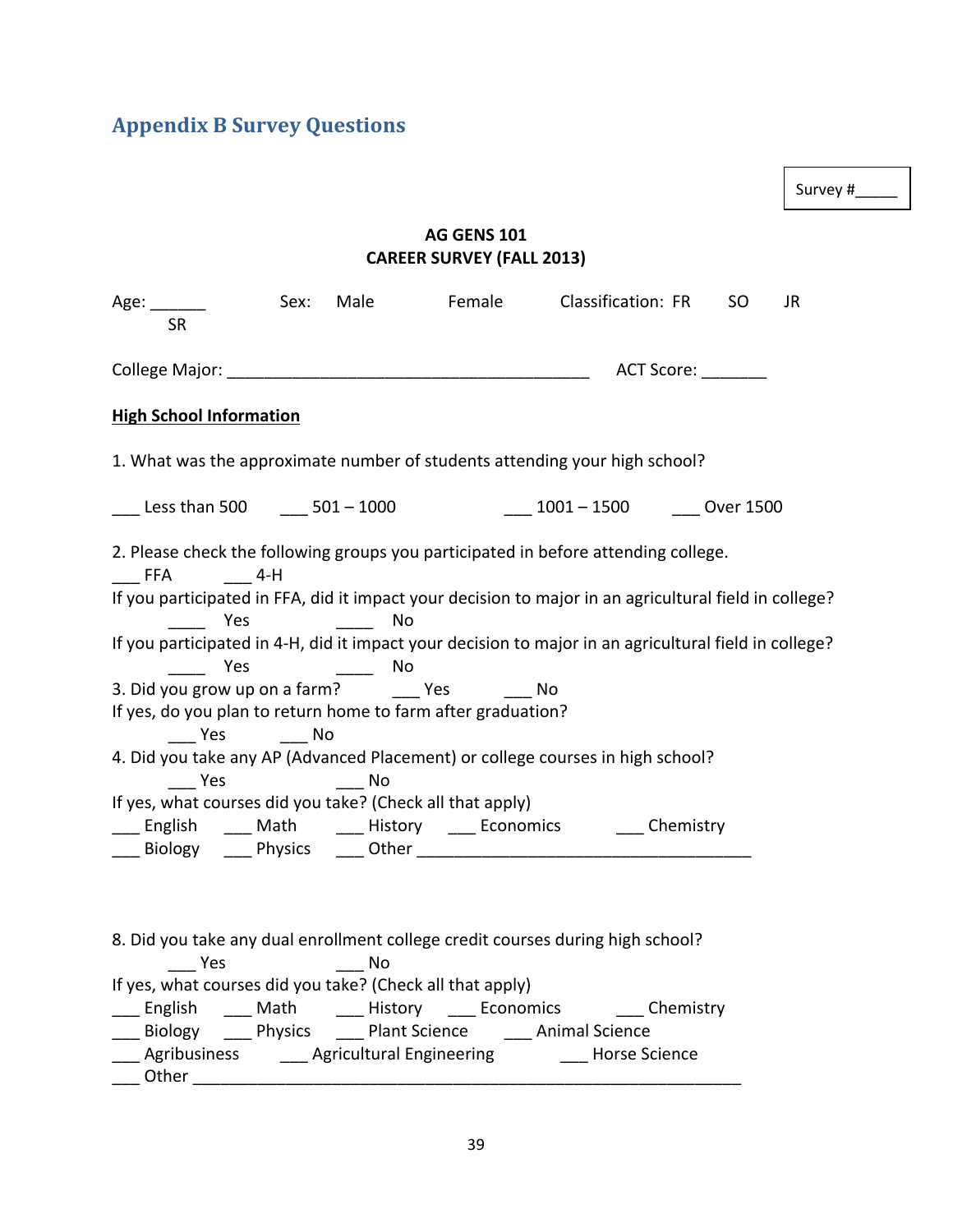# **Appendix B Survey Questions**

Survey #\_\_\_\_\_

# **AG GENS 101 CAREER SURVEY (FALL 2013)**

| <b>ACT Score:</b><br><b>High School Information</b><br>1. What was the approximate number of students attending your high school?<br><b>1001</b> − 1500 1500 CVer 1500 CVer 1500<br>2. Please check the following groups you participated in before attending college.<br>$4-H$<br>If you participated in FFA, did it impact your decision to major in an agricultural field in college?<br><b>Press</b><br><u>and the state of the state of the state of the state of the state of the state of the state of the state of the state of the state of the state of the state of the state of the state of the state of the state of the state</u><br>No<br>If you participated in 4-H, did it impact your decision to major in an agricultural field in college?<br>______  Yes      _____  No<br>3. Did you grow up on a farm? Yes No<br>If yes, do you plan to return home to farm after graduation?<br>____ Yes ______ No<br>4. Did you take any AP (Advanced Placement) or college courses in high school?<br>_____ Yes ______ No<br>If yes, what courses did you take? (Check all that apply)<br>__ English ___ Math ____ History ___ Economics ___ Chemistry<br>8. Did you take any dual enrollment college credit courses during high school?<br>Yes<br>If yes, what courses did you take? (Check all that apply)<br>__ English ___ Math ____ History ___ Economics ___ Chemistry<br>___ Biology ____ Physics ____ Plant Science ____ Animal Science<br>___ Agribusiness ______ Agricultural Engineering ______ Horse Science | Age:<br><b>SR</b>            |  | Sex: Male Female Classification: FR SO | JR |
|-------------------------------------------------------------------------------------------------------------------------------------------------------------------------------------------------------------------------------------------------------------------------------------------------------------------------------------------------------------------------------------------------------------------------------------------------------------------------------------------------------------------------------------------------------------------------------------------------------------------------------------------------------------------------------------------------------------------------------------------------------------------------------------------------------------------------------------------------------------------------------------------------------------------------------------------------------------------------------------------------------------------------------------------------------------------------------------------------------------------------------------------------------------------------------------------------------------------------------------------------------------------------------------------------------------------------------------------------------------------------------------------------------------------------------------------------------------------------------------------------------------------------------------|------------------------------|--|----------------------------------------|----|
|                                                                                                                                                                                                                                                                                                                                                                                                                                                                                                                                                                                                                                                                                                                                                                                                                                                                                                                                                                                                                                                                                                                                                                                                                                                                                                                                                                                                                                                                                                                                     |                              |  |                                        |    |
|                                                                                                                                                                                                                                                                                                                                                                                                                                                                                                                                                                                                                                                                                                                                                                                                                                                                                                                                                                                                                                                                                                                                                                                                                                                                                                                                                                                                                                                                                                                                     |                              |  |                                        |    |
|                                                                                                                                                                                                                                                                                                                                                                                                                                                                                                                                                                                                                                                                                                                                                                                                                                                                                                                                                                                                                                                                                                                                                                                                                                                                                                                                                                                                                                                                                                                                     |                              |  |                                        |    |
|                                                                                                                                                                                                                                                                                                                                                                                                                                                                                                                                                                                                                                                                                                                                                                                                                                                                                                                                                                                                                                                                                                                                                                                                                                                                                                                                                                                                                                                                                                                                     |                              |  |                                        |    |
|                                                                                                                                                                                                                                                                                                                                                                                                                                                                                                                                                                                                                                                                                                                                                                                                                                                                                                                                                                                                                                                                                                                                                                                                                                                                                                                                                                                                                                                                                                                                     | $\overline{\phantom{a}}$ FFA |  |                                        |    |
|                                                                                                                                                                                                                                                                                                                                                                                                                                                                                                                                                                                                                                                                                                                                                                                                                                                                                                                                                                                                                                                                                                                                                                                                                                                                                                                                                                                                                                                                                                                                     |                              |  |                                        |    |
|                                                                                                                                                                                                                                                                                                                                                                                                                                                                                                                                                                                                                                                                                                                                                                                                                                                                                                                                                                                                                                                                                                                                                                                                                                                                                                                                                                                                                                                                                                                                     |                              |  |                                        |    |
|                                                                                                                                                                                                                                                                                                                                                                                                                                                                                                                                                                                                                                                                                                                                                                                                                                                                                                                                                                                                                                                                                                                                                                                                                                                                                                                                                                                                                                                                                                                                     |                              |  |                                        |    |
|                                                                                                                                                                                                                                                                                                                                                                                                                                                                                                                                                                                                                                                                                                                                                                                                                                                                                                                                                                                                                                                                                                                                                                                                                                                                                                                                                                                                                                                                                                                                     |                              |  |                                        |    |
|                                                                                                                                                                                                                                                                                                                                                                                                                                                                                                                                                                                                                                                                                                                                                                                                                                                                                                                                                                                                                                                                                                                                                                                                                                                                                                                                                                                                                                                                                                                                     |                              |  |                                        |    |
|                                                                                                                                                                                                                                                                                                                                                                                                                                                                                                                                                                                                                                                                                                                                                                                                                                                                                                                                                                                                                                                                                                                                                                                                                                                                                                                                                                                                                                                                                                                                     |                              |  |                                        |    |
|                                                                                                                                                                                                                                                                                                                                                                                                                                                                                                                                                                                                                                                                                                                                                                                                                                                                                                                                                                                                                                                                                                                                                                                                                                                                                                                                                                                                                                                                                                                                     |                              |  |                                        |    |
|                                                                                                                                                                                                                                                                                                                                                                                                                                                                                                                                                                                                                                                                                                                                                                                                                                                                                                                                                                                                                                                                                                                                                                                                                                                                                                                                                                                                                                                                                                                                     |                              |  |                                        |    |
|                                                                                                                                                                                                                                                                                                                                                                                                                                                                                                                                                                                                                                                                                                                                                                                                                                                                                                                                                                                                                                                                                                                                                                                                                                                                                                                                                                                                                                                                                                                                     |                              |  |                                        |    |
|                                                                                                                                                                                                                                                                                                                                                                                                                                                                                                                                                                                                                                                                                                                                                                                                                                                                                                                                                                                                                                                                                                                                                                                                                                                                                                                                                                                                                                                                                                                                     |                              |  |                                        |    |
|                                                                                                                                                                                                                                                                                                                                                                                                                                                                                                                                                                                                                                                                                                                                                                                                                                                                                                                                                                                                                                                                                                                                                                                                                                                                                                                                                                                                                                                                                                                                     |                              |  |                                        |    |
|                                                                                                                                                                                                                                                                                                                                                                                                                                                                                                                                                                                                                                                                                                                                                                                                                                                                                                                                                                                                                                                                                                                                                                                                                                                                                                                                                                                                                                                                                                                                     |                              |  |                                        |    |
|                                                                                                                                                                                                                                                                                                                                                                                                                                                                                                                                                                                                                                                                                                                                                                                                                                                                                                                                                                                                                                                                                                                                                                                                                                                                                                                                                                                                                                                                                                                                     |                              |  |                                        |    |
|                                                                                                                                                                                                                                                                                                                                                                                                                                                                                                                                                                                                                                                                                                                                                                                                                                                                                                                                                                                                                                                                                                                                                                                                                                                                                                                                                                                                                                                                                                                                     |                              |  |                                        |    |
|                                                                                                                                                                                                                                                                                                                                                                                                                                                                                                                                                                                                                                                                                                                                                                                                                                                                                                                                                                                                                                                                                                                                                                                                                                                                                                                                                                                                                                                                                                                                     |                              |  |                                        |    |
|                                                                                                                                                                                                                                                                                                                                                                                                                                                                                                                                                                                                                                                                                                                                                                                                                                                                                                                                                                                                                                                                                                                                                                                                                                                                                                                                                                                                                                                                                                                                     |                              |  |                                        |    |
|                                                                                                                                                                                                                                                                                                                                                                                                                                                                                                                                                                                                                                                                                                                                                                                                                                                                                                                                                                                                                                                                                                                                                                                                                                                                                                                                                                                                                                                                                                                                     |                              |  |                                        |    |
|                                                                                                                                                                                                                                                                                                                                                                                                                                                                                                                                                                                                                                                                                                                                                                                                                                                                                                                                                                                                                                                                                                                                                                                                                                                                                                                                                                                                                                                                                                                                     | $\sqrt{ }$ Other             |  |                                        |    |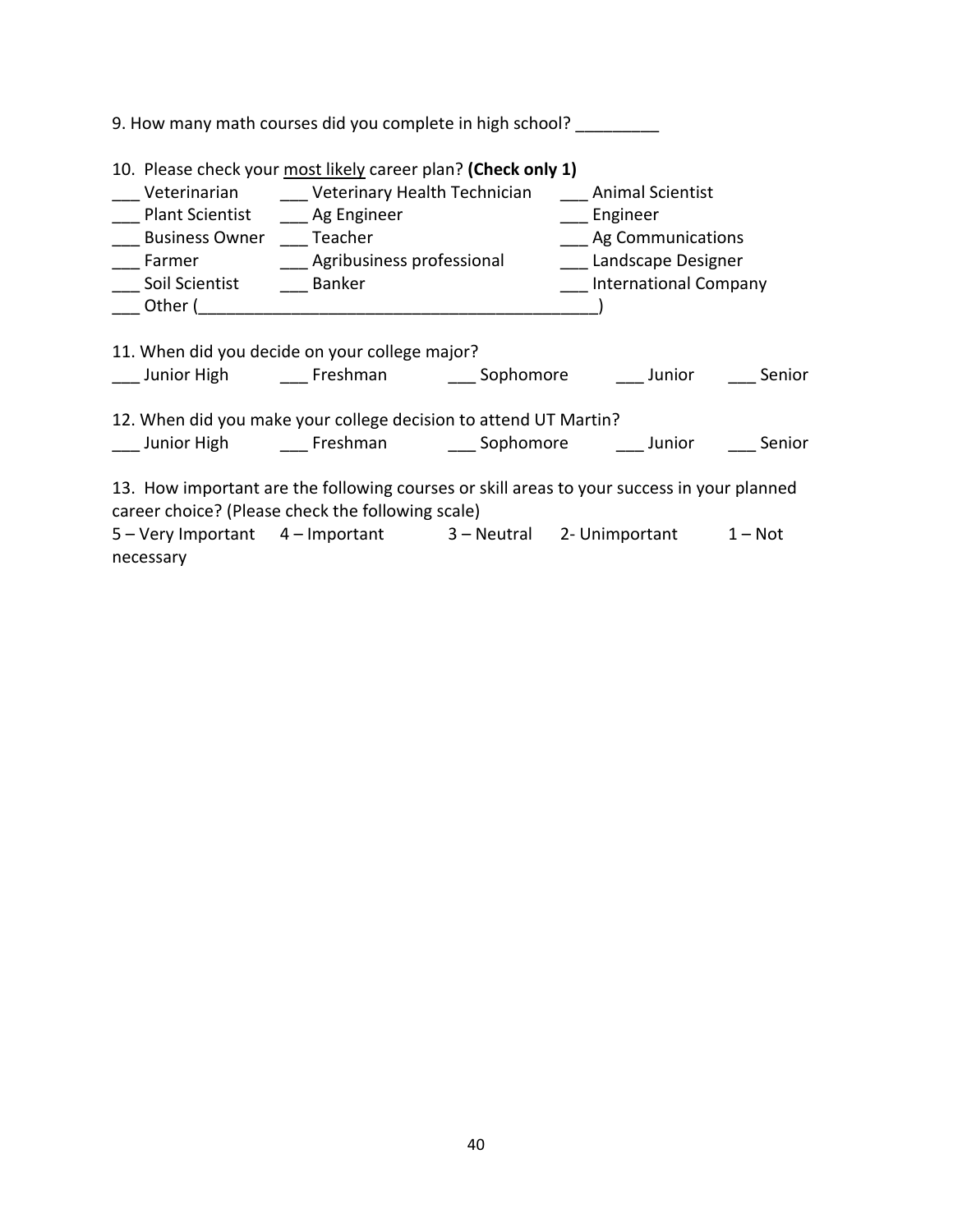| 9. How many math courses did you complete in high school?                                                                           |                                                                                                                      |                                                                                                                                                                                                |  |
|-------------------------------------------------------------------------------------------------------------------------------------|----------------------------------------------------------------------------------------------------------------------|------------------------------------------------------------------------------------------------------------------------------------------------------------------------------------------------|--|
| 10. Please check your most likely career plan? (Check only 1)<br>Plant Scientist _____ Ag Engineer<br><b>Business Owner</b> Teacher | <b>Example 21 Contract Contract Contract Contract Contract Contract Contract Contract Contract Contract Contract</b> | ___ Veterinarian ______ Veterinary Health Technician _____ Animal Scientist<br>____ Ag Communications<br>___ Farmer ________________Agribusiness professional ______________Landscape Designer |  |
| ___ Soil Scientist _____ Banker                                                                                                     |                                                                                                                      | <b>International Company</b>                                                                                                                                                                   |  |
|                                                                                                                                     |                                                                                                                      |                                                                                                                                                                                                |  |
| 11. When did you decide on your college major?                                                                                      |                                                                                                                      | Lamior High and Freshman and Cophomore and Junior and Senior                                                                                                                                   |  |
| 12. When did you make your college decision to attend UT Martin?                                                                    |                                                                                                                      | ___ Junior High _______ Freshman ________ Sophomore _______ Junior ______ Senior                                                                                                               |  |
| career choice? (Please check the following scale)                                                                                   |                                                                                                                      | 13. How important are the following courses or skill areas to your success in your planned                                                                                                     |  |
| necessary                                                                                                                           |                                                                                                                      | 5 - Very Important 4 - Important 3 - Neutral 2- Unimportant 1 - Not                                                                                                                            |  |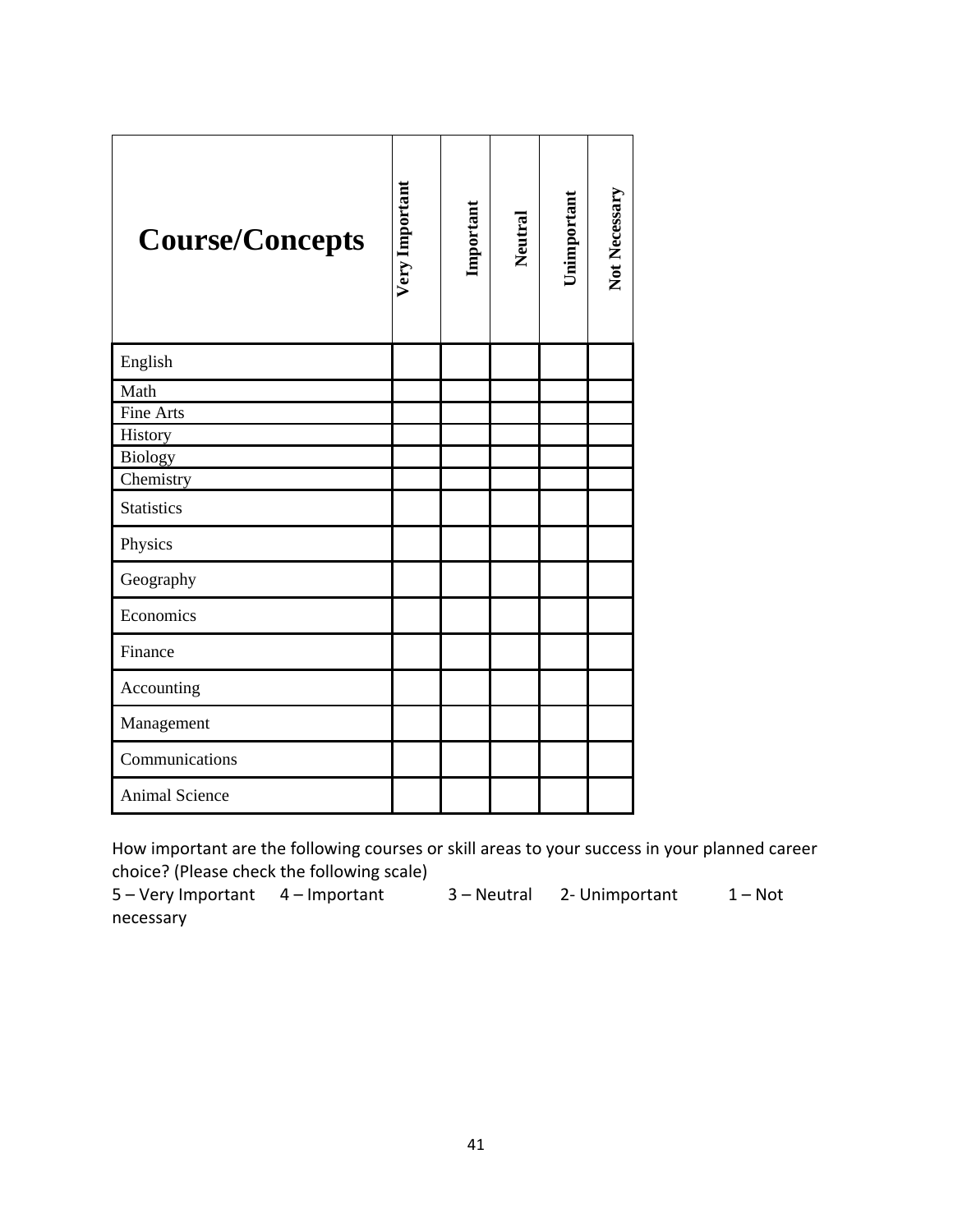| <b>Course/Concepts</b> | <b>Very Important</b> | Important | Neutral | Unimportant | Not Necessary |
|------------------------|-----------------------|-----------|---------|-------------|---------------|
| English                |                       |           |         |             |               |
| Math                   |                       |           |         |             |               |
| Fine Arts              |                       |           |         |             |               |
| History                |                       |           |         |             |               |
| Biology                |                       |           |         |             |               |
| Chemistry              |                       |           |         |             |               |
| <b>Statistics</b>      |                       |           |         |             |               |
| Physics                |                       |           |         |             |               |
| Geography              |                       |           |         |             |               |
| Economics              |                       |           |         |             |               |
| Finance                |                       |           |         |             |               |
| Accounting             |                       |           |         |             |               |
| Management             |                       |           |         |             |               |
| Communications         |                       |           |         |             |               |
| <b>Animal Science</b>  |                       |           |         |             |               |

How important are the following courses or skill areas to your success in your planned career choice? (Please check the following scale)

5 – Very Important 4 – Important 3 – Neutral 2‐ Unimportant 1 – Not necessary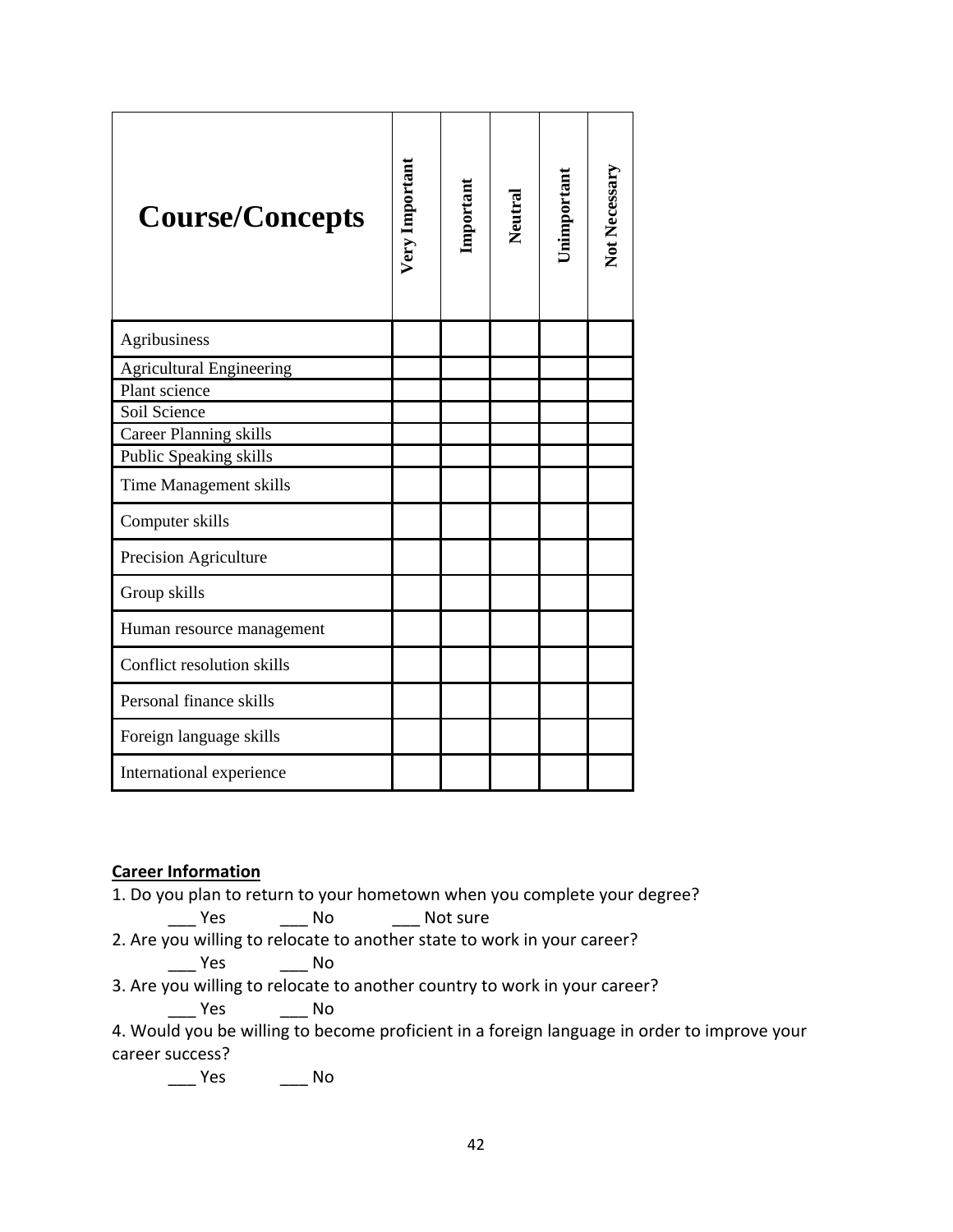| <b>Course/Concepts</b>          | Very Important | Important | Neutral | Jnimportant | Not Necessary |
|---------------------------------|----------------|-----------|---------|-------------|---------------|
| Agribusiness                    |                |           |         |             |               |
| <b>Agricultural Engineering</b> |                |           |         |             |               |
| Plant science                   |                |           |         |             |               |
| Soil Science                    |                |           |         |             |               |
| <b>Career Planning skills</b>   |                |           |         |             |               |
| Public Speaking skills          |                |           |         |             |               |
| Time Management skills          |                |           |         |             |               |
| Computer skills                 |                |           |         |             |               |
| Precision Agriculture           |                |           |         |             |               |
| Group skills                    |                |           |         |             |               |
| Human resource management       |                |           |         |             |               |
| Conflict resolution skills      |                |           |         |             |               |
| Personal finance skills         |                |           |         |             |               |
| Foreign language skills         |                |           |         |             |               |
| International experience        |                |           |         |             |               |

# **Career Information**

1. Do you plan to return to your hometown when you complete your degree?

```
Yes No Not sure
```
2. Are you willing to relocate to another state to work in your career?

\_\_\_ Yes \_\_\_ No

3. Are you willing to relocate to another country to work in your career?

\_\_\_ Yes \_\_\_ No

4. Would you be willing to become proficient in a foreign language in order to improve your career success?

\_\_\_ Yes \_\_\_ No